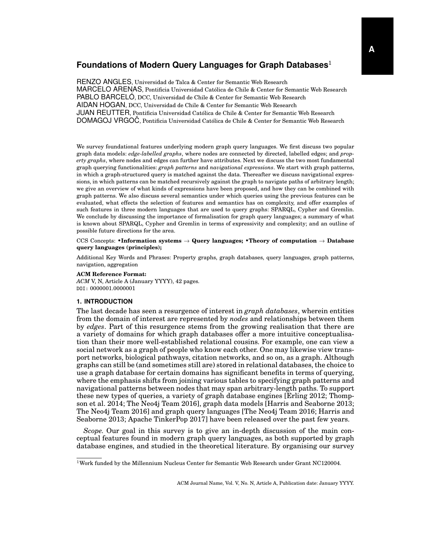# <span id="page-0-0"></span>**Foundations of Modern Query Languages for Graph Databases**<sup>1</sup>

RENZO ANGLES, Universidad de Talca & Center for Semantic Web Research MARCELO ARENAS, Pontificia Universidad Católica de Chile & Center for Semantic Web Research PABLO BARCELÓ, DCC, Universidad de Chile & Center for Semantic Web Research AIDAN HOGAN, DCC, Universidad de Chile & Center for Semantic Web Research JUAN REUTTER, Pontificia Universidad Católica de Chile & Center for Semantic Web Research DOMAGOJ VRGOC, Pontificia Universidad Católica de Chile & Center for Semantic Web Research

We survey foundational features underlying modern graph query languages. We first discuss two popular graph data models: *edge-labelled graphs*, where nodes are connected by directed, labelled edges; and *property graphs*, where nodes and edges can further have attributes. Next we discuss the two most fundamental graph querying functionalities: *graph patterns* and *navigational expressions*. We start with graph patterns, in which a graph-structured query is matched against the data. Thereafter we discuss navigational expressions, in which patterns can be matched recursively against the graph to navigate paths of arbitrary length; we give an overview of what kinds of expressions have been proposed, and how they can be combined with graph patterns. We also discuss several semantics under which queries using the previous features can be evaluated, what effects the selection of features and semantics has on complexity, and offer examples of such features in three modern languages that are used to query graphs: SPARQL, Cypher and Gremlin. We conclude by discussing the importance of formalisation for graph query languages; a summary of what is known about SPARQL, Cypher and Gremlin in terms of expressivity and complexity; and an outline of possible future directions for the area.

## CCS Concepts: •**Information systems** → **Query languages;** •**Theory of computation** → **Database query languages (principles);**

Additional Key Words and Phrases: Property graphs, graph databases, query languages, graph patterns, navigation, aggregation

## **ACM Reference Format:**

*ACM* V, N, Article A (January YYYY), 42 pages. DOI: 0000001.0000001

# **1. INTRODUCTION**

The last decade has seen a resurgence of interest in *graph databases*, wherein entities from the domain of interest are represented by *nodes* and relationships between them by *edges*. Part of this resurgence stems from the growing realisation that there are a variety of domains for which graph databases offer a more intuitive conceptualisation than their more well-established relational cousins. For example, one can view a social network as a graph of people who know each other. One may likewise view transport networks, biological pathways, citation networks, and so on, as a graph. Although graphs can still be (and sometimes still are) stored in relational databases, the choice to use a graph database for certain domains has significant benefits in terms of querying, where the emphasis shifts from joining various tables to specifying graph patterns and navigational patterns between nodes that may span arbitrary-length paths. To support these new types of queries, a variety of graph database engines [\[Erling 2012;](#page-37-0) [Thomp](#page-40-0)[son et al. 2014;](#page-40-0) [The Neo4j Team 2016\]](#page-40-1), graph data models [\[Harris and Seaborne 2013;](#page-38-0) [The Neo4j Team 2016\]](#page-40-1) and graph query languages [\[The Neo4j Team 2016;](#page-40-1) [Harris and](#page-38-0) [Seaborne 2013;](#page-38-0) [Apache TinkerPop 2017\]](#page-36-0) have been released over the past few years.

*Scope.* Our goal in this survey is to give an in-depth discussion of the main conceptual features found in modern graph query languages, as both supported by graph database engines, and studied in the theoretical literature. By organising our survey

<sup>&</sup>lt;sup>1</sup>Work funded by the Millennium Nucleus Center for Semantic Web Research under Grant NC120004.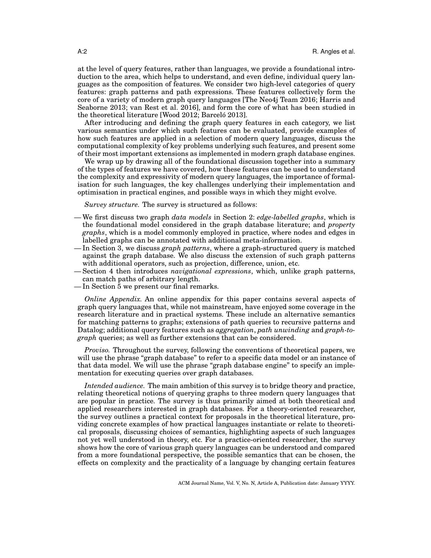at the level of query features, rather than languages, we provide a foundational introduction to the area, which helps to understand, and even define, individual query languages as the composition of features. We consider two high-level categories of query features: graph patterns and path expressions. These features collectively form the core of a variety of modern graph query languages [\[The Neo4j Team 2016;](#page-40-1) [Harris and](#page-38-0) [Seaborne 2013;](#page-38-0) [van Rest et al. 2016\]](#page-40-2), and form the core of what has been studied in the theoretical literature [\[Wood 2012;](#page-40-3) [Barceló 2013\]](#page-36-1).

After introducing and defining the graph query features in each category, we list various semantics under which such features can be evaluated, provide examples of how such features are applied in a selection of modern query languages, discuss the computational complexity of key problems underlying such features, and present some of their most important extensions as implemented in modern graph database engines.

We wrap up by drawing all of the foundational discussion together into a summary of the types of features we have covered, how these features can be used to understand the complexity and expressivity of modern query languages, the importance of formalisation for such languages, the key challenges underlying their implementation and optimisation in practical engines, and possible ways in which they might evolve.

*Survey structure.* The survey is structured as follows:

- We first discuss two graph *data models* in Section [2:](#page-2-0) *edge-labelled graphs*, which is the foundational model considered in the graph database literature; and *property graphs*, which is a model commonly employed in practice, where nodes and edges in labelled graphs can be annotated with additional meta-information.
- In Section [3,](#page-7-0) we discuss *graph patterns*, where a graph-structured query is matched against the graph database. We also discuss the extension of such graph patterns with additional operators, such as projection, difference, union, etc.
- Section [4](#page-19-0) then introduces *navigational expressions*, which, unlike graph patterns, can match paths of arbitrary length.
- In Section [5](#page-31-0) we present our final remarks.

*Online Appendix.* An online appendix for this paper contains several aspects of graph query languages that, while not mainstream, have enjoyed some coverage in the research literature and in practical systems. These include an alternative semantics for matching patterns to graphs; extensions of path queries to recursive patterns and Datalog; additional query features such as *aggregation*, *path unwinding* and *graph-tograph* queries; as well as further extensions that can be considered.

*Proviso.* Throughout the survey, following the conventions of theoretical papers, we will use the phrase "graph database" to refer to a specific data model or an instance of that data model. We will use the phrase "graph database engine" to specify an implementation for executing queries over graph databases.

*Intended audience.* The main ambition of this survey is to bridge theory and practice, relating theoretical notions of querying graphs to three modern query languages that are popular in practice. The survey is thus primarily aimed at both theoretical and applied researchers interested in graph databases. For a theory-oriented researcher, the survey outlines a practical context for proposals in the theoretical literature, providing concrete examples of how practical languages instantiate or relate to theoretical proposals, discussing choices of semantics, highlighting aspects of such languages not yet well understood in theory, etc. For a practice-oriented researcher, the survey shows how the core of various graph query languages can be understood and compared from a more foundational perspective, the possible semantics that can be chosen, the effects on complexity and the practicality of a language by changing certain features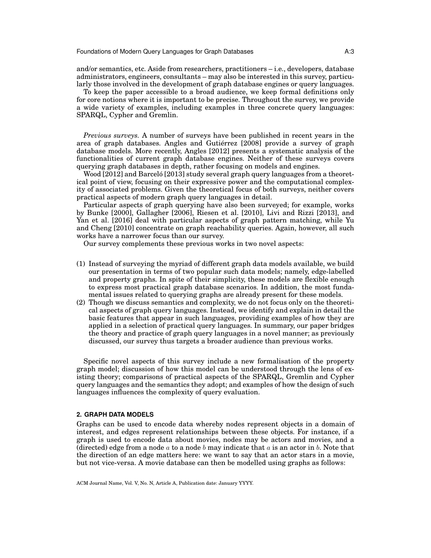### Foundations of Modern Query Languages for Graph Databases **A:3** A:3

and/or semantics, etc. Aside from researchers, practitioners – i.e., developers, database administrators, engineers, consultants – may also be interested in this survey, particularly those involved in the development of graph database engines or query languages.

To keep the paper accessible to a broad audience, we keep formal definitions only for core notions where it is important to be precise. Throughout the survey, we provide a wide variety of examples, including examples in three concrete query languages: SPARQL, Cypher and Gremlin.

*Previous surveys.* A number of surveys have been published in recent years in the area of graph databases. [Angles and Gutiérrez \[2008\]](#page-36-2) provide a survey of graph database models. More recently, [Angles \[2012\]](#page-36-3) presents a systematic analysis of the functionalities of current graph database engines. Neither of these surveys covers querying graph databases in depth, rather focusing on models and engines.

[Wood \[2012\]](#page-40-3) and [Barceló \[2013\]](#page-36-1) study several graph query languages from a theoretical point of view, focusing on their expressive power and the computational complexity of associated problems. Given the theoretical focus of both surveys, neither covers practical aspects of modern graph query languages in detail.

Particular aspects of graph querying have also been surveyed; for example, works by [Bunke \[2000\]](#page-37-1), [Gallagher \[2006\]](#page-38-1), [Riesen et al. \[2010\]](#page-39-0), [Livi and Rizzi \[2013\]](#page-39-1), and [Yan et al. \[2016\]](#page-40-4) deal with particular aspects of graph pattern matching, while [Yu](#page-40-5) [and Cheng \[2010\]](#page-40-5) concentrate on graph reachability queries. Again, however, all such works have a narrower focus than our survey.

Our survey complements these previous works in two novel aspects:

- (1) Instead of surveying the myriad of different graph data models available, we build our presentation in terms of two popular such data models; namely, edge-labelled and property graphs. In spite of their simplicity, these models are flexible enough to express most practical graph database scenarios. In addition, the most fundamental issues related to querying graphs are already present for these models.
- (2) Though we discuss semantics and complexity, we do not focus only on the theoretical aspects of graph query languages. Instead, we identify and explain in detail the basic features that appear in such languages, providing examples of how they are applied in a selection of practical query languages. In summary, our paper bridges the theory and practice of graph query languages in a novel manner; as previously discussed, our survey thus targets a broader audience than previous works.

Specific novel aspects of this survey include a new formalisation of the property graph model; discussion of how this model can be understood through the lens of existing theory; comparisons of practical aspects of the SPARQL, Gremlin and Cypher query languages and the semantics they adopt; and examples of how the design of such languages influences the complexity of query evaluation.

## <span id="page-2-0"></span>**2. GRAPH DATA MODELS**

Graphs can be used to encode data whereby nodes represent objects in a domain of interest, and edges represent relationships between these objects. For instance, if a graph is used to encode data about movies, nodes may be actors and movies, and a (directed) edge from a node  $a$  to a node  $b$  may indicate that  $a$  is an actor in  $b$ . Note that the direction of an edge matters here: we want to say that an actor stars in a movie, but not vice-versa. A movie database can then be modelled using graphs as follows: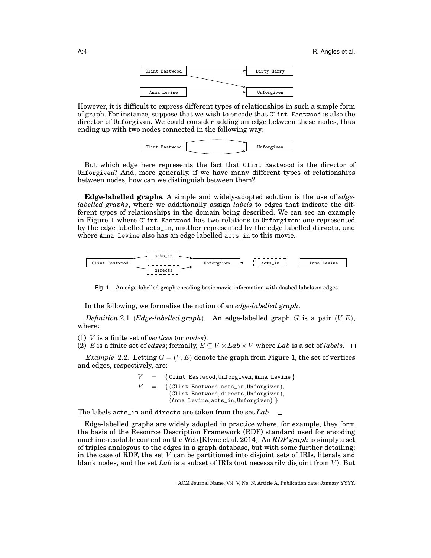

However, it is difficult to express different types of relationships in such a simple form of graph. For instance, suppose that we wish to encode that Clint Eastwood is also the director of Unforgiven. We could consider adding an edge between these nodes, thus ending up with two nodes connected in the following way:



But which edge here represents the fact that Clint Eastwood is the director of Unforgiven? And, more generally, if we have many different types of relationships between nodes, how can we distinguish between them?

**Edge-labelled graphs***.* A simple and widely-adopted solution is the use of *edgelabelled graphs*, where we additionally assign *labels* to edges that indicate the different types of relationships in the domain being described. We can see an example in Figure [1](#page-3-0) where Clint Eastwood has two relations to Unforgiven: one represented by the edge labelled acts\_in, another represented by the edge labelled directs, and where Anna Levine also has an edge labelled acts\_in to this movie.



<span id="page-3-0"></span>Fig. 1. An edge-labelled graph encoding basic movie information with dashed labels on edges

In the following, we formalise the notion of an *edge-labelled graph*.

<span id="page-3-1"></span>*Definition* 2.1 (*Edge-labelled graph*). An edge-labelled graph  $G$  is a pair  $(V, E)$ , where:

(1) V is a finite set of *vertices* (or *nodes*).

(2) E is a finite set of *edges*; formally,  $E \subseteq V \times Lab \times V$  where *Lab* is a set of *labels*.  $\Box$ 

*Example* 2.2*.* Letting  $G = (V, E)$  denote the graph from Figure [1,](#page-3-0) the set of vertices and edges, respectively, are:

> $V = \{$  Clint Eastwood, Unforgiven, Anna Levine }  $E = \{$  (Clint Eastwood, acts\_in, Unforgiven), (Clint Eastwood, directs, Unforgiven), (Anna Levine, acts\_in, Unforgiven) }

The labels  $\texttt{acts\_in}$  and directs are taken from the set  $Lab.$   $\Box$ 

Edge-labelled graphs are widely adopted in practice where, for example, they form the basis of the Resource Description Framework (RDF) standard used for encoding machine-readable content on the Web [\[Klyne et al. 2014\]](#page-38-2). An *RDF graph* is simply a set of triples analogous to the edges in a graph database, but with some further detailing: in the case of RDF, the set V can be partitioned into disjoint sets of IRIs, literals and blank nodes, and the set  $Lab$  is a subset of IRIs (not necessarily disjoint from V). But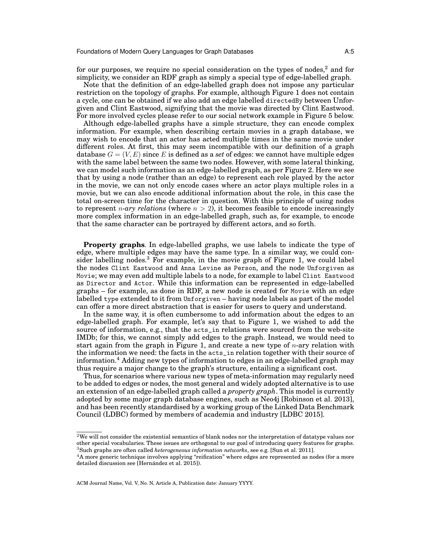### Foundations of Modern Query Languages for Graph Databases **A:5** A:5

for our purposes, we require no special consideration on the types of nodes, $2$  and for simplicity, we consider an RDF graph as simply a special type of edge-labelled graph.

Note that the definition of an edge-labelled graph does not impose any particular restriction on the topology of graphs. For example, although Figure [1](#page-3-0) does not contain a cycle, one can be obtained if we also add an edge labelled directedBy between Unforgiven and Clint Eastwood, signifying that the movie was directed by Clint Eastwood. For more involved cycles please refer to our social network example in Figure [5](#page-6-0) below.

Although edge-labelled graphs have a simple structure, they can encode complex information. For example, when describing certain movies in a graph database, we may wish to encode that an actor has acted multiple times in the same movie under different roles. At first, this may seem incompatible with our definition of a graph database  $G = (V, E)$  since E is defined as a *set* of edges: we cannot have multiple edges with the same label between the same two nodes. However, with some lateral thinking, we can model such information as an edge-labelled graph, as per Figure [2.](#page-5-0) Here we see that by using a node (rather than an edge) to represent each role played by the actor in the movie, we can not only encode cases where an actor plays multiple roles in a movie, but we can also encode additional information about the role, in this case the total on-screen time for the character in question. With this principle of using nodes to represent *n-ary relations* (where  $n > 2$ ), it becomes feasible to encode increasingly more complex information in an edge-labelled graph, such as, for example, to encode that the same character can be portrayed by different actors, and so forth.

**Property graphs***.* In edge-labelled graphs, we use labels to indicate the type of edge, where multiple edges may have the same type. In a similar way, we could con-sider labelling nodes.<sup>[3](#page-4-1)</sup> For example, in the movie graph of Figure [1,](#page-3-0) we could label the nodes Clint Eastwood and Anna Levine as Person, and the node Unforgiven as Movie; we may even add multiple labels to a node, for example to label Clint Eastwood as Director and Actor. While this information can be represented in edge-labelled graphs – for example, as done in RDF, a new node is created for Movie with an edge labelled type extended to it from Unforgiven – having node labels as part of the model can offer a more direct abstraction that is easier for users to query and understand.

In the same way, it is often cumbersome to add information about the edges to an edge-labelled graph. For example, let's say that to Figure [1,](#page-3-0) we wished to add the source of information, e.g., that the acts\_in relations were sourced from the web-site IMDb; for this, we cannot simply add edges to the graph. Instead, we would need to start again from the graph in Figure [1,](#page-3-0) and create a new type of  $n$ -ary relation with the information we need: the facts in the acts\_in relation together with their source of information.[4](#page-4-2) Adding new types of information to edges in an edge-labelled graph may thus require a major change to the graph's structure, entailing a significant cost.

Thus, for scenarios where various new types of meta-information may regularly need to be added to edges or nodes, the most general and widely adopted alternative is to use an extension of an edge-labelled graph called a *property graph*. This model is currently adopted by some major graph database engines, such as Neo4j [\[Robinson et al. 2013\]](#page-39-2), and has been recently standardised by a working group of the Linked Data Benchmark Council (LDBC) formed by members of academia and industry [\[LDBC 2015\]](#page-38-3).

<span id="page-4-0"></span> $^2\rm{We}$  will not consider the existential semantics of blank nodes nor the interpretation of datatype values nor other special vocabularies. These issues are orthogonal to our goal of introducing query features for graphs. <sup>3</sup>Such graphs are often called *heterogeneous information networks*, see e.g. [\[Sun et al. 2011\]](#page-40-6).

<span id="page-4-2"></span><span id="page-4-1"></span><sup>&</sup>lt;sup>4</sup>A more generic technique involves applying "reification" where edges are represented as nodes (for a more detailed discussion see [\[Hernández et al. 2015\]](#page-38-4)).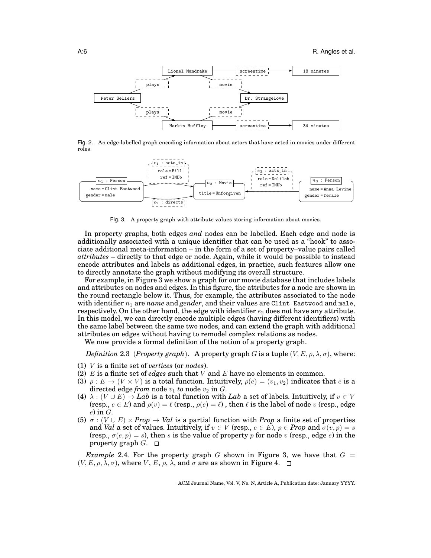

<span id="page-5-0"></span>Fig. 2. An edge-labelled graph encoding information about actors that have acted in movies under different roles



<span id="page-5-1"></span>Fig. 3. A property graph with attribute values storing information about movies.

In property graphs, both edges *and* nodes can be labelled. Each edge and node is additionally associated with a unique identifier that can be used as a "hook" to associate additional meta-information – in the form of a set of property–value pairs called *attributes* – directly to that edge or node. Again, while it would be possible to instead encode attributes and labels as additional edges, in practice, such features allow one to directly annotate the graph without modifying its overall structure.

For example, in Figure [3](#page-5-1) we show a graph for our movie database that includes labels and attributes on nodes and edges. In this figure, the attributes for a node are shown in the round rectangle below it. Thus, for example, the attributes associated to the node with identifier  $n_1$  are *name* and *gender*, and their values are Clint Eastwood and male, respectively. On the other hand, the edge with identifier  $e_2$  does not have any attribute. In this model, we can directly encode multiple edges (having different identifiers) with the same label between the same two nodes, and can extend the graph with additional attributes on edges without having to remodel complex relations as nodes.

We now provide a formal definition of the notion of a property graph.

<span id="page-5-2"></span>*Definition* 2.3 (*Property graph*). A property graph G is a tuple  $(V, E, \rho, \lambda, \sigma)$ , where:

- (1) V is a finite set of *vertices* (or *nodes*).
- (2) E is a finite set of *edges* such that V and E have no elements in common.
- (3)  $\rho: E \to (V \times V)$  is a total function. Intuitively,  $\rho(e) = (v_1, v_2)$  indicates that e is a directed edge *from* node  $v_1$  *to* node  $v_2$  in  $G$ .
- (4)  $\lambda : (V \cup E) \rightarrow Lab$  is a total function with *Lab* a set of labels. Intuitively, if  $v \in V$ (resp.,  $e \in E$ ) and  $\rho(v) = \ell$  (resp.,  $\rho(e) = \ell$ ), then  $\ell$  is the label of node v (resp., edge  $e)$  in  $G$ .
- (5)  $\sigma$  : (V  $\cup$  E)  $\times$  *Prop*  $\rightarrow$  *Val* is a partial function with *Prop* a finite set of properties and *Val* a set of values. Intuitively, if  $v \in V$  (resp.,  $e \in E$ ),  $p \in Prop$  and  $\sigma(v, p) = s$ (resp.,  $\sigma(e, p) = s$ ), then s is the value of property p for node v (resp., edge e) in the property graph  $G$ .  $\square$

*Example* 2.4. For the property graph G shown in Figure [3,](#page-5-1) we have that  $G =$  $(V, E, \rho, \overline{\lambda}, \sigma)$ , where  $V, E, \rho, \lambda$ , and  $\sigma$  are as shown in Figure [4.](#page-6-1)  $\Box$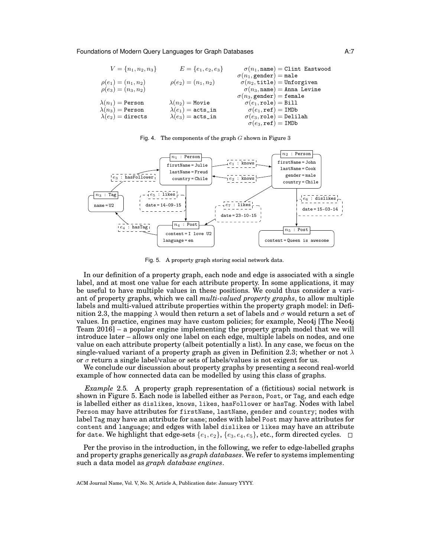Foundations of Modern Query Languages for Graph Databases **A:7** A:7

| $V = \{n_1, n_2, n_3\}$  | $E = \{e_1, e_2, e_3\}$            |                                              | $\sigma(n_1, \texttt{name}) = \texttt{Clint}$ Eastwood |
|--------------------------|------------------------------------|----------------------------------------------|--------------------------------------------------------|
|                          |                                    | $\sigma(n_1, \text{gender}) = \text{male}$   |                                                        |
| $\rho(e_1) = (n_1, n_2)$ | $\rho(e_2) = (n_1, n_2)$           |                                              | $\sigma(n_2, \texttt{title}) = \texttt{Unforgiven}$    |
| $\rho(e_3) = (n_3, n_2)$ |                                    |                                              | $\sigma(n_3, \texttt{name}) = \texttt{Anna}$ Levine    |
|                          |                                    | $\sigma(n_3, \text{gender}) = \text{female}$ |                                                        |
| $\lambda(n_1)$ = Person  | $\lambda(n_2)$ = Movie             | $\sigma(e_1,\texttt{role}) = \texttt{Bill}$  |                                                        |
| $\lambda(n_3)$ = Person  | $\lambda(e_1) = \texttt{acts\_in}$ | $\sigma(e_1, \mathtt{ref}) = \mathtt{IMDb}$  |                                                        |
| $\lambda(e_2)$ = directs | $\lambda(e_3) = \texttt{acts\_in}$ |                                              | $\sigma(e_3, \texttt{role}) = \texttt{Delilah}$        |
|                          |                                    | $\sigma(e_3, \mathtt{ref}) = \mathtt{IMDb}$  |                                                        |

<span id="page-6-1"></span>Fig. 4. The components of the graph  $G$  shown in Figure [3](#page-5-1)



<span id="page-6-0"></span>Fig. 5. A property graph storing social network data.

In our definition of a property graph, each node and edge is associated with a single label, and at most one value for each attribute property. In some applications, it may be useful to have multiple values in these positions. We could thus consider a variant of property graphs, which we call *multi-valued property graphs*, to allow multiple labels and multi-valued attribute properties within the property graph model: in Defi-nition [2.3,](#page-5-2) the mapping  $\lambda$  would then return a set of labels and  $\sigma$  would return a set of values. In practice, engines may have custom policies; for example, Neo4j [\[The Neo4j](#page-40-1) [Team 2016\]](#page-40-1) – a popular engine implementing the property graph model that we will introduce later – allows only one label on each edge, multiple labels on nodes, and one value on each attribute property (albeit potentially a list). In any case, we focus on the single-valued variant of a property graph as given in Definition [2.3;](#page-5-2) whether or not  $\lambda$ or  $\sigma$  return a single label/value or sets of labels/values is not exigent for us.

We conclude our discussion about property graphs by presenting a second real-world example of how connected data can be modelled by using this class of graphs.

*Example* 2.5*.* A property graph representation of a (fictitious) social network is shown in Figure [5.](#page-6-0) Each node is labelled either as Person, Post, or Tag, and each edge is labelled either as dislikes, knows, likes, hasFollower or hasTag. Nodes with label Person may have attributes for firstName, lastName, gender and country; nodes with label Tag may have an attribute for name; nodes with label Post may have attributes for content and language; and edges with label dislikes or likes may have an attribute for date. We highlight that edge-sets  $\{e_1, e_2\}$ ,  $\{e_3, e_4, e_5\}$ , etc., form directed cycles.  $\Box$ 

Per the proviso in the introduction, in the following, we refer to edge-labelled graphs and property graphs generically as *graph databases*. We refer to systems implementing such a data model as *graph database engines*.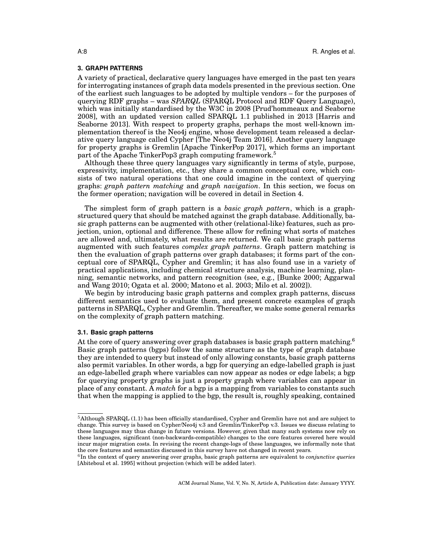## <span id="page-7-0"></span>**3. GRAPH PATTERNS**

A variety of practical, declarative query languages have emerged in the past ten years for interrogating instances of graph data models presented in the previous section. One of the earliest such languages to be adopted by multiple vendors – for the purposes of querying RDF graphs – was *SPARQL* (SPARQL Protocol and RDF Query Language), which was initially standardised by the W3C in 2008 [\[Prud'hommeaux and Seaborne](#page-39-3) [2008\]](#page-39-3), with an updated version called SPARQL 1.1 published in 2013 [\[Harris and](#page-38-0) [Seaborne 2013\]](#page-38-0). With respect to property graphs, perhaps the most well-known implementation thereof is the Neo4j engine, whose development team released a declarative query language called Cypher [\[The Neo4j Team 2016\]](#page-40-1). Another query language for property graphs is Gremlin [\[Apache TinkerPop 2017\]](#page-36-0), which forms an important part of the Apache TinkerPop3 graph computing framework.<sup>[5](#page-7-1)</sup>

Although these three query languages vary significantly in terms of style, purpose, expressivity, implementation, etc., they share a common conceptual core, which consists of two natural operations that one could imagine in the context of querying graphs: *graph pattern matching* and *graph navigation*. In this section, we focus on the former operation; navigation will be covered in detail in Section [4.](#page-19-0)

The simplest form of graph pattern is a *basic graph pattern*, which is a graphstructured query that should be matched against the graph database. Additionally, basic graph patterns can be augmented with other (relational-like) features, such as projection, union, optional and difference. These allow for refining what sorts of matches are allowed and, ultimately, what results are returned. We call basic graph patterns augmented with such features *complex graph patterns*. Graph pattern matching is then the evaluation of graph patterns over graph databases; it forms part of the conceptual core of SPARQL, Cypher and Gremlin; it has also found use in a variety of practical applications, including chemical structure analysis, machine learning, planning, semantic networks, and pattern recognition (see, e.g., [\[Bunke 2000;](#page-37-1) [Aggarwal](#page-36-4) [and Wang 2010;](#page-36-4) [Ogata et al. 2000;](#page-39-4) [Matono et al. 2003;](#page-39-5) [Milo et al. 2002\]](#page-39-6)).

We begin by introducing basic graph patterns and complex graph patterns, discuss different semantics used to evaluate them, and present concrete examples of graph patterns in SPARQL, Cypher and Gremlin. Thereafter, we make some general remarks on the complexity of graph pattern matching.

## <span id="page-7-3"></span>**3.1. Basic graph patterns**

At the core of query answering over graph databases is basic graph pattern matching.<sup>[6](#page-7-2)</sup> Basic graph patterns (bgps) follow the same structure as the type of graph database they are intended to query but instead of only allowing constants, basic graph patterns also permit variables. In other words, a bgp for querying an edge-labelled graph is just an edge-labelled graph where variables can now appear as nodes or edge labels; a bgp for querying property graphs is just a property graph where variables can appear in place of any constant. A *match* for a bgp is a mapping from variables to constants such that when the mapping is applied to the bgp, the result is, roughly speaking, contained

<span id="page-7-1"></span> $5$ Although SPARQL (1.1) has been officially standardised, Cypher and Gremlin have not and are subject to change. This survey is based on Cypher/Neo4j v.3 and Gremlin/TinkerPop v.3. Issues we discuss relating to these languages may thus change in future versions. However, given that many such systems now rely on these languages, significant (non-backwards-compatible) changes to the core features covered here would incur major migration costs. In revising the recent change-logs of these languages, we informally note that the core features and semantics discussed in this survey have not changed in recent years.

<span id="page-7-2"></span><sup>6</sup> In the context of query answering over graphs, basic graph patterns are equivalent to *conjunctive queries* [\[Abiteboul et al. 1995\]](#page-36-5) without projection (which will be added later).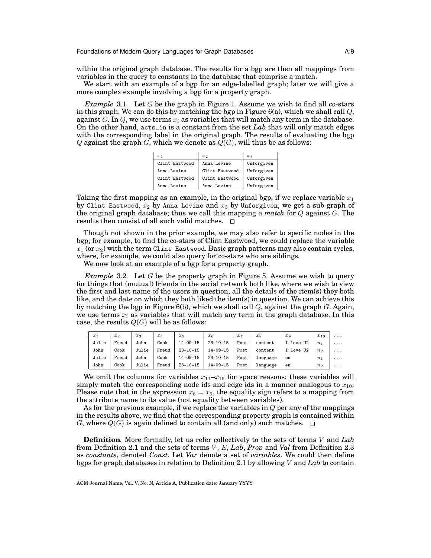within the original graph database. The results for a bgp are then all mappings from variables in the query to constants in the database that comprise a match.

We start with an example of a bgp for an edge-labelled graph; later we will give a more complex example involving a bgp for a property graph.

<span id="page-8-0"></span>*Example* 3.1*.* Let G be the graph in Figure [1.](#page-3-0) Assume we wish to find all co-stars in this graph. We can do this by matching the bgp in Figure [6\(a\),](#page-9-0) which we shall call  $Q$ , against G. In  $Q$ , we use terms  $x_i$  as variables that will match any term in the database. On the other hand, acts\_in is a constant from the set *Lab* that will only match edges with the corresponding label in the original graph. The results of evaluating the bgp Q against the graph G, which we denote as  $Q(G)$ , will thus be as follows:

| $x_1$          | $x_2$          | $x_3$      |
|----------------|----------------|------------|
| Clint Eastwood | Anna Levine    | Unforgiven |
| Anna Levine    | Clint Eastwood | Unforgiven |
| Clint Eastwood | Clint Eastwood | Unforgiven |
| Anna Levine    | Anna Levine    | Unforgiven |

Taking the first mapping as an example, in the original bgp, if we replace variable  $x_1$ by Clint Eastwood,  $x_2$  by Anna Levine and  $x_3$  by Unforgiven, we get a sub-graph of the original graph database; thus we call this mapping a *match* for Q against G. The results then consist of all such valid matches.  $\Box$ 

Though not shown in the prior example, we may also refer to specific nodes in the bgp; for example, to find the co-stars of Clint Eastwood, we could replace the variable  $x_1$  (or  $x_2$ ) with the term Clint Eastwood. Basic graph patterns may also contain cycles, where, for example, we could also query for co-stars who are siblings.

We now look at an example of a bgp for a property graph.

<span id="page-8-1"></span>*Example* 3.2. Let G be the property graph in Figure [5.](#page-6-0) Assume we wish to query for things that (mutual) friends in the social network both like, where we wish to view the first and last name of the users in question, all the details of the item(s) they both like, and the date on which they both liked the item(s) in question. We can achieve this by matching the bgp in Figure [6\(b\),](#page-9-1) which we shall call  $Q$ , against the graph  $G$ . Again, we use terms  $x_i$  as variables that will match any term in the graph database. In this case, the results  $Q(G)$  will be as follows:

| $x_1$ | $x_2$ | $x_3$ | $x_4$ | $x_{5}$        | $x_{6}$        | $x_7$ | $x_{8}$  | $x_9$     | $x_{10}$       | $\cdots$ |
|-------|-------|-------|-------|----------------|----------------|-------|----------|-----------|----------------|----------|
| Julie | Freud | John  | Cook  | $14 - 09 - 15$ | $23 - 10 - 15$ | Post  | content  | I love U2 | $n_{1}$        | $\cdots$ |
| John  | Cook  | Julie | Freud | $23 - 10 - 15$ | $14 - 09 - 15$ | Post  | content  | I love U2 | n <sub>2</sub> | $\cdots$ |
| Julie | Freud | John  | Cook  | $14 - 09 - 15$ | $23 - 10 - 15$ | Post  | language | en        | n <sub>1</sub> | $\cdots$ |
| John  | Cook  | Julie | Freud | $23 - 10 - 15$ | $14 - 09 - 15$ | Post  | language | en        | n <sub>2</sub> | $\cdots$ |

We omit the columns for variables  $x_{11}-x_{16}$  for space reasons: these variables will simply match the corresponding node ids and edge ids in a manner analogous to  $x_{10}$ . Please note that in the expression  $x_8 = x_9$ , the equality sign refers to a mapping from the attribute name to its value (not equality between variables).

As for the previous example, if we replace the variables in  $Q$  per any of the mappings in the results above, we find that the corresponding property graph is contained within G, where  $Q(G)$  is again defined to contain all (and only) such matches.  $\Box$ 

**Definition***.* More formally, let us refer collectively to the sets of terms V and *Lab* from Definition [2.1](#page-3-1) and the sets of terms V , E, *Lab*, *Prop* and *Val* from Definition [2.3](#page-5-2) as *constants*, denoted *Const*. Let *Var* denote a set of *variables*. We could then define bgps for graph databases in relation to Definition [2.1](#page-3-1) by allowing V and *Lab* to contain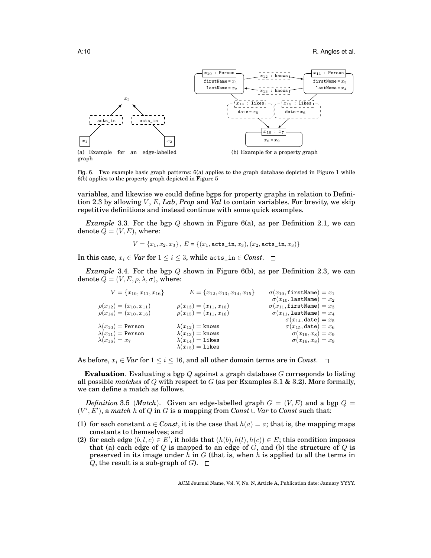<span id="page-9-0"></span>

Fig. 6. Two example basic graph patterns: [6\(a\)](#page-9-0) applies to the graph database depicted in Figure [1](#page-3-0) while [6\(b\)](#page-9-1) applies to the property graph depicted in Figure [5](#page-6-0)

variables, and likewise we could define bgps for property graphs in relation to Definition [2.3](#page-5-2) by allowing V , E, *Lab*, *Prop* and *Val* to contain variables. For brevity, we skip repetitive definitions and instead continue with some quick examples.

*Example* 3.3. For the bgp  $Q$  shown in Figure [6\(a\),](#page-9-0) as per Definition [2.1,](#page-3-1) we can denote  $Q = (V, E)$ , where:

<span id="page-9-1"></span>
$$
V = \{x_1, x_2, x_3\}, E = \{(x_1, \texttt{acts\_in}, x_3), (x_2, \texttt{acts\_in}, x_3)\}
$$

In this case,  $x_i$  ∈ *Var* for  $1 \le i \le 3$ , while acts\_in ∈ *Const*. □

*Example* 3.4*.* For the bgp Q shown in Figure [6\(b\),](#page-9-1) as per Definition [2.3,](#page-5-2) we can denote  $Q = (V, E, \rho, \lambda, \sigma)$ , where:

| $V = \{x_{10}, x_{11}, x_{16}\}\$                                      | $E = \{x_{12}, x_{13}, x_{14}, x_{15}\}\$ | $\sigma(x_{10},$ firstName $) = x_1$       |
|------------------------------------------------------------------------|-------------------------------------------|--------------------------------------------|
|                                                                        |                                           | $\sigma(x_{10}, \texttt{lastName}) = x_2$  |
| $\rho(x_{12}) = (x_{10}, x_{11})$<br>$\rho(x_{14}) = (x_{10}, x_{16})$ | $\rho(x_{13}) = (x_{11}, x_{10})$         | $\sigma(x_{11}, \texttt{firstName}) = x_3$ |
|                                                                        | $\rho(x_{15}) = (x_{11}, x_{16})$         | $\sigma(x_{11}, \texttt{lastName}) = x_4$  |
|                                                                        |                                           | $\sigma(x_{14}, \text{date})=x_5$          |
| $\lambda(x_{10})$ = Person                                             | $\lambda(x_{12}) =$ knows                 | $\sigma(x_{15}, \text{date}) = x_6$        |
| $\lambda(x_{11})$ = Person                                             | $\lambda(x_{13}) =$ knows                 | $\sigma(x_{16}, x_8) = x_9$                |
| $\lambda(x_{16})=x_7$                                                  | $\lambda(x_{14}) =$ likes                 | $\sigma(x_{16}, x_8) = x_9$                |
|                                                                        | $\lambda(x_{15}) =$ likes                 |                                            |

As before,  $x_i \in \text{Var}$  for  $1 \leq i \leq 16$ , and all other domain terms are in *Const*.  $\Box$ 

**Evaluation***.* Evaluating a bgp Q against a graph database G corresponds to listing all possible *matches* of Q with respect to G (as per Examples [3.1](#page-8-0) & [3.2\)](#page-8-1). More formally, we can define a match as follows.

<span id="page-9-2"></span>*Definition* 3.5 (*Match*). Given an edge-labelled graph  $G = (V, E)$  and a bgp  $Q =$  $(V', E')$ , a *match* h of Q in G is a mapping from *Const* ∪ *Var* to *Const* such that:

- (1) for each constant  $a \in Const$ , it is the case that  $h(a) = a$ ; that is, the mapping maps constants to themselves; and
- (2) for each edge  $(b, l, c) \in E'$ , it holds that  $(h(b), h(l), h(c)) \in E$ ; this condition imposes that (a) each edge of  $Q$  is mapped to an edge of  $G$ , and (b) the structure of  $Q$  is preserved in its image under h in G (that is, when h is applied to all the terms in Q, the result is a sub-graph of G).  $\Box$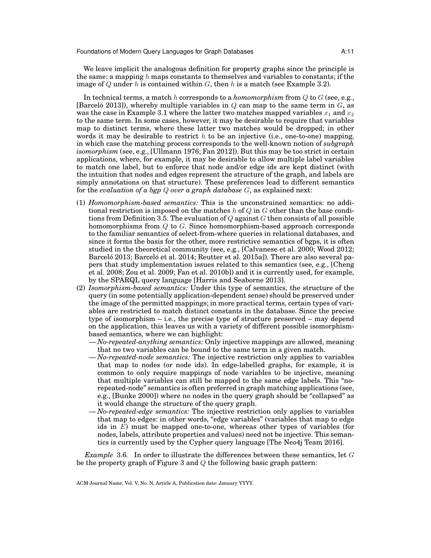We leave implicit the analogous definition for property graphs since the principle is the same: a mapping h maps constants to themselves and variables to constants; if the image of Q under h is contained within  $G$ , then h is a match (see Example [3.2\)](#page-8-1).

In technical terms, a match h corresponds to a *homomorphism* from Q to G (see, e.g., [\[Barceló 2013\]](#page-36-1)), whereby multiple variables in  $Q$  can map to the same term in  $G$ , as was the case in Example [3.1](#page-8-0) where the latter two matches mapped variables  $x_1$  and  $x_2$ to the same term. In some cases, however, it may be desirable to require that variables map to distinct terms, where these latter two matches would be dropped; in other words it may be desirable to restrict  $h$  to be an injective (i.e., one-to-one) mapping, in which case the matching process corresponds to the well-known notion of *subgraph isomorphism* (see, e.g., [\[Ullmann 1976;](#page-40-7) [Fan 2012\]](#page-37-2)). But this may be too strict in certain applications, where, for example, it may be desirable to allow multiple label variables to match one label, but to enforce that node and/or edge ids are kept distinct (with the intuition that nodes and edges represent the structure of the graph, and labels are simply annotations on that structure). These preferences lead to different semantics for the *evaluation of a bgp* Q *over a graph database* G, as explained next:

- (1) *Homomorphism-based semantics:* This is the unconstrained semantics: no additional restriction is imposed on the matches h of  $Q$  in  $G$  other than the base condi-tions from Definition [3.5.](#page-9-2) The evaluation of  $Q$  against  $G$  then consists of all possible homomorphisms from  $Q$  to  $G$ . Since homomorphism-based approach corresponds to the familiar semantics of select-from-where queries in relational databases, and since it forms the basis for the other, more restrictive semantics of bgps, it is often studied in the theoretical community (see, e.g., [\[Calvanese et al. 2000;](#page-37-3) [Wood 2012;](#page-40-3) [Barceló 2013;](#page-36-1) [Barceló et al. 2014;](#page-36-6) [Reutter et al. 2015a\]](#page-39-7)). There are also several papers that study implementation issues related to this semantics (see, e.g., [\[Cheng](#page-37-4) [et al. 2008;](#page-37-4) [Zou et al. 2009;](#page-40-8) [Fan et al. 2010b\]](#page-37-5)) and it is currently used, for example, by the SPARQL query language [\[Harris and Seaborne 2013\]](#page-38-0).
- (2) *Isomorphism-based semantics:* Under this type of semantics, the structure of the query (in some potentially application-dependent sense) should be preserved under the image of the permitted mappings; in more practical terms, certain types of variables are restricted to match distinct constants in the database. Since the precise type of isomorphism – i.e., the precise type of structure preserved – may depend on the application, this leaves us with a variety of different possible isomorphismbased semantics, where we can highlight:
	- *No-repeated-anything semantics:* Only injective mappings are allowed, meaning that no two variables can be bound to the same term in a given match.
	- *No-repeated-node semantics:* The injective restriction only applies to variables that map to nodes (or node ids). In edge-labelled graphs, for example, it is common to only require mappings of node variables to be injective, meaning that multiple variables can still be mapped to the same edge labels. This "norepeated-node" semantics is often preferred in graph matching applications (see, e.g., [\[Bunke 2000\]](#page-37-1)) where no nodes in the query graph should be "collapsed" as it would change the structure of the query graph.
	- *No-repeated-edge semantics:* The injective restriction only applies to variables that map to edges: in other words, "edge variables" (variables that map to edge ids in  $E$ ) must be mapped one-to-one, whereas other types of variables (for nodes, labels, attribute properties and values) need not be injective. This semantics is currently used by the Cypher query language [\[The Neo4j Team 2016\]](#page-40-1).

<span id="page-10-0"></span>*Example* 3.6*.* In order to illustrate the differences between these semantics, let G be the property graph of Figure [3](#page-5-1) and Q the following basic graph pattern: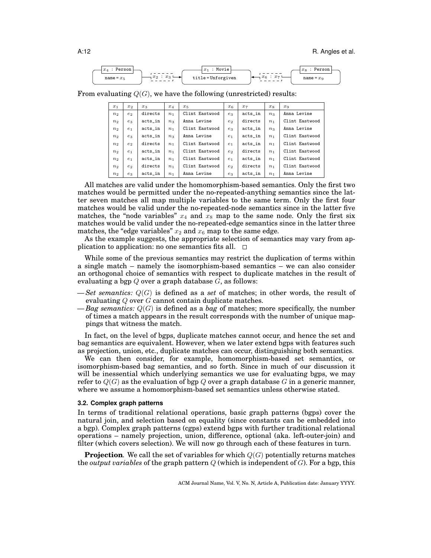A:12 **Reserves and A:12** R. Angles et al.



From evaluating  $Q(G)$ , we have the following (unrestricted) results:

| $x_1$          | $x_2$          | $x_3$   | $x_4$          | $x_{5}$        | $x_6$          | $x_7$   | $x_8$          | $x_{9}$        |
|----------------|----------------|---------|----------------|----------------|----------------|---------|----------------|----------------|
| n <sub>2</sub> | e <sub>2</sub> | directs | n <sub>1</sub> | Clint Eastwood | $e_3$          | acts_in | $n_3$          | Anna Levine    |
| n <sub>2</sub> | $e_3$          | acts in | $n_{3}$        | Anna Levine    | $e_2$          | directs | n <sub>1</sub> | Clint Eastwood |
| n <sub>2</sub> | e <sub>1</sub> | acts_in | n <sub>1</sub> | Clint Eastwood | $e_3$          | acts_in | n <sub>3</sub> | Anna Levine    |
| n <sub>2</sub> | $e_3$          | acts in | $n_3$          | Anna Levine    | e <sub>1</sub> | acts in | n <sub>1</sub> | Clint Eastwood |
| n <sub>2</sub> | e <sub>2</sub> | directs | n <sub>1</sub> | Clint Eastwood | e <sub>1</sub> | acts in | n <sub>1</sub> | Clint Eastwood |
| n <sub>2</sub> | e <sub>1</sub> | acts_in | n <sub>1</sub> | Clint Eastwood | $e_2$          | directs | n <sub>1</sub> | Clint Eastwood |
| n <sub>2</sub> | e <sub>1</sub> | acts in | n <sub>1</sub> | Clint Eastwood | e <sub>1</sub> | acts in | n <sub>1</sub> | Clint Eastwood |
| n <sub>2</sub> | $e_2$          | directs | n <sub>1</sub> | Clint Eastwood | e <sub>2</sub> | directs | $n_{1}$        | Clint Eastwood |
| n <sub>2</sub> | $^{e_3}$       | acts in | n <sub>1</sub> | Anna Levine    | $e_3$          | acts in | n <sub>1</sub> | Anna Levine    |

All matches are valid under the homomorphism-based semantics. Only the first two matches would be permitted under the no-repeated-anything semantics since the latter seven matches all map multiple variables to the same term. Only the first four matches would be valid under the no-repeated-node semantics since in the latter five matches, the "node variables"  $x_4$  and  $x_8$  map to the same node. Only the first six matches would be valid under the no-repeated-edge semantics since in the latter three matches, the "edge variables"  $x_2$  and  $x_6$  map to the same edge.

As the example suggests, the appropriate selection of semantics may vary from application to application: no one semantics fits all.  $\square$ 

While some of the previous semantics may restrict the duplication of terms within a single match – namely the isomorphism-based semantics – we can also consider an orthogonal choice of semantics with respect to duplicate matches in the result of evaluating a bgp  $Q$  over a graph database  $G$ , as follows:

- *Set semantics:* Q(G) is defined as a *set* of matches; in other words, the result of evaluating Q over G cannot contain duplicate matches.
- *Bag semantics:* Q(G) is defined as a *bag* of matches; more specifically, the number of times a match appears in the result corresponds with the number of unique mappings that witness the match.

In fact, on the level of bgps, duplicate matches cannot occur, and hence the set and bag semantics are equivalent. However, when we later extend bgps with features such as projection, union, etc., duplicate matches can occur, distinguishing both semantics.

We can then consider, for example, homomorphism-based set semantics, or isomorphism-based bag semantics, and so forth. Since in much of our discussion it will be inessential which underlying semantics we use for evaluating bgps, we may refer to  $Q(G)$  as the evaluation of bgp Q over a graph database G in a generic manner, where we assume a homomorphism-based set semantics unless otherwise stated.

## **3.2. Complex graph patterns**

In terms of traditional relational operations, basic graph patterns (bgps) cover the natural join, and selection based on equality (since constants can be embedded into a bgp). Complex graph patterns (cgps) extend bgps with further traditional relational operations – namely projection, union, difference, optional (aka. left-outer-join) and filter (which covers selection). We will now go through each of these features in turn.

**Projection**. We call the set of variables for which  $Q(G)$  potentially returns matches the *output variables* of the graph pattern Q (which is independent of G). For a bgp, this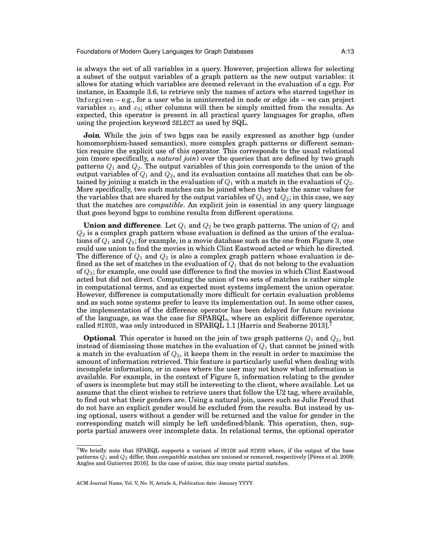is always the set of all variables in a query. However, projection allows for selecting a subset of the output variables of a graph pattern as the new output variables: it allows for stating which variables are deemed relevant in the evaluation of a cgp. For instance, in Example [3.6,](#page-10-0) to retrieve only the names of actors who starred together in Unforgiven – e.g., for a user who is uninterested in node or edge ids – we can project variables  $x_5$  and  $x_9$ ; other columns will then be simply omitted from the results. As expected, this operator is present in all practical query languages for graphs, often using the projection keyword SELECT as used by SQL.

**Join**. While the join of two bgps can be easily expressed as another bgp (under homomorphism-based semantics), more complex graph patterns or different semantics require the explicit use of this operator. This corresponds to the usual relational join (more specifically, a *natural join*) over the queries that are defined by two graph patterns  $Q_1$  and  $Q_2$ . The output variables of this join corresponds to the union of the output variables of  $Q_1$  and  $Q_2$ , and its evaluation contains all matches that can be obtained by joining a match in the evaluation of  $Q_1$  with a match in the evaluation of  $Q_2$ . More specifically, two such matches can be joined when they take the same values for the variables that are shared by the output variables of  $Q_1$  and  $Q_2$ ; in this case, we say that the matches are *compatible*. An explicit join is essential in any query language that goes beyond bgps to combine results from different operations.

**Union and difference***.* Let  $Q_1$  and  $Q_2$  be two graph patterns. The union of  $Q_1$  and  $Q_2$  is a complex graph pattern whose evaluation is defined as the union of the evaluations of  $Q_1$  and  $Q_2$ ; for example, in a movie database such as the one from Figure [3,](#page-5-1) one could use union to find the movies in which Clint Eastwood acted *or* which he directed. The difference of  $Q_1$  and  $Q_2$  is also a complex graph pattern whose evaluation is defined as the set of matches in the evaluation of  $Q_1$  that do not belong to the evaluation of  $Q_2$ ; for example, one could use difference to find the movies in which Clint Eastwood acted but did not direct. Computing the union of two sets of matches is rather simple in computational terms, and as expected most systems implement the union operator. However, difference is computationally more difficult for certain evaluation problems and as such some systems prefer to leave its implementation out. In some other cases, the implementation of the difference operator has been delayed for future revisions of the language, as was the case for SPARQL, where an explicit difference operator, called MINUS, was only introduced in SPARQL 1.1 [\[Harris and Seaborne 2013\]](#page-38-0).<sup>[7](#page-12-0)</sup>

**Optional**. This operator is based on the join of two graph patterns  $Q_1$  and  $Q_2$ , but instead of dismissing those matches in the evaluation of  $Q_1$  that cannot be joined with a match in the evaluation of  $Q_2$ , it keeps them in the result in order to maximise the amount of information retrieved. This feature is particularly useful when dealing with incomplete information, or in cases where the user may not know what information is available. For example, in the context of Figure [5,](#page-6-0) information relating to the gender of users is incomplete but may still be interesting to the client, where available. Let us assume that the client wishes to retrieve users that follow the U2 tag, where available, to find out what their genders are. Using a natural join, users such as Julie Freud that do not have an explicit gender would be excluded from the results. But instead by using optional, users without a gender will be returned and the value for gender in the corresponding match will simply be left undefined/blank. This operation, then, supports partial answers over incomplete data. In relational terms, the optional operator

<span id="page-12-0"></span><sup>7</sup>We briefly note that SPARQL supports a variant of UNION and MINUS where, if the output of the base patterns Q<sup>1</sup> and Q<sup>2</sup> differ, then *compatible* matches are unioned or removed, respectively [\[Pérez et al. 2009;](#page-39-8) [Angles and Gutierrez 2016\]](#page-36-7). In the case of union, this may create partial matches.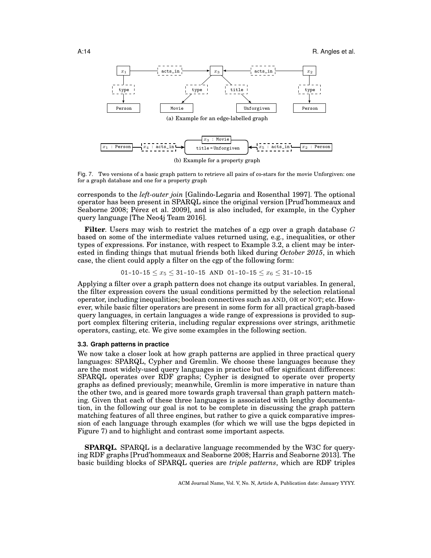<span id="page-13-1"></span>

<span id="page-13-2"></span>

(b) Example for a property graph

<span id="page-13-0"></span>Fig. 7. Two versions of a basic graph pattern to retrieve all pairs of co-stars for the movie Unforgiven: one for a graph database and one for a property graph

corresponds to the *left-outer join* [\[Galindo-Legaria and Rosenthal 1997\]](#page-38-5). The optional operator has been present in SPARQL since the original version [\[Prud'hommeaux and](#page-39-3) [Seaborne 2008;](#page-39-3) [Pérez et al. 2009\]](#page-39-8), and is also included, for example, in the Cypher query language [\[The Neo4j Team 2016\]](#page-40-1).

**Filter***.* Users may wish to restrict the matches of a cgp over a graph database G based on some of the intermediate values returned using, e.g., inequalities, or other types of expressions. For instance, with respect to Example [3.2,](#page-8-1) a client may be interested in finding things that mutual friends both liked during *October 2015*, in which case, the client could apply a filter on the cgp of the following form:

$$
01-10-15 \le x_5 \le 31-10-15 \text{ AND } 01-10-15 \le x_6 \le 31-10-15
$$

Applying a filter over a graph pattern does not change its output variables. In general, the filter expression covers the usual conditions permitted by the selection relational operator, including inequalities; boolean connectives such as AND, OR or NOT; etc. However, while basic filter operators are present in some form for all practical graph-based query languages, in certain languages a wide range of expressions is provided to support complex filtering criteria, including regular expressions over strings, arithmetic operators, casting, etc. We give some examples in the following section.

## **3.3. Graph patterns in practice**

We now take a closer look at how graph patterns are applied in three practical query languages: SPARQL, Cypher and Gremlin. We choose these languages because they are the most widely-used query languages in practice but offer significant differences: SPARQL operates over RDF graphs; Cypher is designed to operate over property graphs as defined previously; meanwhile, Gremlin is more imperative in nature than the other two, and is geared more towards graph traversal than graph pattern matching. Given that each of these three languages is associated with lengthy documentation, in the following our goal is not to be complete in discussing the graph pattern matching features of all three engines, but rather to give a quick comparative impression of each language through examples (for which we will use the bgps depicted in Figure [7\)](#page-13-0) and to highlight and contrast some important aspects.

**SPARQL***.* SPARQL is a declarative language recommended by the W3C for querying RDF graphs [\[Prud'hommeaux and Seaborne 2008;](#page-39-3) [Harris and Seaborne 2013\]](#page-38-0). The basic building blocks of SPARQL queries are *triple patterns*, which are RDF triples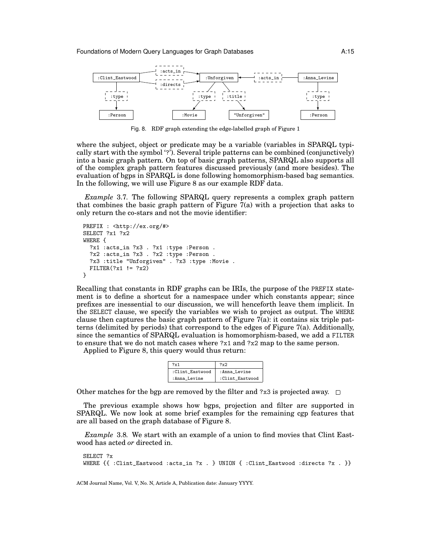Foundations of Modern Query Languages for Graph Databases A:15



<span id="page-14-0"></span>Fig. 8. RDF graph extending the edge-labelled graph of Figure [1](#page-3-0)

where the subject, object or predicate may be a variable (variables in SPARQL typically start with the symbol '?'). Several triple patterns can be combined (conjunctively) into a basic graph pattern. On top of basic graph patterns, SPARQL also supports all of the complex graph pattern features discussed previously (and more besides). The evaluation of bgps in SPARQL is done following homomorphism-based bag semantics. In the following, we will use Figure [8](#page-14-0) as our example RDF data.

*Example* 3.7*.* The following SPARQL query represents a complex graph pattern that combines the basic graph pattern of Figure [7\(a\)](#page-13-1) with a projection that asks to only return the co-stars and not the movie identifier:

```
PREFIX : <http://ex.org/#>
SELECT ?x1 ?x2
WHERE {
  ?x1 :acts_in ?x3 . ?x1 :type :Person .
 ?x2 :acts_in ?x3 . ?x2 :type :Person .
 ?x3 :title "Unforgiven" . ?x3 :type :Movie .
 FILTER(?x1 != ?x2)}
```
Recalling that constants in RDF graphs can be IRIs, the purpose of the PREFIX statement is to define a shortcut for a namespace under which constants appear; since prefixes are inessential to our discussion, we will henceforth leave them implicit. In the SELECT clause, we specify the variables we wish to project as output. The WHERE clause then captures the basic graph pattern of Figure [7\(a\):](#page-13-1) it contains six triple patterns (delimited by periods) that correspond to the edges of Figure [7\(a\).](#page-13-1) Additionally, since the semantics of SPARQL evaluation is homomorphism-based, we add a FILTER to ensure that we do not match cases where ?x1 and ?x2 map to the same person.

Applied to Figure [8,](#page-14-0) this query would thus return:

| 7x1             | ?x?             |
|-----------------|-----------------|
| :Clint_Eastwood | : Anna Levine   |
| : Anna Levine   | :Clint Eastwood |

Other matches for the bgp are removed by the filter and ?x3 is projected away.  $\Box$ 

The previous example shows how bgps, projection and filter are supported in SPARQL. We now look at some brief examples for the remaining cgp features that are all based on the graph database of Figure [8.](#page-14-0)

*Example* 3.8*.* We start with an example of a union to find movies that Clint Eastwood has acted *or* directed in.

SELECT ?x WHERE {{ :Clint\_Eastwood :acts\_in ?x . } UNION { :Clint\_Eastwood :directs ?x . }}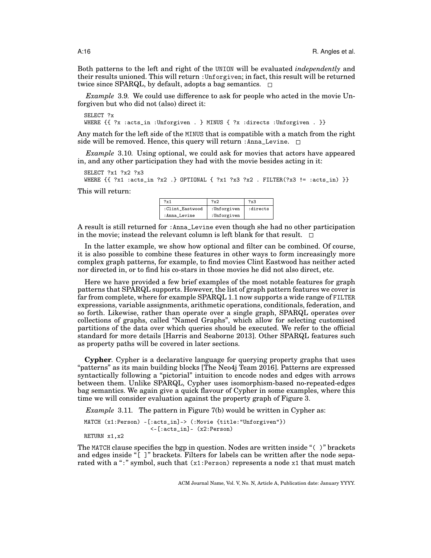Both patterns to the left and right of the UNION will be evaluated *independently* and their results unioned. This will return :Unforgiven; in fact, this result will be returned twice since SPARQL, by default, adopts a bag semantics.  $\Box$ 

*Example* 3.9*.* We could use difference to ask for people who acted in the movie Unforgiven but who did not (also) direct it:

SELECT ?x WHERE {{ ?x :acts\_in :Unforgiven . } MINUS { ?x :directs :Unforgiven . }}

Any match for the left side of the MINUS that is compatible with a match from the right side will be removed. Hence, this query will return : Anna\_Levine.  $\square$ 

*Example* 3.10*.* Using optional, we could ask for movies that actors have appeared in, and any other participation they had with the movie besides acting in it:

SELECT ?x1 ?x2 ?x3

```
WHERE \{\{\ ?x1 \ : \text{acts\_in} \ ?x2 \ .\} \ OPTIONAL \{ \ ?x1 \ ?x3 \ ?x2 \ . \ FILTER(?x3 != \text{acts\_in}) \ )\}
```
This will return:

| ?x1             | ?x2         | ?x3      |
|-----------------|-------------|----------|
| :Clint_Eastwood | :Unforgiven | :directs |
| : Anna_Levine   | :Unforgiven |          |

A result is still returned for :Anna\_Levine even though she had no other participation in the movie; instead the relevant column is left blank for that result.  $\Box$ 

In the latter example, we show how optional and filter can be combined. Of course, it is also possible to combine these features in other ways to form increasingly more complex graph patterns, for example, to find movies Clint Eastwood has neither acted nor directed in, or to find his co-stars in those movies he did not also direct, etc.

Here we have provided a few brief examples of the most notable features for graph patterns that SPARQL supports. However, the list of graph pattern features we cover is far from complete, where for example SPARQL 1.1 now supports a wide range of FILTER expressions, variable assignments, arithmetic operations, conditionals, federation, and so forth. Likewise, rather than operate over a single graph, SPARQL operates over collections of graphs, called "Named Graphs", which allow for selecting customised partitions of the data over which queries should be executed. We refer to the official standard for more details [\[Harris and Seaborne 2013\]](#page-38-0). Other SPARQL features such as property paths will be covered in later sections.

**Cypher***.* Cypher is a declarative language for querying property graphs that uses "patterns" as its main building blocks [\[The Neo4j Team 2016\]](#page-40-1). Patterns are expressed syntactically following a "pictorial" intuition to encode nodes and edges with arrows between them. Unlike SPARQL, Cypher uses isomorphism-based no-repeated-edges bag semantics. We again give a quick flavour of Cypher in some examples, where this time we will consider evaluation against the property graph of Figure [3.](#page-5-1)

<span id="page-15-0"></span>*Example* 3.11. The pattern in Figure [7\(b\)](#page-13-2) would be written in Cypher as:

```
MATCH (x1:Person) -[:acts_in]-> (:Movie {title:"Unforgiven"})
                    <-[:acts_in]- (x2:Person)
RETURN x1,x2
```
The MATCH clause specifies the bgp in question. Nodes are written inside "( )" brackets and edges inside "[ ]" brackets. Filters for labels can be written after the node separated with a ":" symbol, such that (x1:Person) represents a node x1 that must match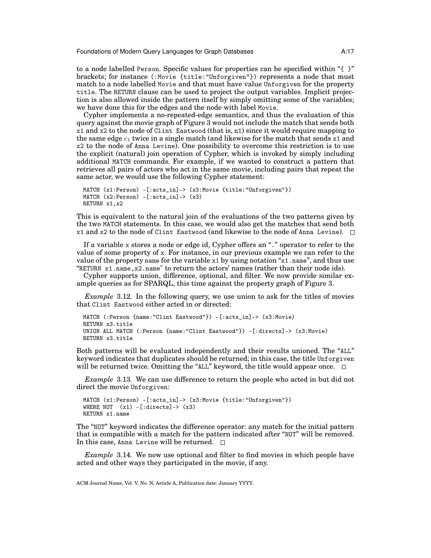Foundations of Modern Query Languages for Graph Databases A:17

to a node labelled Person. Specific values for properties can be specified within "{ }" brackets; for instance (:Movie {title:"Unforgiven"}) represents a node that must match to a node labelled Movie and that must have value Unforgiven for the property title. The RETURN clause can be used to project the output variables. Implicit projection is also allowed inside the pattern itself by simply omitting some of the variables; we have done this for the edges and the node with label Movie.

Cypher implements a no-repeated-edge semantics, and thus the evaluation of this query against the movie graph of Figure [3](#page-5-1) would not include the match that sends both x1 and x2 to the node of Clint Eastwood (that is, n1) since it would require mapping to the same edge  $e_1$  twice in a single match (and likewise for the match that sends  $x_1$  and x2 to the node of Anna Levine). One possibility to overcome this restriction is to use the explicit (natural) join operation of Cypher, which is invoked by simply including additional MATCH commands. For example, if we wanted to construct a pattern that retrieves all pairs of actors who act in the same movie, including pairs that repeat the same actor, we would use the following Cypher statement:

```
MATCH (x1:Person) -[:acts_in]-> (x3:Movie {title:"Unforgiven"})
MATCH (x2:Person) -[:acts_in]-> (x3)
RETURN x1,x2
```
This is equivalent to the natural join of the evaluations of the two patterns given by the two MATCH statements. In this case, we would also get the matches that send both x1 and x2 to the node of Clint Eastwood (and likewise to the node of Anna Levine).  $\Box$ 

If a variable x stores a node or edge id, Cypher offers an "." operator to refer to the value of some property of x. For instance, in our previous example we can refer to the value of the property name for the variable  $x1$  by using notation " $x1$ .name", and thus use "RETURN x1.name,x2.name" to return the actors' names (rather than their node ids).

Cypher supports union, difference, optional, and filter. We now provide similar example queries as for SPARQL, this time against the property graph of Figure [3.](#page-5-1)

*Example* 3.12*.* In the following query, we use union to ask for the titles of movies that Clint Eastwood either acted in or directed:

```
MATCH (:Person {name:"Clint Eastwood"}) -[:acts_in]-> (x3:Movie)
RETURN x3.title
UNION ALL MATCH (:Person {name:"Clint Eastwood"}) -[:directs]-> (x3:Movie)
RETURN x3.title
```
Both patterns will be evaluated independently and their results unioned. The "ALL" keyword indicates that duplicates should be returned; in this case, the title Unforgiven will be returned twice. Omitting the "ALL" keyword, the title would appear once.  $\Box$ 

*Example* 3.13*.* We can use difference to return the people who acted in but did not direct the movie Unforgiven:

```
MATCH (x1:Person) -[:acts_in]-> (x3:Movie {title:"Unforgiven"})
WHERE NOT (x1) -[:directs]-> (x3)RETURN x1.name
```
The "NOT" keyword indicates the difference operator: any match for the initial pattern that is compatible with a match for the pattern indicated after "NOT" will be removed. In this case, Anna Levine will be returned.  $\Box$ 

*Example* 3.14*.* We now use optional and filter to find movies in which people have acted and other ways they participated in the movie, if any.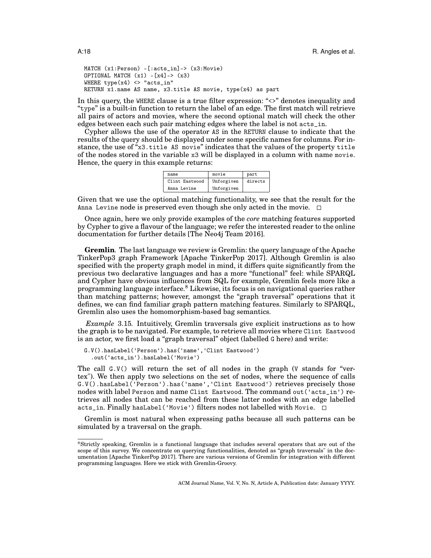```
MATCH (x1:Person) -[:acts_in]-> (x3:Movie)
OPTIONAL MATCH (x1) - [x4] \rightarrow (x3)WHERE type(x4) <> "acts_in"
RETURN x1.name AS name, x3.title AS movie, type(x4) as part
```
In this query, the WHERE clause is a true filter expression: "<>" denotes inequality and "type" is a built-in function to return the label of an edge. The first match will retrieve all pairs of actors and movies, where the second optional match will check the other edges between each such pair matching edges where the label is not acts\_in.

Cypher allows the use of the operator AS in the RETURN clause to indicate that the results of the query should be displayed under some specific names for columns. For instance, the use of "x3.title AS movie" indicates that the values of the property title of the nodes stored in the variable x3 will be displayed in a column with name movie. Hence, the query in this example returns:

| name           | movie      | part    |
|----------------|------------|---------|
| Clint Eastwood | Unforgiven | directs |
| Anna Levine    | Unforgiven |         |

Given that we use the optional matching functionality, we see that the result for the Anna Levine node is preserved even though she only acted in the movie.  $\Box$ 

Once again, here we only provide examples of the *core* matching features supported by Cypher to give a flavour of the language; we refer the interested reader to the online documentation for further details [\[The Neo4j Team 2016\]](#page-40-1).

**Gremlin***.* The last language we review is Gremlin: the query language of the Apache TinkerPop3 graph Framework [\[Apache TinkerPop 2017\]](#page-36-0). Although Gremlin is also specified with the property graph model in mind, it differs quite significantly from the previous two declarative languages and has a more "functional" feel: while SPARQL and Cypher have obvious influences from SQL for example, Gremlin feels more like a programming language interface.[8](#page-17-0) Likewise, its focus is on navigational queries rather than matching patterns; however, amongst the "graph traversal" operations that it defines, we can find familiar graph pattern matching features. Similarly to SPARQL, Gremlin also uses the homomorphism-based bag semantics.

*Example* 3.15*.* Intuitively, Gremlin traversals give explicit instructions as to how the graph is to be navigated. For example, to retrieve all movies where Clint Eastwood is an actor, we first load a "graph traversal" object (labelled G here) and write:

```
G.V().hasLabel('Person').has('name','Clint Eastwood')
  .out('acts_in').hasLabel('Movie')
```
The call  $G.V()$  will return the set of all nodes in the graph (V stands for "vertex"). We then apply two selections on the set of nodes, where the sequence of calls G.V().hasLabel('Person').has('name','Clint Eastwood') retrieves precisely those nodes with label Person and name Clint Eastwood. The command out('acts\_in') retrieves all nodes that can be reached from these latter nodes with an edge labelled acts\_in. Finally hasLabel('Movie') filters nodes not labelled with Movie.  $\Box$ 

Gremlin is most natural when expressing paths because all such patterns can be simulated by a traversal on the graph.

<span id="page-17-1"></span><span id="page-17-0"></span><sup>8</sup>Strictly speaking, Gremlin is a functional language that includes several operators that are out of the scope of this survey. We concentrate on querying functionalities, denoted as "graph traversals" in the documentation [\[Apache TinkerPop 2017\]](#page-36-0). There are various versions of Gremlin for integration with different programming languages. Here we stick with Gremlin-Groovy.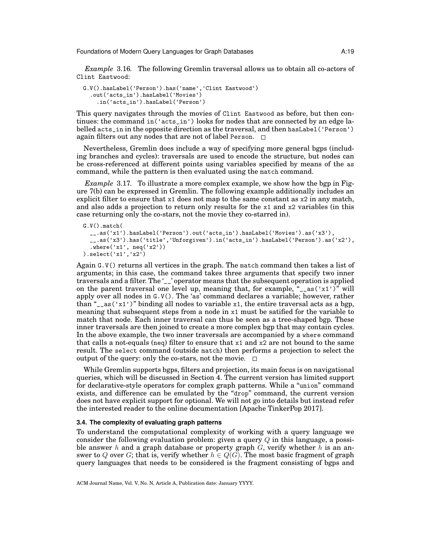Foundations of Modern Query Languages for Graph Databases A:19

*Example* 3.16*.* The following Gremlin traversal allows us to obtain all co-actors of Clint Eastwood:

```
G.V().hasLabel('Person').has('name','Clint Eastwood')
  .out('acts_in').hasLabel('Movies')
    .in('acts_in').hasLabel('Person')
```
This query navigates through the movies of Clint Eastwood as before, but then continues: the command in('acts\_in') looks for nodes that are connected by an edge labelled acts\_in in the opposite direction as the traversal, and then hasLabel('Person') again filters out any nodes that are not of label Person.  $\Box$ 

Nevertheless, Gremlin does include a way of specifying more general bgps (including branches and cycles): traversals are used to encode the structure, but nodes can be cross-referenced at different points using variables specified by means of the as command, while the pattern is then evaluated using the match command.

*Example* 3.17*.* To illustrate a more complex example, we show how the bgp in Figure [7\(b\)](#page-13-2) can be expressed in Gremlin. The following example additionally includes an explicit filter to ensure that  $x_1$  does not map to the same constant as  $x_2$  in any match, and also adds a projection to return only results for the x1 and x2 variables (in this case returning only the co-stars, not the movie they co-starred in).

```
G.V().match(
 __.as('x1').hasLabel('Person').out('acts_in').hasLabel('Movies').as('x3'),
 __.as('x3').has('title','Unforgiven').in('acts_in').hasLabel('Person').as('x2'),
  .where('x1', neq('x2'))
).select('x1','x2')
```
Again G.V() returns all vertices in the graph. The match command then takes a list of arguments; in this case, the command takes three arguments that specify two inner traversals and a filter. The '\_\_' operator means that the subsequent operation is applied on the parent traversal one level up, meaning that, for example, "\_\_as('x1')" will apply over all nodes in G.V(). The 'as' command declares a variable; however, rather than " $\_\text{as}('x1')$ " binding all nodes to variable x1, the entire traversal acts as a bgp, meaning that subsequent steps from a node in x1 must be satified for the variable to match that node. Each inner traversal can thus be seen as a tree-shaped bgp. These inner traversals are then joined to create a more complex bgp that may contain cycles. In the above example, the two inner traversals are accompanied by a where command that calls a not-equals (neq) filter to ensure that  $x1$  and  $x2$  are not bound to the same result. The select command (outside match) then performs a projection to select the output of the query: only the co-stars, not the movie.  $\Box$ 

While Gremlin supports bgps, filters and projection, its main focus is on navigational queries, which will be discussed in Section [4.](#page-19-0) The current version has limited support for declarative-style operators for complex graph patterns. While a "union" command exists, and difference can be emulated by the "drop" command, the current version does not have explicit support for optional. We will not go into details but instead refer the interested reader to the online documentation [\[Apache TinkerPop 2017\]](#page-36-0).

## <span id="page-18-0"></span>**3.4. The complexity of evaluating graph patterns**

To understand the computational complexity of working with a query language we consider the following evaluation problem: given a query  $Q$  in this language, a possible answer h and a graph database or property graph  $G$ , verify whether h is an answer to Q over G; that is, verify whether  $h \in Q(G)$ . The most basic fragment of graph query languages that needs to be considered is the fragment consisting of bgps and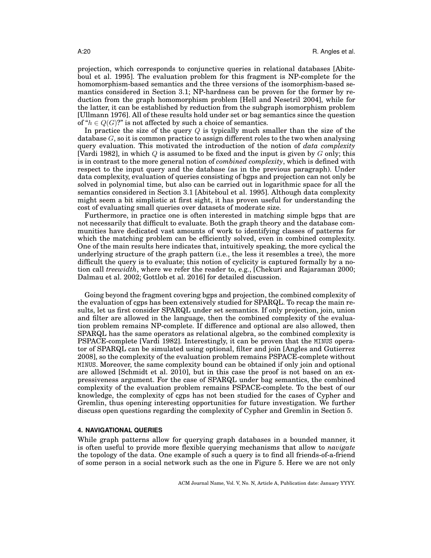projection, which corresponds to conjunctive queries in relational databases [\[Abite](#page-36-5)[boul et al. 1995\]](#page-36-5). The evaluation problem for this fragment is NP-complete for the homomorphism-based semantics and the three versions of the isomorphism-based semantics considered in Section [3.1;](#page-7-3) NP-hardness can be proven for the former by reduction from the graph homomorphism problem [\[Hell and Nesetril 2004\]](#page-38-6), while for the latter, it can be established by reduction from the subgraph isomorphism problem [\[Ullmann 1976\]](#page-40-7). All of these results hold under set or bag semantics since the question of " $h \in Q(G)$ ?" is not affected by such a choice of semantics.

In practice the size of the query  $Q$  is typically much smaller than the size of the database  $G$ , so it is common practice to assign different roles to the two when analysing query evaluation. This motivated the introduction of the notion of *data complexity* [\[Vardi 1982\]](#page-40-9), in which  $Q$  is assumed to be fixed and the input is given by  $G$  only; this is in contrast to the more general notion of *combined complexity*, which is defined with respect to the input query and the database (as in the previous paragraph). Under data complexity, evaluation of queries consisting of bgps and projection can not only be solved in polynomial time, but also can be carried out in logarithmic space for all the semantics considered in Section [3.1](#page-7-3) [\[Abiteboul et al. 1995\]](#page-36-5). Although data complexity might seem a bit simplistic at first sight, it has proven useful for understanding the cost of evaluating small queries over datasets of moderate size.

Furthermore, in practice one is often interested in matching simple bgps that are not necessarily that difficult to evaluate. Both the graph theory and the database communities have dedicated vast amounts of work to identifying classes of patterns for which the matching problem can be efficiently solved, even in combined complexity. One of the main results here indicates that, intuitively speaking, the more cyclical the underlying structure of the graph pattern (i.e., the less it resembles a tree), the more difficult the query is to evaluate; this notion of cyclicity is captured formally by a notion call *treewidth*, where we refer the reader to, e.g., [\[Chekuri and Rajaraman 2000;](#page-37-6) [Dalmau et al. 2002;](#page-37-7) [Gottlob et al. 2016\]](#page-38-7) for detailed discussion.

Going beyond the fragment covering bgps and projection, the combined complexity of the evaluation of cgps has been extensively studied for SPARQL. To recap the main results, let us first consider SPARQL under set semantics. If only projection, join, union and filter are allowed in the language, then the combined complexity of the evaluation problem remains NP-complete. If difference and optional are also allowed, then SPARQL has the same operators as relational algebra, so the combined complexity is PSPACE-complete [\[Vardi 1982\]](#page-40-9). Interestingly, it can be proven that the MINUS operator of SPARQL can be simulated using optional, filter and join [\[Angles and Gutierrez](#page-36-8) [2008\]](#page-36-8), so the complexity of the evaluation problem remains PSPACE-complete without MINUS. Moreover, the same complexity bound can be obtained if only join and optional are allowed [\[Schmidt et al. 2010\]](#page-40-10), but in this case the proof is not based on an expressiveness argument. For the case of SPARQL under bag semantics, the combined complexity of the evaluation problem remains PSPACE-complete. To the best of our knowledge, the complexity of cgps has not been studied for the cases of Cypher and Gremlin, thus opening interesting opportunities for future investigation. We further discuss open questions regarding the complexity of Cypher and Gremlin in Section [5.](#page-31-0)

# <span id="page-19-0"></span>**4. NAVIGATIONAL QUERIES**

While graph patterns allow for querying graph databases in a bounded manner, it is often useful to provide more flexible querying mechanisms that allow to *navigate* the topology of the data. One example of such a query is to find all friends-of-a-friend of some person in a social network such as the one in Figure [5.](#page-6-0) Here we are not only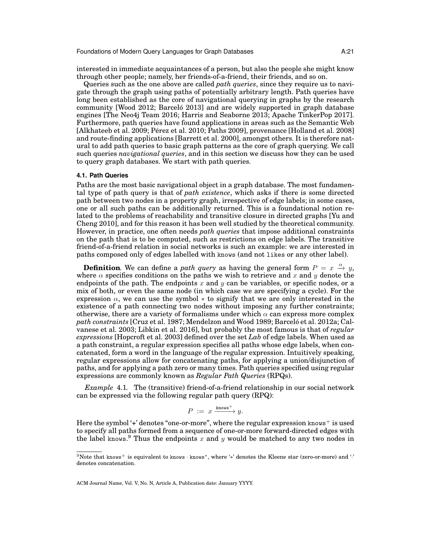### Foundations of Modern Query Languages for Graph Databases A:21

interested in immediate acquaintances of a person, but also the people she might know through other people; namely, her friends-of-a-friend, their friends, and so on.

Queries such as the one above are called *path queries*, since they require us to navigate through the graph using paths of potentially arbitrary length. Path queries have long been established as the core of navigational querying in graphs by the research community [\[Wood 2012;](#page-40-3) [Barceló 2013\]](#page-36-1) and are widely supported in graph database engines [\[The Neo4j Team 2016;](#page-40-1) [Harris and Seaborne 2013;](#page-38-0) [Apache TinkerPop 2017\]](#page-36-0). Furthermore, path queries have found applications in areas such as the Semantic Web [\[Alkhateeb et al. 2009;](#page-36-9) [Pérez et al. 2010;](#page-39-9) [Paths 2009\]](#page-39-10), provenance [\[Holland et al. 2008\]](#page-38-8) and route-finding applications [\[Barrett et al. 2000\]](#page-37-8), amongst others. It is therefore natural to add path queries to basic graph patterns as the core of graph querying. We call such queries *navigational queries*, and in this section we discuss how they can be used to query graph databases. We start with path queries.

## <span id="page-20-2"></span>**4.1. Path Queries**

Paths are the most basic navigational object in a graph database. The most fundamental type of path query is that of *path existence*, which asks if there is some directed path between two nodes in a property graph, irrespective of edge labels; in some cases, one or all such paths can be additionally returned. This is a foundational notion related to the problems of reachability and transitive closure in directed graphs [\[Yu and](#page-40-5) [Cheng 2010\]](#page-40-5), and for this reason it has been well studied by the theoretical community. However, in practice, one often needs *path queries* that impose additional constraints on the path that is to be computed, such as restrictions on edge labels. The transitive friend-of-a-friend relation in social networks is such an example: we are interested in paths composed only of edges labelled with knows (and not likes or any other label).

**Definition**. We can define a *path query* as having the general form  $P = x \stackrel{\alpha}{\rightarrow} y$ , where  $\alpha$  specifies conditions on the paths we wish to retrieve and x and y denote the endpoints of the path. The endpoints x and y can be variables, or specific nodes, or a mix of both, or even the same node (in which case we are specifying a cycle). For the expression  $\alpha$ , we can use the symbol  $*$  to signify that we are only interested in the existence of a path connecting two nodes without imposing any further constraints; otherwise, there are a variety of formalisms under which  $\alpha$  can express more complex *path constraints* [\[Cruz et al. 1987;](#page-37-9) [Mendelzon and Wood 1989;](#page-39-11) [Barceló et al. 2012a;](#page-36-10) [Cal](#page-37-10)[vanese et al. 2003;](#page-37-10) [Libkin et al. 2016\]](#page-39-12), but probably the most famous is that of *regular expressions* [\[Hopcroft et al. 2003\]](#page-38-9) defined over the set *Lab* of edge labels. When used as a path constraint, a regular expression specifies all paths whose edge labels, when concatenated, form a word in the language of the regular expression. Intuitively speaking, regular expressions allow for concatenating paths, for applying a union/disjunction of paths, and for applying a path zero or many times. Path queries specified using regular expressions are commonly known as *Regular Path Queries* (RPQs).

<span id="page-20-1"></span>*Example* 4.1*.* The (transitive) friend-of-a-friend relationship in our social network can be expressed via the following regular path query (RPQ):

$$
P \ := \ x \xrightarrow{\texttt{knows}^+} y.
$$

Here the symbol '+' denotes "one-or-more", where the regular expression knows  $^+$  is used to specify all paths formed from a sequence of one-or-more forward-directed edges with the label knows.<sup>[9](#page-20-0)</sup> Thus the endpoints x and y would be matched to any two nodes in

<span id="page-20-0"></span><sup>&</sup>lt;sup>9</sup>Note that knows<sup>+</sup> is equivalent to knows · knows<sup>\*</sup>, where '\*' denotes the Kleene star (zero-or-more) and '<sup>∙</sup> denotes concatenation.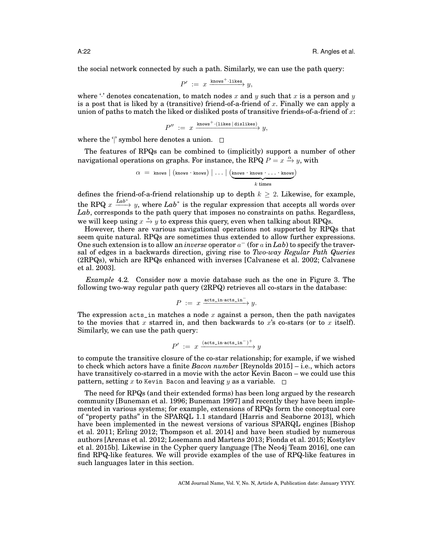the social network connected by such a path. Similarly, we can use the path query:

$$
P' \ := \ x \xrightarrow{\text{knows}^+ \cdot \text{likes}} y,
$$

where " denotes concatenation, to match nodes x and y such that x is a person and y is a post that is liked by a (transitive) friend-of-a-friend of x. Finally we can apply a union of paths to match the liked or disliked posts of transitive friends-of-a-friend of  $x$ :

$$
P'':= x \xrightarrow{\texttt{knows}^+(\texttt{likes} \mid \texttt{dislikes})} y,
$$

where the '|' symbol here denotes a union.  $\square$ 

The features of RPQs can be combined to (implicitly) support a number of other navigational operations on graphs. For instance, the RPQ  $P = x \xrightarrow{\alpha} y$ , with

$$
\alpha = \text{knows} \mid (\text{knows} \cdot \text{knows}) \mid \dots \mid (\text{knows} \cdot \text{knows} \cdot \dots \cdot \text{knows})
$$
\n
$$
k \text{ times}
$$

defines the friend-of-a-friend relationship up to depth  $k \geq 2$ . Likewise, for example, the RPQ  $x \xrightarrow{Lab^*} y$ , where  $Lab^*$  is the regular expression that accepts all words over *Lab*, corresponds to the path query that imposes no constraints on paths. Regardless, we will keep using  $x \stackrel{*}{\rightarrow} y$  to express this query, even when talking about RPQs.

However, there are various navigational operations not supported by RPQs that seem quite natural. RPQs are sometimes thus extended to allow further expressions. One such extension is to allow an *inverse* operator  $a^-$  (for  $a$  in  $Lab$ ) to specify the traversal of edges in a backwards direction, giving rise to *Two-way Regular Path Queries* (2RPQs), which are RPQs enhanced with inverses [\[Calvanese et al. 2002;](#page-37-11) [Calvanese](#page-37-10) [et al. 2003\]](#page-37-10).

<span id="page-21-0"></span>*Example* 4.2*.* Consider now a movie database such as the one in Figure [3.](#page-5-1) The following two-way regular path query (2RPQ) retrieves all co-stars in the database:

$$
P := x \xrightarrow{\texttt{acts_in}\texttt{-acts_in}^-} y.
$$

The expression  $\arctan x$  matches a node x against a person, then the path navigates to the movies that x starred in, and then backwards to x's co-stars (or to x itself). Similarly, we can use the path query:

$$
P' \ := \ x \xrightarrow{\text{(acts_in-acts_in^-)}} y
$$

to compute the transitive closure of the co-star relationship; for example, if we wished to check which actors have a finite *Bacon number* [\[Reynolds 2015\]](#page-39-13) – i.e., which actors have transitively co-starred in a movie with the actor Kevin Bacon – we could use this pattern, setting x to Kevin Bacon and leaving y as a variable.  $\square$ 

The need for RPQs (and their extended forms) has been long argued by the research community [\[Buneman et al. 1996;](#page-37-12) [Buneman 1997\]](#page-37-13) and recently they have been implemented in various systems; for example, extensions of RPQs form the conceptual core of "property paths" in the SPARQL 1.1 standard [\[Harris and Seaborne 2013\]](#page-38-0), which have been implemented in the newest versions of various SPARQL engines [\[Bishop](#page-37-14) [et al. 2011;](#page-37-14) [Erling 2012;](#page-37-0) [Thompson et al. 2014\]](#page-40-0) and have been studied by numerous authors [\[Arenas et al. 2012;](#page-36-11) [Losemann and Martens 2013;](#page-39-14) [Fionda et al. 2015;](#page-37-15) [Kostylev](#page-38-10) [et al. 2015b\]](#page-38-10). Likewise in the Cypher query language [\[The Neo4j Team 2016\]](#page-40-1), one can find RPQ-like features. We will provide examples of the use of RPQ-like features in such languages later in this section.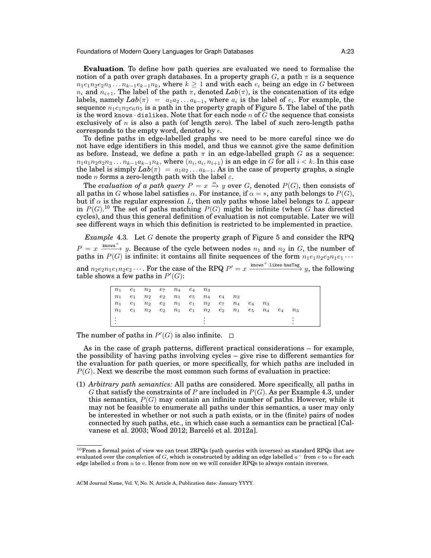Foundations of Modern Query Languages for Graph Databases A:23

**Evaluation***.* To define how path queries are evaluated we need to formalise the notion of a path over graph databases. In a property graph  $G$ , a path  $\pi$  is a sequence  $n_1e_1n_2e_2n_3...n_{k-1}e_{k-1}n_k$ , where  $k \ge 1$  and with each  $e_i$  being an edge in G between  $n_i$  and  $n_{i+1}$ . The label of the path  $\pi$ , denoted  $Lab(\pi)$ , is the concatenation of its edge labels, namely  $Lab(\pi) = a_1 a_2 \ldots a_{k-1}$ , where  $a_i$  is the label of  $e_i$ . For example, the sequence  $n_1e_1n_2e_6n_5$  is a path in the property graph of Figure [5.](#page-6-0) The label of the path is the word knows  $\cdot$  dislikes. Note that for each node n of G the sequence that consists exclusively of n is also a path (of length zero). The label of such zero-length paths corresponds to the empty word, denoted by  $\epsilon$ .

To define paths in edge-labelled graphs we need to be more careful since we do not have edge identifiers in this model, and thus we cannot give the same definition as before. Instead, we define a path  $\pi$  in an edge-labelled graph G as a sequence:  $n_1a_1n_2a_2n_3\dots n_{k-1}a_{k-1}n_k,$  where  $(n_i,a_i,n_{i+1})$  is an edge in  $G$  for all  $i < k.$  In this case the label is simply  $Lab(\pi) = a_1 a_2 \ldots a_{k-1}$ . As in the case of property graphs, a single node *n* forms a zero-length path with the label  $\varepsilon$ .

The *evaluation of a path query*  $P = x \stackrel{\alpha}{\rightarrow} y$  over G, denoted  $P(G)$ , then consists of all paths in G whose label satisfies  $\alpha$ . For instance, if  $\alpha = *$ , any path belongs to  $P(G)$ , but if  $\alpha$  is the regular expression L, then only paths whose label belongs to L appear in  $P(G)$ .<sup>[10](#page-22-0)</sup> The set of paths matching  $P(G)$  might be infinite (when G has directed cycles), and thus this general definition of evaluation is not computable. Later we will see different ways in which this definition is restricted to be implemented in practice.

<span id="page-22-1"></span>*Example* 4.3*.* Let G denote the property graph of Figure [5](#page-6-0) and consider the RPQ

 $P = x \xrightarrow{\text{knows}^+} y$ . Because of the cycle between nodes  $n_1$  and  $n_2$  in G, the number of paths in  $P(G)$  is infinite: it contains all finite sequences of the form  $n_1e_1n_2e_2n_1e_1\cdots$ 

and  $n_2e_2n_1e_1n_2e_2\cdots$  . For the case of the RPQ  $P'=x\xrightarrow{\texttt{knows}^+\cdot\texttt{likes-hasTag}}y,$  the following table shows a few paths in  $P'(G)$ :

|  | $n_1$ $e_1$ $n_2$ $e_7$ $n_4$ $e_4$ $n_3$ |  |                                                                         |       |             |  |       |  |
|--|-------------------------------------------|--|-------------------------------------------------------------------------|-------|-------------|--|-------|--|
|  |                                           |  | $n_1$ $e_1$ $n_2$ $e_2$ $n_1$ $e_5$ $n_4$ $e_4$ $n_3$                   |       |             |  |       |  |
|  |                                           |  | $n_1$ $e_1$ $n_2$ $e_2$ $n_1$ $e_1$ $n_2$ $e_7$                         | $n_4$ | $e_4$ $n_3$ |  |       |  |
|  |                                           |  | $n_1$ $e_1$ $n_2$ $e_2$ $n_1$ $e_1$ $n_2$ $e_2$ $n_1$ $e_5$ $n_4$ $e_4$ |       |             |  | $n_3$ |  |
|  |                                           |  |                                                                         |       |             |  | ٠     |  |
|  |                                           |  |                                                                         |       |             |  | ٠     |  |

The number of paths in  $P'(G)$  is also infinite.

As in the case of graph patterns, different practical considerations – for example, the possibility of having paths involving cycles – give rise to different semantics for the evaluation for path queries, or more specifically, for which paths are included in  $P(G)$ . Next we describe the most common such forms of evaluation in practice:

(1) *Arbitrary path semantics:* All paths are considered. More specifically, all paths in G that satisfy the constraints of P are included in  $P(G)$ . As per Example [4.3,](#page-22-1) under this semantics,  $P(G)$  may contain an infinite number of paths. However, while it may not be feasible to enumerate all paths under this semantics, a user may only be interested in whether or not such a path exists, or in the (finite) pairs of nodes connected by such paths, etc., in which case such a semantics can be practical [\[Cal](#page-37-10)[vanese et al. 2003;](#page-37-10) [Wood 2012;](#page-40-3) [Barceló et al. 2012a\]](#page-36-10).

<span id="page-22-0"></span> $10$ From a formal point of view we can treat 2RPQs (path queries with inverses) as standard RPQs that are evaluated over the *completion* of G, which is constructed by adding an edge labelled a<sup>−</sup> from v to u for each edge labelled a from  $u$  to  $v$ . Hence from now on we will consider RPQs to always contain inverses.

ACM Journal Name, Vol. V, No. N, Article A, Publication date: January YYYY.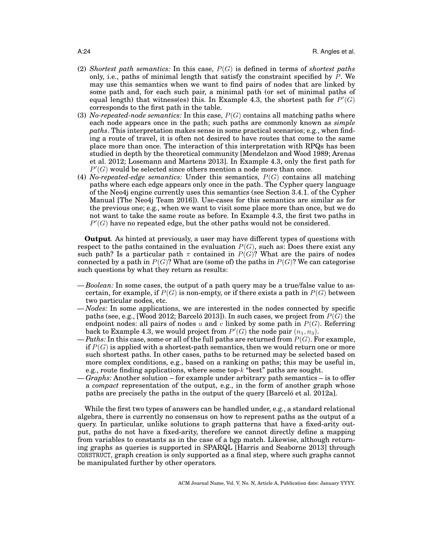- (2) *Shortest path semantics:* In this case, P(G) is defined in terms of *shortest paths* only, i.e., paths of minimal length that satisfy the constraint specified by  $P$ . We may use this semantics when we want to find pairs of nodes that are linked by some path and, for each such pair, a minimal path (or set of minimal paths of equal length) that witness(es) this. In Example [4.3,](#page-22-1) the shortest path for  $P'(G)$ corresponds to the first path in the table.
- (3) *No-repeated-node semantics:* In this case,  $P(G)$  contains all matching paths where each node appears once in the path; such paths are commonly known as *simple paths*. This interpretation makes sense in some practical scenarios; e.g., when finding a route of travel, it is often not desired to have routes that come to the same place more than once. The interaction of this interpretation with RPQs has been studied in depth by the theoretical community [\[Mendelzon and Wood 1989;](#page-39-11) [Arenas](#page-36-11) [et al. 2012;](#page-36-11) [Losemann and Martens 2013\]](#page-39-14). In Example [4.3,](#page-22-1) only the first path for  $P'(G)$  would be selected since others mention a node more than once.
- (4) *No-repeated-edge semantics:* Under this semantics,  $P(G)$  contains all matching paths where each edge appears only once in the path. The Cypher query language of the Neo4j engine currently uses this semantics (see Section 3.4.1. of the Cypher Manual [\[The Neo4j Team 2016\]](#page-40-1)). Use-cases for this semantics are similar as for the previous one; e.g., when we want to visit some place more than once, but we do not want to take the same route as before. In Example [4.3,](#page-22-1) the first two paths in  $P'(G)$  have no repeated edge, but the other paths would not be considered.

**Output***.* As hinted at previously, a user may have different types of questions with respect to the paths contained in the evaluation  $P(G)$ , such as: Does there exist any such path? Is a particular path  $\pi$  contained in  $P(G)$ ? What are the pairs of nodes connected by a path in  $P(G)$ ? What are (some of) the paths in  $P(G)$ ? We can categorise such questions by what they return as results:

- *Boolean:* In some cases, the output of a path query may be a true/false value to ascertain, for example, if  $P(G)$  is non-empty, or if there exists a path in  $P(G)$  between two particular nodes, etc.
- *Nodes:* In some applications, we are interested in the nodes connected by specific paths (see, e.g., [\[Wood 2012;](#page-40-3) Barcelo 2013]). In such cases, we project from  $P(G)$  the endpoint nodes: all pairs of nodes u and v linked by some path in  $P(G)$ . Referring back to Example [4.3,](#page-22-1) we would project from  $P^{\prime}(G)$  the node pair  $(n_1,n_3).$
- *Paths:* In this case, some or all of the full paths are returned from  $P(G)$ . For example, if  $P(G)$  is applied with a shortest-path semantics, then we would return one or more such shortest paths. In other cases, paths to be returned may be selected based on more complex conditions, e.g., based on a ranking on paths; this may be useful in, e.g., route finding applications, where some top- $k$  "best" paths are sought.
- *Graphs:* Another solution for example under arbitrary path semantics is to offer a *compact* representation of the output, e.g., in the form of another graph whose paths are precisely the paths in the output of the query [\[Barceló et al. 2012a\]](#page-36-10).

While the first two types of answers can be handled under, e.g., a standard relational algebra, there is currently no consensus on how to represent paths as the output of a query. In particular, unlike solutions to graph patterns that have a fixed-arity output, paths do not have a fixed-arity, therefore we cannot directly define a mapping from variables to constants as in the case of a bgp match. Likewise, although returning graphs as queries is supported in SPARQL [\[Harris and Seaborne 2013\]](#page-38-0) through CONSTRUCT, graph creation is only supported as a final step, where such graphs cannot be manipulated further by other operators.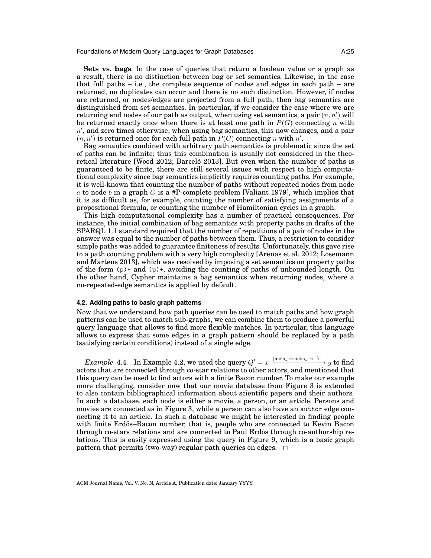**Sets vs. bags***.* In the case of queries that return a boolean value or a graph as a result, there is no distinction between bag or set semantics. Likewise, in the case that full paths – i.e., the complete sequence of nodes and edges in each path – are returned, no duplicates can occur and there is no such distinction. However, if nodes are returned, or nodes/edges are projected from a full path, then bag semantics are distinguished from set semantics. In particular, if we consider the case where we are returning end nodes of our path as output, when using set semantics, a pair  $(n, n')$  will be returned exactly once when there is at least one path in  $P(G)$  connecting n with  $n'$ , and zero times otherwise; when using bag semantics, this now changes, and a pair  $(n, n')$  is returned once for each full path in  $\overline{P}(G)$  connecting n with n'.

Bag semantics combined with arbitrary path semantics is problematic since the set of paths can be infinite; thus this combination is usually not considered in the theoretical literature [\[Wood 2012;](#page-40-3) [Barceló 2013\]](#page-36-1). But even when the number of paths is guaranteed to be finite, there are still several issues with respect to high computational complexity since bag semantics implicitly requires counting paths. For example, it is well-known that counting the number of paths without repeated nodes from node a to node b in a graph G is a #P-complete problem [\[Valiant 1979\]](#page-40-11), which implies that it is as difficult as, for example, counting the number of satisfying assignments of a propositional formula, or counting the number of Hamiltonian cycles in a graph.

This high computational complexity has a number of practical consequences. For instance, the initial combination of bag semantics with property paths in drafts of the SPARQL 1.1 standard required that the number of repetitions of a pair of nodes in the answer was equal to the number of paths between them. Thus, a restriction to consider simple paths was added to guarantee finiteness of results. Unfortunately, this gave rise to a path counting problem with a very high complexity [\[Arenas et al. 2012;](#page-36-11) [Losemann](#page-39-14) [and Martens 2013\]](#page-39-14), which was resolved by imposing a set semantics on property paths of the form  $(p)*$  and  $(p)$ +, avoiding the counting of paths of unbounded length. On the other hand, Cypher maintains a bag semantics when returning nodes, where a no-repeated-edge semantics is applied by default.

## **4.2. Adding paths to basic graph patterns**

Now that we understand how path queries can be used to match paths and how graph patterns can be used to match sub-graphs, we can combine them to produce a powerful query language that allows to find more flexible matches. In particular, this language allows to express that some edges in a graph pattern should be replaced by a path (satisfying certain conditions) instead of a single edge.

<span id="page-24-0"></span> $Example 4.4.$  In Example [4.2,](#page-21-0) we used the query  $Q' = x \xrightarrow{\text{(acts_in-acts_in^-)}} y$  to find actors that are connected through co-star relations to other actors, and mentioned that this query can be used to find actors with a finite Bacon number. To make our example more challenging, consider now that our movie database from Figure [3](#page-5-1) is extended to also contain bibliographical information about scientific papers and their authors. In such a database, each node is either a movie, a person, or an article. Persons and movies are connected as in Figure [3,](#page-5-1) while a person can also have an author edge connecting it to an article. In such a database we might be interested in finding people with finite Erdős–Bacon number, that is, people who are connected to Kevin Bacon through co-stars relations and are connected to Paul Erdős through co-authorship relations. This is easily expressed using the query in Figure [9,](#page-25-0) which is a basic graph pattern that permits (two-way) regular path queries on edges.  $\Box$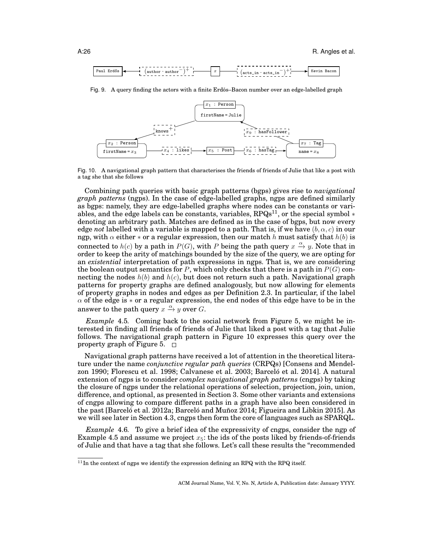

<span id="page-25-0"></span>Fig. 9. A query finding the actors with a finite Erdős–Bacon number over an edge-labelled graph



<span id="page-25-2"></span>Fig. 10. A navigational graph pattern that characterises the friends of friends of Julie that like a post with a tag she that she follows

Combining path queries with basic graph patterns (bgps) gives rise to *navigational graph patterns* (ngps). In the case of edge-labelled graphs, ngps are defined similarly as bgps: namely, they are edge-labelled graphs where nodes can be constants or variables, and the edge labels can be constants, variables,  $RPQs^{11}$  $RPQs^{11}$  $RPQs^{11}$ , or the special symbol  $*$ denoting an arbitrary path. Matches are defined as in the case of bgps, but now every edge *not* labelled with a variable is mapped to a path. That is, if we have  $(b, \alpha, c)$  in our ngp, with  $\alpha$  either  $*$  or a regular expression, then our match h must satisfy that  $h(b)$  is connected to  $h(c)$  by a path in  $P(G)$ , with P being the path query  $x \stackrel{\alpha}{\rightarrow} y$ . Note that in order to keep the arity of matchings bounded by the size of the query, we are opting for an *existential* interpretation of path expressions in ngps. That is, we are considering the boolean output semantics for P, which only checks that there is a path in  $P(G)$  connecting the nodes  $h(b)$  and  $h(c)$ , but does not return such a path. Navigational graph patterns for property graphs are defined analogously, but now allowing for elements of property graphs in nodes and edges as per Definition [2.3.](#page-5-2) In particular, if the label  $\alpha$  of the edge is  $*$  or a regular expression, the end nodes of this edge have to be in the answer to the path query  $x \stackrel{\alpha}{\rightarrow} y$  over G.

<span id="page-25-3"></span>*Example* 4.5*.* Coming back to the social network from Figure [5,](#page-6-0) we might be interested in finding all friends of friends of Julie that liked a post with a tag that Julie follows. The navigational graph pattern in Figure [10](#page-25-2) expresses this query over the property graph of Figure [5.](#page-6-0)  $\Box$ 

Navigational graph patterns have received a lot of attention in the theoretical literature under the name *conjunctive regular path queries* (CRPQs) [\[Consens and Mendel](#page-37-16)[zon 1990;](#page-37-16) [Florescu et al. 1998;](#page-38-11) [Calvanese et al. 2003;](#page-37-10) [Barceló et al. 2014\]](#page-36-6). A natural extension of ngps is to consider *complex navigational graph patterns* (cngps) by taking the closure of ngps under the relational operations of selection, projection, join, union, difference, and optional, as presented in Section [3.](#page-7-0) Some other variants and extensions of cngps allowing to compare different paths in a graph have also been considered in the past [\[Barceló et al. 2012a;](#page-36-10) [Barceló and Muñoz 2014;](#page-36-12) [Figueira and Libkin 2015\]](#page-37-17). As we will see later in Section [4.3,](#page-26-0) cngps then form the core of languages such as SPARQL.

<span id="page-25-4"></span>*Example* 4.6*.* To give a brief idea of the expressivity of cngps, consider the ngp of Example [4.5](#page-25-3) and assume we project  $x_5$ : the ids of the posts liked by friends-of-friends of Julie and that have a tag that she follows. Let's call these results the "recommended

<span id="page-25-1"></span> $11$ In the context of ngps we identify the expression defining an RPQ with the RPQ itself.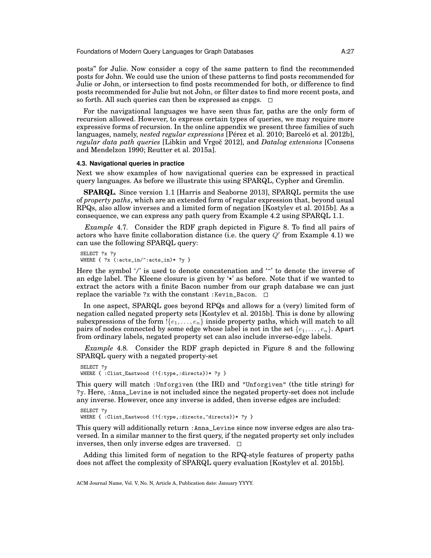Foundations of Modern Query Languages for Graph Databases A:27

posts" for Julie. Now consider a copy of the same pattern to find the recommended posts for John. We could use the union of these patterns to find posts recommended for Julie or John, or intersection to find posts recommended for both, or difference to find posts recommended for Julie but not John, or filter dates to find more recent posts, and so forth. All such queries can then be expressed as cnpgs.  $\Box$ 

For the navigational languages we have seen thus far, paths are the only form of recursion allowed. However, to express certain types of queries, we may require more expressive forms of recursion. In the online appendix we present three families of such languages, namely, *nested regular expressions* [\[Pérez et al. 2010;](#page-39-9) [Barceló et al. 2012b\]](#page-36-13), *regular data path queries* [Libkin and Vrgoč 2012], and *Datalog extensions* [\[Consens](#page-37-16)] [and Mendelzon 1990;](#page-37-16) [Reutter et al. 2015a\]](#page-39-7).

## <span id="page-26-0"></span>**4.3. Navigational queries in practice**

Next we show examples of how navigational queries can be expressed in practical query languages. As before we illustrate this using SPARQL, Cypher and Gremlin.

**SPARQL***.* Since version 1.1 [\[Harris and Seaborne 2013\]](#page-38-0), SPARQL permits the use of *property paths*, which are an extended form of regular expression that, beyond usual RPQs, also allow inverses and a limited form of negation [\[Kostylev et al. 2015b\]](#page-38-10). As a consequence, we can express any path query from Example [4.2](#page-21-0) using SPARQL 1.1.

*Example* 4.7*.* Consider the RDF graph depicted in Figure [8.](#page-14-0) To find all pairs of actors who have finite collaboration distance (i.e. the query  $Q'$  from Example [4.1\)](#page-20-1) we can use the following SPARQL query:

```
SELECT ?x ?y
WHERE { ?x (:acts_in/^:acts_in)* ?y }
```
Here the symbol '/' is used to denote concatenation and '<sup> $\sim$ </sup>' to denote the inverse of an edge label. The Kleene closure is given by '\*' as before. Note that if we wanted to extract the actors with a finite Bacon number from our graph database we can just replace the variable ?x with the constant :Kevin\_Bacon.

In one aspect, SPARQL goes beyond RPQs and allows for a (very) limited form of negation called negated property sets [\[Kostylev et al. 2015b\]](#page-38-10). This is done by allowing subexpressions of the form  $\{e_1, \ldots, e_n\}$  inside property paths, which will match to all pairs of nodes connected by some edge whose label is not in the set  $\{e_1, \ldots, e_n\}$ . Apart from ordinary labels, negated property set can also include inverse-edge labels.

<span id="page-26-1"></span>*Example* 4.8*.* Consider the RDF graph depicted in Figure [8](#page-14-0) and the following SPARQL query with a negated property-set

SELECT ?y WHERE { : Clint\_Eastwood (! {: type, : directs})\* ?y }

This query will match :Unforgiven (the IRI) and "Unforgiven" (the title string) for ?y. Here, :Anna\_Levine is not included since the negated property-set does not include any inverse. However, once any inverse is added, then inverse edges are included:

SELECT ?y WHERE { :Clint\_Eastwood (!{:type,:directs,^directs})\* ?y }

This query will additionally return : Anna\_Levine since now inverse edges are also traversed. In a similar manner to the first query, if the negated property set only includes inverses, then only inverse edges are traversed.  $\square$ 

Adding this limited form of negation to the RPQ-style features of property paths does not affect the complexity of SPARQL query evaluation [\[Kostylev et al. 2015b\]](#page-38-10).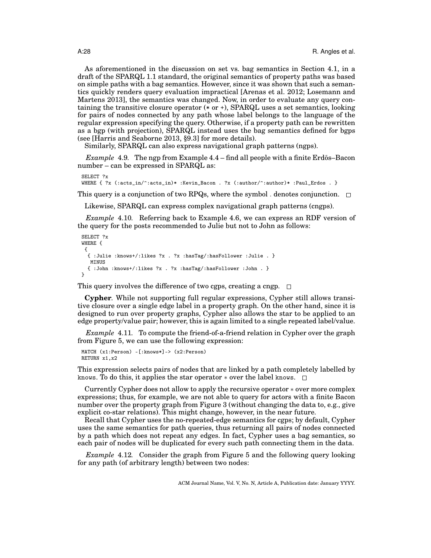As aforementioned in the discussion on set vs. bag semantics in Section [4.1,](#page-20-2) in a draft of the SPARQL 1.1 standard, the original semantics of property paths was based on simple paths with a bag semantics. However, since it was shown that such a semantics quickly renders query evaluation impractical [\[Arenas et al. 2012;](#page-36-11) [Losemann and](#page-39-14) [Martens 2013\]](#page-39-14), the semantics was changed. Now, in order to evaluate any query containing the transitive closure operator (\* or +), SPARQL uses a set semantics, looking for pairs of nodes connected by any path whose label belongs to the language of the regular expression specifying the query. Otherwise, if a property path can be rewritten as a bgp (with projection), SPARQL instead uses the bag semantics defined for bgps (see [\[Harris and Seaborne 2013,](#page-38-0) §9.3] for more details).

Similarly, SPARQL can also express navigational graph patterns (ngps).

*Example* 4.9. The ngp from Example [4.4](#page-24-0) – find all people with a finite Erdős–Bacon number – can be expressed in SPARQL as:

```
SELECT ?x
WHERE { ?x (:acts_in/^:acts_in)* :Kevin_Bacon . ?x (:author/^:author)* :Paul_Erdos . }
```
This query is a conjunction of two RPQs, where the symbol . denotes conjunction.  $\Box$ 

Likewise, SPARQL can express complex navigational graph patterns (cngps).

*Example* 4.10*.* Referring back to Example [4.6,](#page-25-4) we can express an RDF version of the query for the posts recommended to Julie but not to John as follows:

```
SELECT ?x
WHERE {
 {
 { :Julie :knows+/:likes ?x . ?x :hasTag/:hasFollower :Julie . }
  MINUS
 { :John :knows+/:likes ?x . ?x :hasTag/:hasFollower :John . }
}
```
This query involves the difference of two cgps, creating a cngp.  $\Box$ 

**Cypher***.* While not supporting full regular expressions, Cypher still allows transitive closure over a single edge label in a property graph. On the other hand, since it is designed to run over property graphs, Cypher also allows the star to be applied to an edge property/value pair; however, this is again limited to a single repeated label/value.

<span id="page-27-0"></span>*Example* 4.11*.* To compute the friend-of-a-friend relation in Cypher over the graph from Figure [5,](#page-6-0) we can use the following expression:

```
MATCH (x1:Person) -[:knows*]-> (x2:Person)
RETURN x1, x2
```
This expression selects pairs of nodes that are linked by a path completely labelled by knows. To do this, it applies the star operator  $*$  over the label knows.  $\Box$ 

Currently Cypher does not allow to apply the recursive operator ∗ over more complex expressions; thus, for example, we are not able to query for actors with a finite Bacon number over the property graph from Figure [3](#page-5-1) (without changing the data to, e.g., give explicit co-star relations). This might change, however, in the near future.

Recall that Cypher uses the no-repeated-edge semantics for cgps; by default, Cypher uses the same semantics for path queries, thus returning all pairs of nodes connected by a path which does not repeat any edges. In fact, Cypher uses a bag semantics, so each pair of nodes will be duplicated for every such path connecting them in the data.

*Example* 4.12*.* Consider the graph from Figure [5](#page-6-0) and the following query looking for any path (of arbitrary length) between two nodes: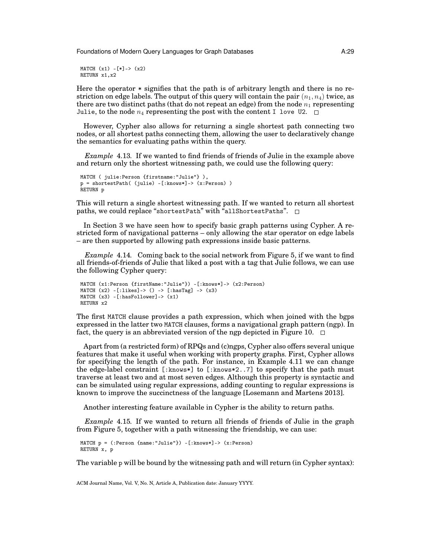Foundations of Modern Query Languages for Graph Databases A:29

MATCH  $(x1) - [ * ] \rightarrow (x2)$ RETURN x1,x2

Here the operator  $*$  signifies that the path is of arbitrary length and there is no restriction on edge labels. The output of this query will contain the pair  $(n_1, n_4)$  twice, as there are two distinct paths (that do not repeat an edge) from the node  $n_1$  representing Julie, to the node  $n_4$  representing the post with the content I love U2.  $\Box$ 

However, Cypher also allows for returning a single shortest path connecting two nodes, or all shortest paths connecting them, allowing the user to declaratively change the semantics for evaluating paths within the query.

*Example* 4.13*.* If we wanted to find friends of friends of Julie in the example above and return only the shortest witnessing path, we could use the following query:

```
MATCH ( julie:Person {firstname:"Julie"} ),
p = shortestPath( (julie) -[:knows*]-> (x:Person) )
RETURN p
```
This will return a single shortest witnessing path. If we wanted to return all shortest paths, we could replace "shortestPath" with "allShortestPaths".  $\Box$ 

In Section [3](#page-7-0) we have seen how to specify basic graph patterns using Cypher. A restricted form of navigational patterns – only allowing the star operator on edge labels – are then supported by allowing path expressions inside basic patterns.

*Example* 4.14*.* Coming back to the social network from Figure [5,](#page-6-0) if we want to find all friends-of-friends of Julie that liked a post with a tag that Julie follows, we can use the following Cypher query:

```
MATCH (x1:Person {firstName:"Julie"}) -[:knows*]-> (x2:Person)
MATCH (x2) -[:likes]-> () -> [:hasTag] -> (x3)MATCH (x3) -[:hasFollower]-> (x1)
RETURN x2
```
The first MATCH clause provides a path expression, which when joined with the bgps expressed in the latter two MATCH clauses, forms a navigational graph pattern (ngp). In fact, the query is an abbreviated version of the ngp depicted in Figure [10.](#page-25-2)  $\Box$ 

Apart from (a restricted form) of RPQs and (c)ngps, Cypher also offers several unique features that make it useful when working with property graphs. First, Cypher allows for specifying the length of the path. For instance, in Example [4.11](#page-27-0) we can change the edge-label constraint [:knows\*] to [:knows\*2..7] to specify that the path must traverse at least two and at most seven edges. Although this property is syntactic and can be simulated using regular expressions, adding counting to regular expressions is known to improve the succinctness of the language [\[Losemann and Martens 2013\]](#page-39-14).

Another interesting feature available in Cypher is the ability to return paths.

*Example* 4.15*.* If we wanted to return all friends of friends of Julie in the graph from Figure [5,](#page-6-0) together with a path witnessing the friendship, we can use:

MATCH p = (:Person {name:"Julie"}) -[:knows\*]-> (x:Person) RETURN<sub>x</sub>, p

The variable p will be bound by the witnessing path and will return (in Cypher syntax):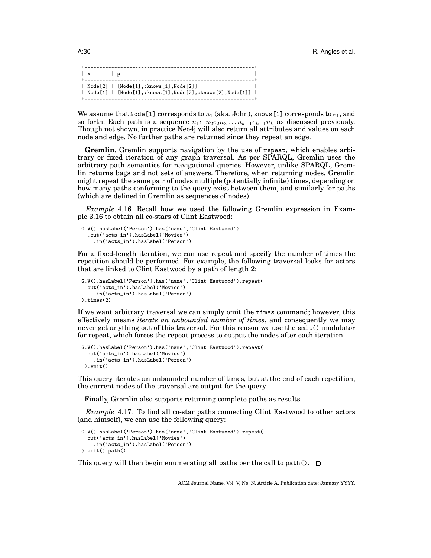| $\begin{array}{ccc} \n\begin{array}{ccc} x & & \n\end{array} & \n\end{array}$ |                                                         |
|-------------------------------------------------------------------------------|---------------------------------------------------------|
|                                                                               | Node[1]   [Node[1],:knows[1],Node[2],:knows[2],Node[1]] |

We assume that Node [1] corresponds to  $n_1$  (aka. John), knows [1] corresponds to  $e_1$ , and so forth. Each path is a sequence  $n_1e_1n_2e_2n_3 \ldots n_{k-1}e_{k-1}n_k$  as discussed previously. Though not shown, in practice Neo4j will also return all attributes and values on each node and edge. No further paths are returned since they repeat an edge.  $\square$ 

**Gremlin***.* Gremlin supports navigation by the use of repeat, which enables arbitrary or fixed iteration of any graph traversal. As per SPARQL, Gremlin uses the arbitrary path semantics for navigational queries. However, unlike SPARQL, Gremlin returns bags and not sets of answers. Therefore, when returning nodes, Gremlin might repeat the same pair of nodes multiple (potentially infinite) times, depending on how many paths conforming to the query exist between them, and similarly for paths (which are defined in Gremlin as sequences of nodes).

*Example* 4.16*.* Recall how we used the following Gremlin expression in Example [3.16](#page-17-1) to obtain all co-stars of Clint Eastwood:

```
G.V().hasLabel('Person').has('name','Clint Eastwood')
  .out('acts_in').hasLabel('Movies')
    .in('acts_in').hasLabel('Person')
```
For a fixed-length iteration, we can use repeat and specify the number of times the repetition should be performed. For example, the following traversal looks for actors that are linked to Clint Eastwood by a path of length 2:

```
G.V().hasLabel('Person').has('name','Clint Eastwood').repeat(
  out('acts_in').hasLabel('Movies')
    .in('acts_in').hasLabel('Person')
).times(2)
```
If we want arbitrary traversal we can simply omit the times command; however, this effectively means *iterate an unbounded number of times*, and consequently we may never get anything out of this traversal. For this reason we use the emit() modulator for repeat, which forces the repeat process to output the nodes after each iteration.

```
G.V().hasLabel('Person').has('name','Clint Eastwood').repeat(
 out('acts_in').hasLabel('Movies')
    .in('acts_in').hasLabel('Person')
 ).emit()
```
This query iterates an unbounded number of times, but at the end of each repetition, the current nodes of the traversal are output for the query.  $\Box$ 

Finally, Gremlin also supports returning complete paths as results.

*Example* 4.17*.* To find all co-star paths connecting Clint Eastwood to other actors (and himself), we can use the following query:

```
G.V().hasLabel('Person').has('name','Clint Eastwood').repeat(
 out('acts_in').hasLabel('Movies')
    .in('acts_in').hasLabel('Person')
).emit().path()
```
This query will then begin enumerating all paths per the call to path().  $\square$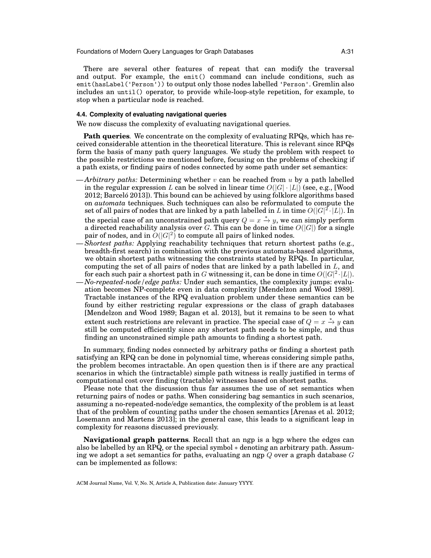There are several other features of repeat that can modify the traversal and output. For example, the emit() command can include conditions, such as emit(hasLabel('Person')) to output only those nodes labelled 'Person'. Gremlin also includes an until() operator, to provide while-loop-style repetition, for example, to stop when a particular node is reached.

## **4.4. Complexity of evaluating navigational queries**

We now discuss the complexity of evaluating navigational queries.

**Path queries***.* We concentrate on the complexity of evaluating RPQs, which has received considerable attention in the theoretical literature. This is relevant since RPQs form the basis of many path query languages. We study the problem with respect to the possible restrictions we mentioned before, focusing on the problems of checking if a path exists, or finding pairs of nodes connected by some path under set semantics:

- $-Arbitrary paths: Determining whether v can be reached from u by a path labelled$ in the regular expression L can be solved in linear time  $O(|G| \cdot |L|)$  (see, e.g., [\[Wood](#page-40-3) [2012;](#page-40-3) [Barceló 2013\]](#page-36-1)). This bound can be achieved by using folklore algorithms based on *automata* techniques. Such techniques can also be reformulated to compute the set of all pairs of nodes that are linked by a path labelled in  $L$  in time  $O(|G|^2\cdot|L|).$  In the special case of an unconstrained path query  $Q = x \stackrel{*}{\rightarrow} y$ , we can simply perform a directed reachability analysis over G. This can be done in time  $O(|G|)$  for a single pair of nodes, and in  $O(|G|^2)$  to compute all pairs of linked nodes.
- *Shortest paths:* Applying reachability techniques that return shortest paths (e.g., breadth-first search) in combination with the previous automata-based algorithms, we obtain shortest paths witnessing the constraints stated by RPQs. In particular, computing the set of all pairs of nodes that are linked by a path labelled in L, and for each such pair a shortest path in G witnessing it, can be done in time  $O(|G|^2 \cdot |L|)$ .
- *No-repeated-node/edge paths:* Under such semantics, the complexity jumps: evaluation becomes NP-complete even in data complexity [\[Mendelzon and Wood 1989\]](#page-39-11). Tractable instances of the RPQ evaluation problem under these semantics can be found by either restricting regular expressions or the class of graph databases [\[Mendelzon and Wood 1989;](#page-39-11) [Bagan et al. 2013\]](#page-36-14), but it remains to be seen to what extent such restrictions are relevant in practice. The special case of  $Q = x \stackrel{*}{\rightarrow} y$  can still be computed efficiently since any shortest path needs to be simple, and thus finding an unconstrained simple path amounts to finding a shortest path.

In summary, finding nodes connected by arbitrary paths or finding a shortest path satisfying an RPQ can be done in polynomial time, whereas considering simple paths, the problem becomes intractable. An open question then is if there are any practical scenarios in which the (intractable) simple path witness is really justified in terms of computational cost over finding (tractable) witnesses based on shortest paths.

Please note that the discussion thus far assumes the use of set semantics when returning pairs of nodes or paths. When considering bag semantics in such scenarios, assuming a no-repeated-node/edge semantics, the complexity of the problem is at least that of the problem of counting paths under the chosen semantics [\[Arenas et al. 2012;](#page-36-11) [Losemann and Martens 2013\]](#page-39-14); in the general case, this leads to a significant leap in complexity for reasons discussed previously.

**Navigational graph patterns***.* Recall that an ngp is a bgp where the edges can also be labelled by an RPQ, or the special symbol ∗ denoting an arbitrary path. Assuming we adopt a set semantics for paths, evaluating an ngp  $Q$  over a graph database  $G$ can be implemented as follows:

ACM Journal Name, Vol. V, No. N, Article A, Publication date: January YYYY.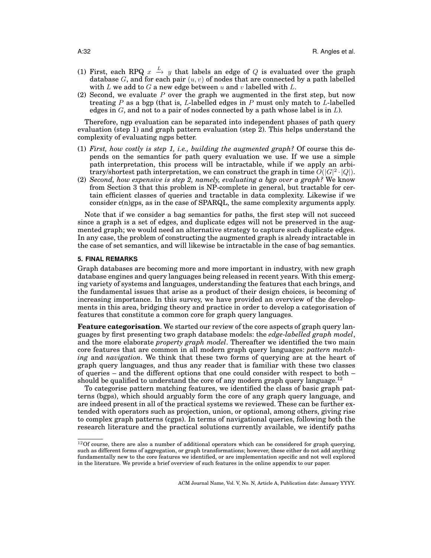- (1) First, each RPQ  $x \stackrel{L}{\rightarrow} y$  that labels an edge of Q is evaluated over the graph database G, and for each pair  $(u, v)$  of nodes that are connected by a path labelled with  $L$  we add to  $G$  a new edge between  $u$  and  $v$  labelled with  $L$ .
- (2) Second, we evaluate P over the graph we augmented in the first step, but now treating P as a bgp (that is, L-labelled edges in P must only match to L-labelled edges in  $G$ , and not to a pair of nodes connected by a path whose label is in  $L$ ).

Therefore, ngp evaluation can be separated into independent phases of path query evaluation (step 1) and graph pattern evaluation (step 2). This helps understand the complexity of evaluating ngps better.

- (1) *First, how costly is step 1, i.e., building the augmented graph?* Of course this depends on the semantics for path query evaluation we use. If we use a simple path interpretation, this process will be intractable, while if we apply an arbitrary/shortest path interpretation, we can construct the graph in time  $O(|G|^2 \cdot |Q|)$ .
- (2) *Second, how expensive is step 2, namely, evaluating a bgp over a graph?* We know from Section [3](#page-7-0) that this problem is NP-complete in general, but tractable for certain efficient classes of queries and tractable in data complexity. Likewise if we consider c(n)gps, as in the case of SPARQL, the same complexity arguments apply.

Note that if we consider a bag semantics for paths, the first step will not succeed since a graph is a set of edges, and duplicate edges will not be preserved in the augmented graph; we would need an alternative strategy to capture such duplicate edges. In any case, the problem of constructing the augmented graph is already intractable in the case of set semantics, and will likewise be intractable in the case of bag semantics.

## <span id="page-31-0"></span>**5. FINAL REMARKS**

Graph databases are becoming more and more important in industry, with new graph database engines and query languages being released in recent years. With this emerging variety of systems and languages, understanding the features that each brings, and the fundamental issues that arise as a product of their design choices, is becoming of increasing importance. In this survey, we have provided an overview of the developments in this area, bridging theory and practice in order to develop a categorisation of features that constitute a common core for graph query languages.

**Feature categorisation**. We started our review of the core aspects of graph query languages by first presenting two graph database models: the *edge-labelled graph model*, and the more elaborate *property graph model*. Thereafter we identified the two main core features that are common in all modern graph query languages: *pattern matching* and *navigation*. We think that these two forms of querying are at the heart of graph query languages, and thus any reader that is familiar with these two classes of queries – and the different options that one could consider with respect to both – should be qualified to understand the core of any modern graph query language.<sup>[12](#page-31-1)</sup>

To categorise pattern matching features, we identified the class of basic graph patterns (bgps), which should arguably form the core of any graph query language, and are indeed present in all of the practical systems we reviewed. These can be further extended with operators such as projection, union, or optional, among others, giving rise to complex graph patterns (cgps). In terms of navigational queries, following both the research literature and the practical solutions currently available, we identify paths

<span id="page-31-1"></span> $12$ Of course, there are also a number of additional operators which can be considered for graph querying, such as different forms of aggregation, or graph transformations; however, these either do not add anything fundamentally new to the core features we identified, or are implementation specific and not well explored in the literature. We provide a brief overview of such features in the online appendix to our paper.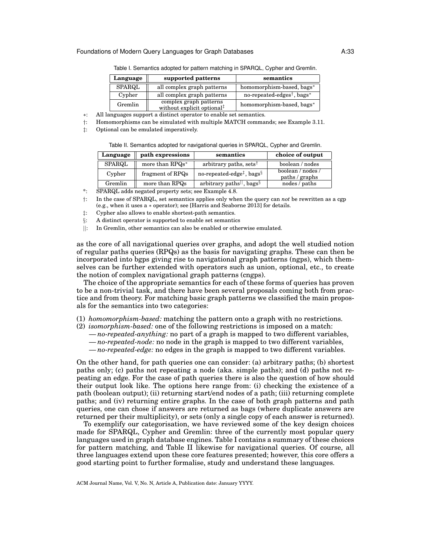<span id="page-32-0"></span>Table I. Semantics adopted for pattern matching in SPARQL, Cypher and Gremlin.

| Language | supported patterns                                               | semantics                                                             |
|----------|------------------------------------------------------------------|-----------------------------------------------------------------------|
| SPARQL   | all complex graph patterns                                       | homomorphism-based, bags*                                             |
| Cypher   | all complex graph patterns                                       | no-repeated-edges <sup><math>\dagger</math></sup> , bags <sup>*</sup> |
| Gremlin  | complex graph patterns<br>without explicit optional <sup>‡</sup> | homomorphism-based, bags*                                             |

∗: All languages support a distinct operator to enable set semantics.

†: Homomorphisms can be simulated with multiple MATCH commands; see Example [3.11.](#page-15-0)

‡: Optional can be emulated imperatively.

<span id="page-32-1"></span>Table II. Semantics adopted for navigational queries in SPARQL, Cypher and Gremlin.

| Language | path expressions   | semantics                                                      | choice of output                    |
|----------|--------------------|----------------------------------------------------------------|-------------------------------------|
| SPARQL   | more than $RPQs^*$ | arbitrary paths, sets <sup>†</sup>                             | boolean / nodes                     |
| Cypher   | fragment of RPQs   | no-repeated-edge <sup><math>‡</math></sup> , bags <sup>§</sup> | boolean / nodes /<br>paths / graphs |
| Gremlin  | more than RPQs     | arbitrary paths <sup><math>  </math></sup> , bags <sup>§</sup> | nodes / paths                       |

\*: SPARQL adds negated property sets; see Example [4.8.](#page-26-1)

- †: In the case of SPARQL, set semantics applies only when the query can *not* be rewritten as a cgp (e.g., when it uses a ∗ operator); see [\[Harris and Seaborne 2013\]](#page-38-0) for details.
- ‡: Cypher also allows to enable shortest-path semantics.
- §: A distinct operator is supported to enable set semantics
- ||: In Gremlin, other semantics can also be enabled or otherwise emulated.

as the core of all navigational queries over graphs, and adopt the well studied notion of regular paths queries (RPQs) as the basis for navigating graphs. These can then be incorporated into bgps giving rise to navigational graph patterns (ngps), which themselves can be further extended with operators such as union, optional, etc., to create the notion of complex navigational graph patterns (cngps).

The choice of the appropriate semantics for each of these forms of queries has proven to be a non-trivial task, and there have been several proposals coming both from practice and from theory. For matching basic graph patterns we classified the main proposals for the semantics into two categories:

- (1) *homomorphism-based:* matching the pattern onto a graph with no restrictions.
- (2) *isomorphism-based:* one of the following restrictions is imposed on a match:
	- *no-repeated-anything:* no part of a graph is mapped to two different variables,
	- *no-repeated-node:* no node in the graph is mapped to two different variables,
	- *no-repeated-edge:* no edges in the graph is mapped to two different variables.

On the other hand, for path queries one can consider: (a) arbitrary paths; (b) shortest paths only; (c) paths not repeating a node (aka. simple paths); and (d) paths not repeating an edge. For the case of path queries there is also the question of how should their output look like. The options here range from: (i) checking the existence of a path (boolean output); (ii) returning start/end nodes of a path; (iii) returning complete paths; and (iv) returning entire graphs. In the case of both graph patterns and path queries, one can chose if answers are returned as bags (where duplicate answers are returned per their multiplicity), or sets (only a single copy of each answer is returned).

To exemplify our categorisation, we have reviewed some of the key design choices made for SPARQL, Cypher and Gremlin: three of the currently most popular query languages used in graph database engines. Table [I](#page-32-0) contains a summary of these choices for pattern matching, and Table [II](#page-32-1) likewise for navigational queries. Of course, all three languages extend upon these core features presented; however, this core offers a good starting point to further formalise, study and understand these languages.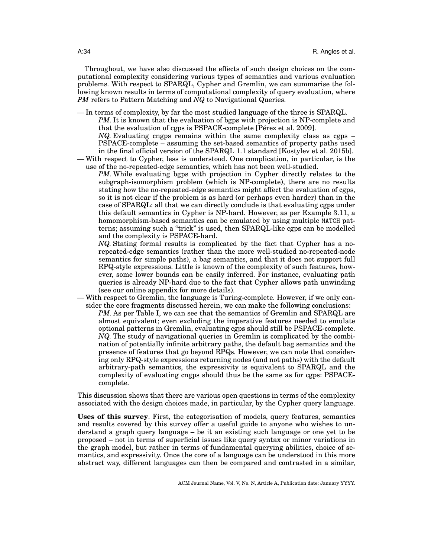Throughout, we have also discussed the effects of such design choices on the computational complexity considering various types of semantics and various evaluation problems. With respect to SPARQL, Cypher and Gremlin, we can summarise the following known results in terms of computational complexity of query evaluation, where *PM* refers to Pattern Matching and *NQ* to Navigational Queries.

— In terms of complexity, by far the most studied language of the three is SPARQL.

*PM.* It is known that the evaluation of bgps with projection is NP-complete and that the evaluation of cgps is PSPACE-complete [\[Pérez et al. 2009\]](#page-39-8).

*NQ.* Evaluating cngps remains within the same complexity class as cgps – PSPACE-complete – assuming the set-based semantics of property paths used in the final official version of the SPARQL 1.1 standard [\[Kostylev et al. 2015b\]](#page-38-10).

— With respect to Cypher, less is understood. One complication, in particular, is the use of the no-repeated-edge semantics, which has not been well-studied.

*PM*. While evaluating bgps with projection in Cypher directly relates to the subgraph-isomorphism problem (which is NP-complete), there are no results stating how the no-repeated-edge semantics might affect the evaluation of cgps, so it is not clear if the problem is as hard (or perhaps even harder) than in the case of SPARQL: all that we can directly conclude is that evaluating cgps under this default semantics in Cypher is NP-hard. However, as per Example [3.11,](#page-15-0) a homomorphism-based semantics can be emulated by using multiple MATCH patterns; assuming such a "trick" is used, then SPARQL-like cgps can be modelled and the complexity is PSPACE-hard.

*NQ.* Stating formal results is complicated by the fact that Cypher has a norepeated-edge semantics (rather than the more well-studied no-repeated-node semantics for simple paths), a bag semantics, and that it does not support full RPQ-style expressions. Little is known of the complexity of such features, however, some lower bounds can be easily inferred. For instance, evaluating path queries is already NP-hard due to the fact that Cypher allows path unwinding (see our online appendix for more details).

- With respect to Gremlin, the language is Turing-complete. However, if we only consider the core fragments discussed herein, we can make the following conclusions:
	- *PM.* As per Table [I,](#page-32-0) we can see that the semantics of Gremlin and SPARQL are almost equivalent; even excluding the imperative features needed to emulate optional patterns in Gremlin, evaluating cgps should still be PSPACE-complete. *NQ.* The study of navigational queries in Gremlin is complicated by the combination of potentially infinite arbitrary paths, the default bag semantics and the presence of features that go beyond RPQs. However, we can note that considering only RPQ-style expressions returning nodes (and not paths) with the default arbitrary-path semantics, the expressivity is equivalent to SPARQL and the complexity of evaluating cngps should thus be the same as for cgps: PSPACEcomplete.

This discussion shows that there are various open questions in terms of the complexity associated with the design choices made, in particular, by the Cypher query language.

**Uses of this survey**. First, the categorisation of models, query features, semantics and results covered by this survey offer a useful guide to anyone who wishes to understand a graph query language – be it an existing such language or one yet to be proposed – not in terms of superficial issues like query syntax or minor variations in the graph model, but rather in terms of fundamental querying abilities, choice of semantics, and expressivity. Once the core of a language can be understood in this more abstract way, different languages can then be compared and contrasted in a similar,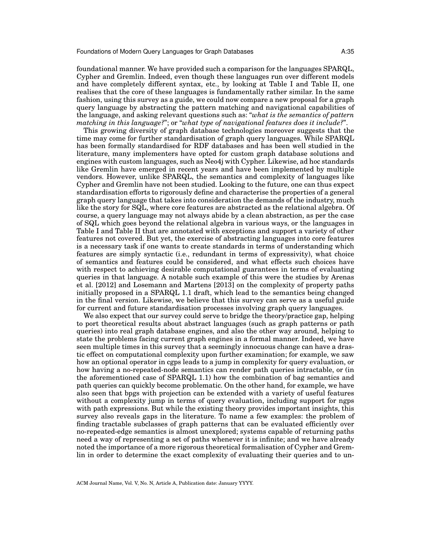foundational manner. We have provided such a comparison for the languages SPARQL, Cypher and Gremlin. Indeed, even though these languages run over different models and have completely different syntax, etc., by looking at Table [I](#page-32-0) and Table [II,](#page-32-1) one realises that the core of these languages is fundamentally rather similar. In the same fashion, using this survey as a guide, we could now compare a new proposal for a graph query language by abstracting the pattern matching and navigational capabilities of the language, and asking relevant questions such as: "*what is the semantics of pattern matching in this language?*"; or "*what type of navigational features does it include?*".

This growing diversity of graph database technologies moreover suggests that the time may come for further standardisation of graph query languages. While SPARQL has been formally standardised for RDF databases and has been well studied in the literature, many implementers have opted for custom graph database solutions and engines with custom languages, such as Neo4j with Cypher. Likewise, ad hoc standards like Gremlin have emerged in recent years and have been implemented by multiple vendors. However, unlike SPARQL, the semantics and complexity of languages like Cypher and Gremlin have not been studied. Looking to the future, one can thus expect standardisation efforts to rigorously define and characterise the properties of a general graph query language that takes into consideration the demands of the industry, much like the story for SQL, where core features are abstracted as the relational algebra. Of course, a query language may not always abide by a clean abstraction, as per the case of SQL which goes beyond the relational algebra in various ways, or the languages in Table [I](#page-32-0) and Table [II](#page-32-1) that are annotated with exceptions and support a variety of other features not covered. But yet, the exercise of abstracting languages into core features is a necessary task if one wants to create standards in terms of understanding which features are simply syntactic (i.e., redundant in terms of expressivity), what choice of semantics and features could be considered, and what effects such choices have with respect to achieving desirable computational guarantees in terms of evaluating queries in that language. A notable such example of this were the studies by [Arenas](#page-36-11) [et al. \[2012\]](#page-36-11) and [Losemann and Martens \[2013\]](#page-39-14) on the complexity of property paths initially proposed in a SPARQL 1.1 draft, which lead to the semantics being changed in the final version. Likewise, we believe that this survey can serve as a useful guide for current and future standardisation processes involving graph query languages.

We also expect that our survey could serve to bridge the theory/practice gap, helping to port theoretical results about abstract languages (such as graph patterns or path queries) into real graph database engines, and also the other way around, helping to state the problems facing current graph engines in a formal manner. Indeed, we have seen multiple times in this survey that a seemingly innocuous change can have a drastic effect on computational complexity upon further examination; for example, we saw how an optional operator in cgps leads to a jump in complexity for query evaluation, or how having a no-repeated-node semantics can render path queries intractable, or (in the aforementioned case of SPARQL 1.1) how the combination of bag semantics and path queries can quickly become problematic. On the other hand, for example, we have also seen that bpgs with projection can be extended with a variety of useful features without a complexity jump in terms of query evaluation, including support for ngps with path expressions. But while the existing theory provides important insights, this survey also reveals gaps in the literature. To name a few examples: the problem of finding tractable subclasses of graph patterns that can be evaluated efficiently over no-repeated-edge semantics is almost unexplored; systems capable of returning paths need a way of representing a set of paths whenever it is infinite; and we have already noted the importance of a more rigorous theoretical formalisation of Cypher and Gremlin in order to determine the exact complexity of evaluating their queries and to un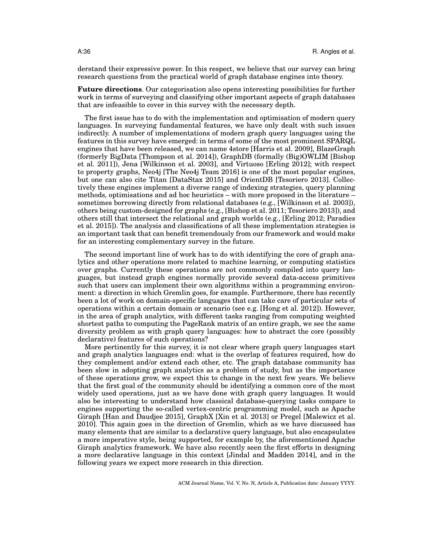derstand their expressive power. In this respect, we believe that our survey can bring research questions from the practical world of graph database engines into theory.

**Future directions**. Our categorisation also opens interesting possibilities for further work in terms of surveying and classifying other important aspects of graph databases that are infeasible to cover in this survey with the necessary depth.

The first issue has to do with the implementation and optimisation of modern query languages. In surveying fundamental features, we have only dealt with such issues indirectly. A number of implementations of modern graph query languages using the features in this survey have emerged: in terms of some of the most prominent SPARQL engines that have been released, we can name 4store [\[Harris et al. 2009\]](#page-38-12), BlazeGraph (formerly BigData [\[Thompson et al. 2014\]](#page-40-0)), GraphDB (formally (Big)OWLIM [\[Bishop](#page-37-14) [et al. 2011\]](#page-37-14)), Jena [\[Wilkinson et al. 2003\]](#page-40-12), and Virtuoso [\[Erling 2012\]](#page-37-0); with respect to property graphs, Neo4j [\[The Neo4j Team 2016\]](#page-40-1) is one of the most popular engines, but one can also cite Titan [\[DataStax 2015\]](#page-37-18) and OrientDB [\[Tesoriero 2013\]](#page-40-13). Collectively these engines implement a diverse range of indexing strategies, query planning methods, optimisations and ad hoc heuristics – with more proposed in the literature – sometimes borrowing directly from relational databases (e.g., [\[Wilkinson et al. 2003\]](#page-40-12)), others being custom-designed for graphs (e.g., [\[Bishop et al. 2011;](#page-37-14) [Tesoriero 2013\]](#page-40-13)), and others still that intersect the relational and graph worlds (e.g., [\[Erling 2012;](#page-37-0) [Paradies](#page-39-16) [et al. 2015\]](#page-39-16)). The analysis and classifications of all these implementation strategies is an important task that can benefit tremendously from our framework and would make for an interesting complementary survey in the future.

The second important line of work has to do with identifying the core of graph analytics and other operations more related to machine learning, or computing statistics over graphs. Currently these operations are not commonly compiled into query languages, but instead graph engines normally provide several data-access primitives such that users can implement their own algorithms within a programming environment: a direction in which Gremlin goes, for example. Furthermore, there has recently been a lot of work on domain-specific languages that can take care of particular sets of operations within a certain domain or scenario (see e.g. [\[Hong et al. 2012\]](#page-38-13)). However, in the area of graph analytics, with different tasks ranging from computing weighted shortest paths to computing the PageRank matrix of an entire graph, we see the same diversity problem as with graph query languages: how to abstract the core (possibly declarative) features of such operations?

More pertinently for this survey, it is not clear where graph query languages start and graph analytics languages end: what is the overlap of features required, how do they complement and/or extend each other, etc. The graph database community has been slow in adopting graph analytics as a problem of study, but as the importance of these operations grow, we expect this to change in the next few years. We believe that the first goal of the community should be identifying a common core of the most widely used operations, just as we have done with graph query languages. It would also be interesting to understand how classical database-querying tasks compare to engines supporting the so-called vertex-centric programming model, such as Apache Giraph [\[Han and Daudjee 2015\]](#page-38-14), GraphX [\[Xin et al. 2013\]](#page-40-14) or Pregel [\[Malewicz et al.](#page-39-17) [2010\]](#page-39-17). This again goes in the direction of Gremlin, which as we have discussed has many elements that are similar to a declarative query language, but also encapsulates a more imperative style, being supported, for example by, the aforementioned Apache Giraph analytics framework. We have also recently seen the first efforts in designing a more declarative language in this context [\[Jindal and Madden 2014\]](#page-38-15), and in the following years we expect more research in this direction.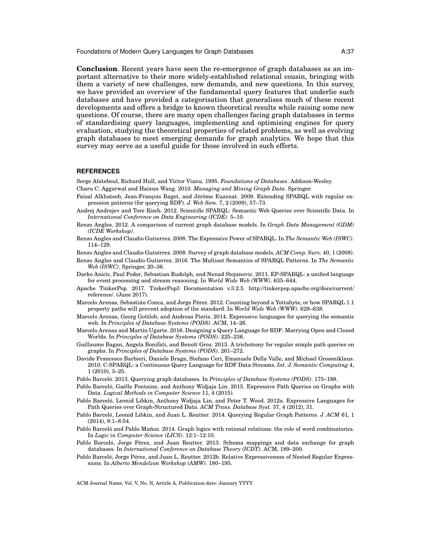Foundations of Modern Query Languages for Graph Databases A:37

**Conclusion**. Recent years have seen the re-emergence of graph databases as an important alternative to their more widely-established relational cousin, bringing with them a variety of new challenges, new demands, and new questions. In this survey, we have provided an overview of the fundamental query features that underlie such databases and have provided a categorisation that generalises much of these recent developments and offers a bridge to known theoretical results while raising some new questions. Of course, there are many open challenges facing graph databases in terms of standardising query languages, implementing and optimising engines for query evaluation, studying the theoretical properties of related problems, as well as evolving graph databases to meet emerging demands for graph analytics. We hope that this survey may serve as a useful guide for those involved in such efforts.

## **REFERENCES**

<span id="page-36-5"></span>Serge Abiteboul, Richard Hull, and Victor Vianu. 1995. *Foundations of Databases*. Addison-Wesley.

<span id="page-36-4"></span>Charu C. Aggarwal and Haixun Wang. 2010. *Managing and Mining Graph Data*. Springer.

- <span id="page-36-9"></span>Faisal Alkhateeb, Jean-François Baget, and Jérôme Euzenat. 2009. Extending SPARQL with regular expression patterns (for querying RDF). *J. Web Sem.* 7, 2 (2009), 57–73.
- <span id="page-36-19"></span>Andrej Andrejev and Tore Risch. 2012. Scientific SPARQL: Semantic Web Queries over Scientific Data. In *International Conference on Data Engineering (ICDE)*. 5–10.
- <span id="page-36-3"></span>Renzo Angles. 2012. A comparison of current graph database models. In *Graph Data Management (GDM) (ICDE Workshop)*.
- <span id="page-36-8"></span>Renzo Angles and Claudio Gutierrez. 2008. The Expressive Power of SPARQL. In *The Semantic Web (ISWC)*. 114–129.

<span id="page-36-7"></span><span id="page-36-2"></span>Renzo Angles and Claudio Gutiérrez. 2008. Survey of graph database models. *ACM Comp. Surv.* 40, 1 (2008). Renzo Angles and Claudio Gutierrez. 2016. The Multiset Semantics of SPARQL Patterns. In *The Semantic Web (ISWC)*. Springer, 20–36.

- <span id="page-36-20"></span>Darko Anicic, Paul Fodor, Sebastian Rudolph, and Nenad Stojanovic. 2011. EP-SPARQL: a unified language for event processing and stream reasoning. In *World Wide Web (WWW)*. 635–644.
- <span id="page-36-0"></span>Apache TinkerPop. 2017. TinkerPop3 Documentation v.3.2.5. [http://tinkerpop.apache.org/docs/current/](http://tinkerpop.apache.org/docs/current/reference/) [reference/.](http://tinkerpop.apache.org/docs/current/reference/) (June 2017).
- <span id="page-36-11"></span>Marcelo Arenas, Sebastián Conca, and Jorge Pérez. 2012. Counting beyond a Yottabyte, or how SPARQL 1.1 property paths will prevent adoption of the standard. In *World Wide Web (WWW)*. 629–638.
- <span id="page-36-17"></span>Marcelo Arenas, Georg Gottlob, and Andreas Pieris. 2014. Expressive languages for querying the semantic web. In *Principles of Database Systems (PODS)*. ACM, 14–26.
- <span id="page-36-18"></span>Marcelo Arenas and Martín Ugarte. 2016. Designing a Query Language for RDF: Marrying Open and Closed Worlds. In *Principles of Database Systems (PODS)*. 225–236.
- <span id="page-36-14"></span>Guillaume Bagan, Angela Bonifati, and Benoît Groz. 2013. A trichotomy for regular simple path queries on graphs. In *Principles of Database Systems (PODS)*. 261–272.
- <span id="page-36-21"></span>Davide Francesco Barbieri, Daniele Braga, Stefano Ceri, Emanuele Della Valle, and Michael Grossniklaus. 2010. C-SPARQL: a Continuous Query Language for RDF Data Streams. *Int. J. Semantic Computing* 4, 1 (2010), 3–25.
- <span id="page-36-1"></span>Pablo Barceló. 2013. Querying graph databases. In *Principles of Database Systems (PODS)*. 175–188.
- <span id="page-36-16"></span>Pablo Barceló, Gaëlle Fontaine, and Anthony Widjaja Lin. 2015. Expressive Path Queries on Graphs with Data. *Logical Methods in Computer Science* 11, 4 (2015).
- <span id="page-36-10"></span>Pablo Barceló, Leonid Libkin, Anthony Widjaja Lin, and Peter T. Wood. 2012a. Expressive Languages for Path Queries over Graph-Structured Data. *ACM Trans. Database Syst.* 37, 4 (2012), 31.

<span id="page-36-6"></span>Pablo Barceló, Leonid Libkin, and Juan L. Reutter. 2014. Querying Regular Graph Patterns. *J. ACM* 61, 1 (2014), 8:1–8:54.

<span id="page-36-12"></span>Pablo Barceló and Pablo Muñoz. 2014. Graph logics with rational relations: the role of word combinatorics. In *Logic in Computer Science (LICS)*. 12:1–12:10.

<span id="page-36-15"></span>Pablo Barceló, Jorge Pérez, and Juan Reutter. 2013. Schema mappings and data exchange for graph databases. In *International Conference on Database Theory (ICDT)*. ACM, 189–200.

<span id="page-36-13"></span>Pablo Barceló, Jorge Pérez, and Juan L. Reutter. 2012b. Relative Expressiveness of Nested Regular Expressions. In *Alberto Mendelzon Workshop (AMW)*. 180–195.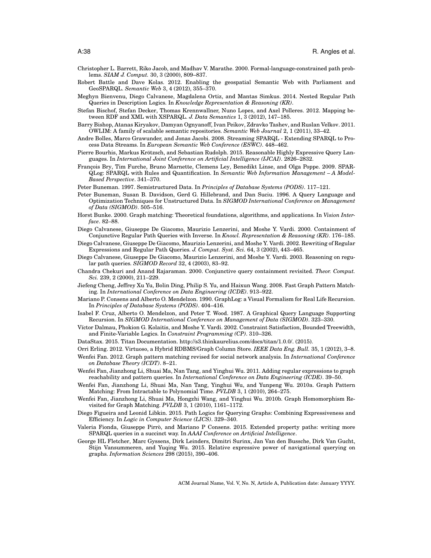- <span id="page-37-8"></span>Christopher L. Barrett, Riko Jacob, and Madhav V. Marathe. 2000. Formal-language-constrained path problems. *SIAM J. Comput.* 30, 3 (2000), 809–837.
- <span id="page-37-26"></span>Robert Battle and Dave Kolas. 2012. Enabling the geospatial Semantic Web with Parliament and GeoSPARQL. *Semantic Web* 3, 4 (2012), 355–370.
- <span id="page-37-21"></span>Meghyn Bienvenu, Diego Calvanese, Magdalena Ortiz, and Mantas Simkus. 2014. Nested Regular Path Queries in Description Logics. In *Knowledge Representation & Reasoning (KR)*.
- <span id="page-37-25"></span>Stefan Bischof, Stefan Decker, Thomas Krennwallner, Nuno Lopes, and Axel Polleres. 2012. Mapping between RDF and XML with XSPARQL. *J. Data Semantics* 1, 3 (2012), 147–185.
- <span id="page-37-14"></span>Barry Bishop, Atanas Kiryakov, Damyan Ognyanoff, Ivan Peikov, Zdravko Tashev, and Ruslan Velkov. 2011. OWLIM: A family of scalable semantic repositories. *Semantic Web Journal* 2, 1 (2011), 33–42.
- <span id="page-37-27"></span>Andre Bolles, Marco Grawunder, and Jonas Jacobi. 2008. Streaming SPARQL - Extending SPARQL to Process Data Streams. In *European Semantic Web Conference (ESWC)*. 448–462.
- <span id="page-37-23"></span>Pierre Bourhis, Markus Krötzsch, and Sebastian Rudolph. 2015. Reasonable Highly Expressive Query Languages. In *International Joint Conference on Artificial Intelligence (IJCAI)*. 2826–2832.
- <span id="page-37-24"></span>François Bry, Tim Furche, Bruno Marnette, Clemens Ley, Benedikt Linse, and Olga Poppe. 2009. SPAR-QLog: SPARQL with Rules and Quantification. In *Semantic Web Information Management – A Model-Based Perspective*. 341–370.
- <span id="page-37-13"></span>Peter Buneman. 1997. Semistructured Data. In *Principles of Database Systems (PODS)*. 117–121.
- <span id="page-37-12"></span>Peter Buneman, Susan B. Davidson, Gerd G. Hillebrand, and Dan Suciu. 1996. A Query Language and Optimization Techniques for Unstructured Data. In *SIGMOD International Conference on Management of Data (SIGMOD)*. 505–516.
- <span id="page-37-1"></span>Horst Bunke. 2000. Graph matching: Theoretical foundations, algorithms, and applications. In *Vision Interface*. 82–88.
- <span id="page-37-3"></span>Diego Calvanese, Giuseppe De Giacomo, Maurizio Lenzerini, and Moshe Y. Vardi. 2000. Containment of Conjunctive Regular Path Queries with Inverse. In *Knowl. Representation & Reasoning (KR)*. 176–185.
- <span id="page-37-11"></span>Diego Calvanese, Giuseppe De Giacomo, Maurizio Lenzerini, and Moshe Y. Vardi. 2002. Rewriting of Regular Expressions and Regular Path Queries. *J. Comput. Syst. Sci.* 64, 3 (2002), 443–465.
- <span id="page-37-10"></span>Diego Calvanese, Giuseppe De Giacomo, Maurizio Lenzerini, and Moshe Y. Vardi. 2003. Reasoning on regular path queries. *SIGMOD Record* 32, 4 (2003), 83–92.
- <span id="page-37-6"></span>Chandra Chekuri and Anand Rajaraman. 2000. Conjunctive query containment revisited. *Theor. Comput. Sci.* 239, 2 (2000), 211–229.
- <span id="page-37-4"></span>Jiefeng Cheng, Jeffrey Xu Yu, Bolin Ding, Philip S. Yu, and Haixun Wang. 2008. Fast Graph Pattern Matching. In *International Conference on Data Engineering (ICDE)*. 913–922.
- <span id="page-37-16"></span>Mariano P. Consens and Alberto O. Mendelzon. 1990. GraphLog: a Visual Formalism for Real Life Recursion. In *Principles of Database Systems (PODS)*. 404–416.
- <span id="page-37-9"></span>Isabel F. Cruz, Alberto O. Mendelzon, and Peter T. Wood. 1987. A Graphical Query Language Supporting Recursion. In *SIGMOD International Conference on Management of Data (SIGMOD)*. 323–330.
- <span id="page-37-7"></span>Víctor Dalmau, Phokion G. Kolaitis, and Moshe Y. Vardi. 2002. Constraint Satisfaction, Bounded Treewidth, and Finite-Variable Logics. In *Constraint Programming (CP)*. 310–326.
- <span id="page-37-18"></span>DataStax. 2015. Titan Documentation. [http://s3.thinkaurelius.com/docs/titan/1.0.0/.](http://s3.thinkaurelius.com/docs/titan/1.0.0/) (2015).
- <span id="page-37-0"></span>Orri Erling. 2012. Virtuoso, a Hybrid RDBMS/Graph Column Store. *IEEE Data Eng. Bull.* 35, 1 (2012), 3–8.
- <span id="page-37-2"></span>Wenfei Fan. 2012. Graph pattern matching revised for social network analysis. In *International Conference on Database Theory (ICDT)*. 8–21.
- <span id="page-37-19"></span>Wenfei Fan, Jianzhong Li, Shuai Ma, Nan Tang, and Yinghui Wu. 2011. Adding regular expressions to graph reachability and pattern queries. In *International Conference on Data Engineering (ICDE)*. 39–50.
- <span id="page-37-20"></span>Wenfei Fan, Jianzhong Li, Shuai Ma, Nan Tang, Yinghui Wu, and Yunpeng Wu. 2010a. Graph Pattern Matching: From Intractable to Polynomial Time. *PVLDB* 3, 1 (2010), 264–275.
- <span id="page-37-5"></span>Wenfei Fan, Jianzhong Li, Shuai Ma, Hongzhi Wang, and Yinghui Wu. 2010b. Graph Homomorphism Revisited for Graph Matching. *PVLDB* 3, 1 (2010), 1161–1172.
- <span id="page-37-17"></span>Diego Figueira and Leonid Libkin. 2015. Path Logics for Querying Graphs: Combining Expressiveness and Efficiency. In *Logic in Computer Science (LICS)*. 329–340.
- <span id="page-37-15"></span>Valeria Fionda, Giuseppe Pirrò, and Mariano P Consens. 2015. Extended property paths: writing more SPARQL queries in a succinct way. In *AAAI Conference on Artificial Intelligence*.
- <span id="page-37-22"></span>George HL Fletcher, Marc Gyssens, Dirk Leinders, Dimitri Surinx, Jan Van den Bussche, Dirk Van Gucht, Stijn Vansummeren, and Yuqing Wu. 2015. Relative expressive power of navigational querying on graphs. *Information Sciences* 298 (2015), 390–406.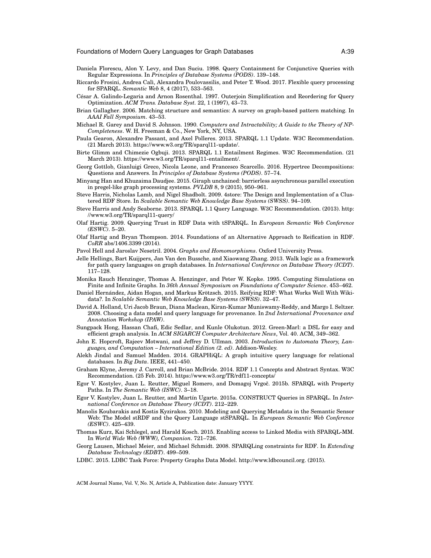- <span id="page-38-11"></span>Daniela Florescu, Alon Y. Levy, and Dan Suciu. 1998. Query Containment for Conjunctive Queries with Regular Expressions. In *Principles of Database Systems (PODS)*. 139–148.
- <span id="page-38-23"></span>Riccardo Frosini, Andrea Calì, Alexandra Poulovassilis, and Peter T. Wood. 2017. Flexible query processing for SPARQL. *Semantic Web* 8, 4 (2017), 533–563.
- <span id="page-38-5"></span>César A. Galindo-Legaria and Arnon Rosenthal. 1997. Outerjoin Simplification and Reordering for Query Optimization. *ACM Trans. Database Syst.* 22, 1 (1997), 43–73.
- <span id="page-38-1"></span>Brian Gallagher. 2006. Matching structure and semantics: A survey on graph-based pattern matching. In *AAAI Fall Symposium*. 43–53.
- <span id="page-38-18"></span>Michael R. Garey and David S. Johnson. 1990. *Computers and Intractability; A Guide to the Theory of NP-Completeness*. W. H. Freeman & Co., New York, NY, USA.
- <span id="page-38-20"></span>Paula Gearon, Alexandre Passant, and Axel Polleres. 2013. SPARQL 1.1 Update. W3C Recommendation. (21 March 2013). [https://www.w3.org/TR/sparql11-update/.](https://www.w3.org/TR/sparql11-update/)
- <span id="page-38-21"></span>Birte Glimm and Chimezie Ogbuji. 2013. SPARQL 1.1 Entailment Regimes. W3C Recommendation. (21 March 2013). [https://www.w3.org/TR/sparql11-entailment/.](https://www.w3.org/TR/sparql11-entailment/)
- <span id="page-38-7"></span>Georg Gottlob, Gianluigi Greco, Nicola Leone, and Francesco Scarcello. 2016. Hypertree Decompositions: Questions and Answers. In *Principles of Database Systems (PODS)*. 57–74.
- <span id="page-38-14"></span>Minyang Han and Khuzaima Daudjee. 2015. Giraph unchained: barrierless asynchronous parallel execution in pregel-like graph processing systems. *PVLDB* 8, 9 (2015), 950–961.
- <span id="page-38-12"></span>Steve Harris, Nicholas Lamb, and Nigel Shadbolt. 2009. 4store: The Design and Implementation of a Clustered RDF Store. In *Scalable Semantic Web Knowledge Base Systems (SWSS)*. 94–109.
- <span id="page-38-0"></span>Steve Harris and Andy Seaborne. 2013. SPARQL 1.1 Query Language. W3C Recommendation. (2013). [http:](http://www.w3.org/TR/sparql11-query/) [//www.w3.org/TR/sparql11-query/](http://www.w3.org/TR/sparql11-query/)
- <span id="page-38-25"></span>Olaf Hartig. 2009. Querying Trust in RDF Data with tSPARQL. In *European Semantic Web Conference (ESWC)*. 5–20.
- <span id="page-38-22"></span>Olaf Hartig and Bryan Thompson. 2014. Foundations of an Alternative Approach to Reification in RDF. *CoRR* abs/1406.3399 (2014).
- <span id="page-38-6"></span>Pavol Hell and Jaroslav Nesetril. 2004. *Graphs and Homomorphisms*. Oxford University Press.
- <span id="page-38-17"></span>Jelle Hellings, Bart Kuijpers, Jan Van den Bussche, and Xiaowang Zhang. 2013. Walk logic as a framework for path query languages on graph databases. In *International Conference on Database Theory (ICDT)*. 117–128.
- <span id="page-38-16"></span>Monika Rauch Henzinger, Thomas A. Henzinger, and Peter W. Kopke. 1995. Computing Simulations on Finite and Infinite Graphs. In *36th Annual Symposium on Foundations of Computer Science*. 453–462.
- <span id="page-38-4"></span>Daniel Hernández, Aidan Hogan, and Markus Krötzsch. 2015. Reifying RDF: What Works Well With Wikidata?. In *Scalable Semantic Web Knowledge Base Systems (SWSS)*. 32–47.
- <span id="page-38-8"></span>David A. Holland, Uri Jacob Braun, Diana Maclean, Kiran-Kumar Muniswamy-Reddy, and Margo I. Seltzer. 2008. Choosing a data model and query language for provenance. In *2nd International Provenance and Annotation Workshop (IPAW)*.
- <span id="page-38-13"></span>Sungpack Hong, Hassan Chafi, Edic Sedlar, and Kunle Olukotun. 2012. Green-Marl: a DSL for easy and efficient graph analysis. In *ACM SIGARCH Computer Architecture News*, Vol. 40. ACM, 349–362.
- <span id="page-38-9"></span>John E. Hopcroft, Rajeev Motwani, and Jeffrey D. Ullman. 2003. *Introduction to Automata Theory, Languages, and Computation – International Edition (2. ed)*. Addison-Wesley.
- <span id="page-38-15"></span>Alekh Jindal and Samuel Madden. 2014. GRAPHiQL: A graph intuitive query language for relational databases. In *Big Data*. IEEE, 441–450.
- <span id="page-38-2"></span>Graham Klyne, Jeremy J. Carroll, and Brian McBride. 2014. RDF 1.1 Concepts and Abstract Syntax. W3C Recommendation. (25 Feb. 2014). <https://www.w3.org/TR/rdf11-concepts/>
- <span id="page-38-10"></span>Egor V. Kostylev, Juan L. Reutter, Miguel Romero, and Domagoj Vrgoč. 2015b. SPARQL with Property Paths. In *The Semantic Web (ISWC)*. 3–18.
- <span id="page-38-19"></span>Egor V. Kostylev, Juan L. Reutter, and Martín Ugarte. 2015a. CONSTRUCT Queries in SPARQL. In *International Conference on Database Theory (ICDT)*. 212–229.
- <span id="page-38-27"></span>Manolis Koubarakis and Kostis Kyzirakos. 2010. Modeling and Querying Metadata in the Semantic Sensor Web: The Model stRDF and the Query Language stSPARQL. In *European Semantic Web Conference (ESWC)*. 425–439.
- <span id="page-38-26"></span>Thomas Kurz, Kai Schlegel, and Harald Kosch. 2015. Enabling access to Linked Media with SPARQL-MM. In *World Wide Web (WWW), Companion*. 721–726.
- <span id="page-38-24"></span>Georg Lausen, Michael Meier, and Michael Schmidt. 2008. SPARQLing constraints for RDF. In *Extending Database Technology (EDBT)*. 499–509.
- <span id="page-38-3"></span>LDBC. 2015. LDBC Task Force: Property Graphs Data Model. [http://www.ldbcouncil.org.](http://www.ldbcouncil.org) (2015).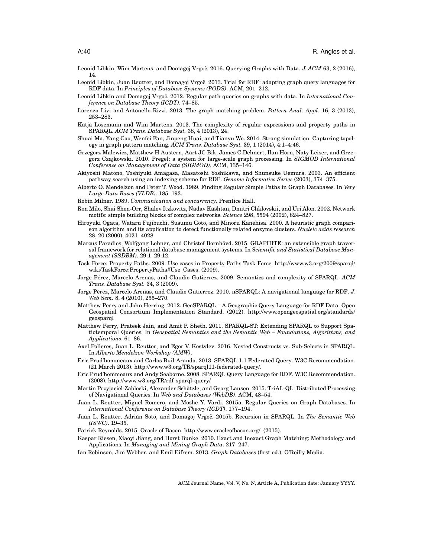- <span id="page-39-12"></span>Leonid Libkin, Wim Martens, and Domagoj Vrgoč. 2016. Querying Graphs with Data. J. ACM 63, 2 (2016), 14.
- <span id="page-39-20"></span>Leonid Libkin, Juan Reutter, and Domagoj Vrgoč. 2013. Trial for RDF: adapting graph query languages for RDF data. In *Principles of Database Systems (PODS)*. ACM, 201–212.
- <span id="page-39-15"></span>Leonid Libkin and Domagoj Vrgoč. 2012. Regular path queries on graphs with data. In *International Conference on Database Theory (ICDT)*. 74–85.
- <span id="page-39-1"></span>Lorenzo Livi and Antonello Rizzi. 2013. The graph matching problem. *Pattern Anal. Appl.* 16, 3 (2013), 253–283.
- <span id="page-39-14"></span>Katja Losemann and Wim Martens. 2013. The complexity of regular expressions and property paths in SPARQL. *ACM Trans. Database Syst.* 38, 4 (2013), 24.
- <span id="page-39-19"></span>Shuai Ma, Yang Cao, Wenfei Fan, Jinpeng Huai, and Tianyu Wo. 2014. Strong simulation: Capturing topology in graph pattern matching. *ACM Trans. Database Syst.* 39, 1 (2014), 4:1–4:46.
- <span id="page-39-17"></span>Grzegorz Malewicz, Matthew H Austern, Aart JC Bik, James C Dehnert, Ilan Horn, Naty Leiser, and Grzegorz Czajkowski. 2010. Pregel: a system for large-scale graph processing. In *SIGMOD International Conference on Management of Data (SIGMOD)*. ACM, 135–146.
- <span id="page-39-5"></span>Akiyoshi Matono, Toshiyuki Amagasa, Masatoshi Yoshikawa, and Shunsuke Uemura. 2003. An efficient pathway search using an indexing scheme for RDF. *Genome Informatics Series* (2003), 374–375.
- <span id="page-39-11"></span>Alberto O. Mendelzon and Peter T. Wood. 1989. Finding Regular Simple Paths in Graph Databases. In *Very Large Data Bases (VLDB)*. 185–193.
- <span id="page-39-18"></span>Robin Milner. 1989. *Communication and concurrency*. Prentice Hall.
- <span id="page-39-6"></span>Ron Milo, Shai Shen-Orr, Shalev Itzkovitz, Nadav Kashtan, Dmitri Chklovskii, and Uri Alon. 2002. Network motifs: simple building blocks of complex networks. *Science* 298, 5594 (2002), 824–827.
- <span id="page-39-4"></span>Hiroyuki Ogata, Wataru Fujibuchi, Susumu Goto, and Minoru Kanehisa. 2000. A heuristic graph comparison algorithm and its application to detect functionally related enzyme clusters. *Nucleic acids research* 28, 20 (2000), 4021–4028.
- <span id="page-39-16"></span>Marcus Paradies, Wolfgang Lehner, and Christof Bornhövd. 2015. GRAPHITE: an extensible graph traversal framework for relational database management systems. In *Scientific and Statistical Database Management (SSDBM)*. 29:1–29:12.
- <span id="page-39-10"></span>Task Force: Property Paths. 2009. Use cases in Property Paths Task Force. [http://www.w3.org/2009/sparql/](http://www.w3.org/2009/sparql/wiki/TaskForce:PropertyPaths#Use_Cases) [wiki/TaskForce:PropertyPaths#Use\\_Cases.](http://www.w3.org/2009/sparql/wiki/TaskForce:PropertyPaths#Use_Cases) (2009).
- <span id="page-39-8"></span>Jorge Pérez, Marcelo Arenas, and Claudio Gutierrez. 2009. Semantics and complexity of SPARQL. *ACM Trans. Database Syst.* 34, 3 (2009).
- <span id="page-39-9"></span>Jorge Pérez, Marcelo Arenas, and Claudio Gutierrez. 2010. nSPARQL: A navigational language for RDF. *J. Web Sem.* 8, 4 (2010), 255–270.
- <span id="page-39-25"></span>Matthew Perry and John Herring. 2012. GeoSPARQL – A Geographic Query Language for RDF Data. Open Geospatial Consortium Implementation Standard. (2012). [http://www.opengeospatial.org/standards/](http://www.opengeospatial.org/standards/geosparql) [geosparql](http://www.opengeospatial.org/standards/geosparql)
- <span id="page-39-26"></span>Matthew Perry, Prateek Jain, and Amit P. Sheth. 2011. SPARQL-ST: Extending SPARQL to Support Spatiotemporal Queries. In *Geospatial Semantics and the Semantic Web – Foundations, Algorithms, and Applications*. 61–86.
- <span id="page-39-23"></span>Axel Polleres, Juan L. Reutter, and Egor V. Kostylev. 2016. Nested Constructs vs. Sub-Selects in SPARQL. In *Alberto Mendelzon Workshop (AMW)*.
- <span id="page-39-24"></span>Eric Prud'hommeaux and Carlos Buil-Aranda. 2013. SPARQL 1.1 Federated Query. W3C Recommendation. (21 March 2013). [http://www.w3.org/TR/sparql11-federated-query/.](http://www.w3.org/TR/sparql11-federated-query/)
- <span id="page-39-3"></span>Eric Prud'hommeaux and Andy Seaborne. 2008. SPARQL Query Language for RDF. W3C Recommendation. (2008). <http://www.w3.org/TR/rdf-sparql-query/>
- <span id="page-39-22"></span>Martin Przyjaciel-Zablocki, Alexander Schätzle, and Georg Lausen. 2015. TriAL-QL: Distributed Processing of Navigational Queries. In *Web and Databases (WebDB)*. ACM, 48–54.
- <span id="page-39-7"></span>Juan L. Reutter, Miguel Romero, and Moshe Y. Vardi. 2015a. Regular Queries on Graph Databases. In *International Conference on Database Theory (ICDT)*. 177–194.
- <span id="page-39-21"></span>Juan L. Reutter, Adrián Soto, and Domagoj Vrgoč. 2015b. Recursion in SPARQL. In *The Semantic Web (ISWC)*. 19–35.
- <span id="page-39-13"></span>Patrick Reynolds. 2015. Oracle of Bacon. [http://www.oracleofbacon.org/.](http://www.oracleofbacon.org/) (2015).
- <span id="page-39-0"></span>Kaspar Riesen, Xiaoyi Jiang, and Horst Bunke. 2010. Exact and Inexact Graph Matching: Methodology and Applications. In *Managing and Mining Graph Data*. 217–247.
- <span id="page-39-2"></span>Ian Robinson, Jim Webber, and Emil Eifrem. 2013. *Graph Databases* (first ed.). O'Reilly Media.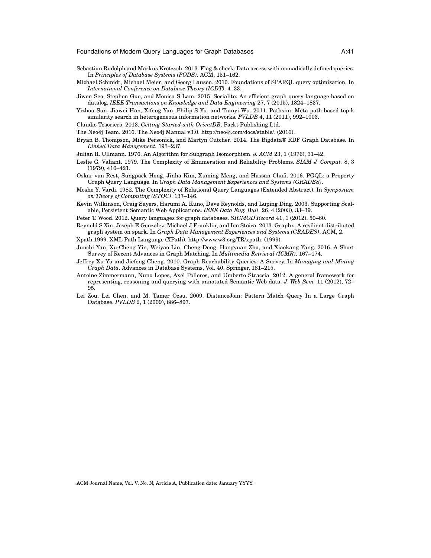- <span id="page-40-16"></span>Sebastian Rudolph and Markus Krötzsch. 2013. Flag & check: Data access with monadically defined queries. In *Principles of Database Systems (PODS)*. ACM, 151–162.
- <span id="page-40-10"></span>Michael Schmidt, Michael Meier, and Georg Lausen. 2010. Foundations of SPARQL query optimization. In *International Conference on Database Theory (ICDT)*. 4–33.
- <span id="page-40-17"></span>Jiwon Seo, Stephen Guo, and Monica S Lam. 2015. Socialite: An efficient graph query language based on datalog. *IEEE Transactions on Knowledge and Data Engineering* 27, 7 (2015), 1824–1837.
- <span id="page-40-6"></span>Yizhou Sun, Jiawei Han, Xifeng Yan, Philip S Yu, and Tianyi Wu. 2011. Pathsim: Meta path-based top-k similarity search in heterogeneous information networks. *PVLDB* 4, 11 (2011), 992–1003.
- <span id="page-40-13"></span>Claudio Tesoriero. 2013. *Getting Started with OrientDB*. Packt Publishing Ltd.
- <span id="page-40-1"></span>The Neo4j Team. 2016. The Neo4j Manual v3.0. [http://neo4j.com/docs/stable/.](http://neo4j.com/docs/stable/) (2016).
- <span id="page-40-0"></span>Bryan B. Thompson, Mike Personick, and Martyn Cutcher. 2014. The Bigdata® RDF Graph Database. In *Linked Data Management.* 193–237.
- <span id="page-40-7"></span>Julian R. Ullmann. 1976. An Algorithm for Subgraph Isomorphism. *J. ACM* 23, 1 (1976), 31–42.
- <span id="page-40-11"></span>Leslie G. Valiant. 1979. The Complexity of Enumeration and Reliability Problems. *SIAM J. Comput.* 8, 3 (1979), 410–421.
- <span id="page-40-2"></span>Oskar van Rest, Sungpack Hong, Jinha Kim, Xuming Meng, and Hassan Chafi. 2016. PGQL: a Property Graph Query Language. In *Graph Data Management Experiences and Systems (GRADES)*.
- <span id="page-40-9"></span>Moshe Y. Vardi. 1982. The Complexity of Relational Query Languages (Extended Abstract). In *Symposium on Theory of Computing (STOC)*. 137–146.
- <span id="page-40-12"></span>Kevin Wilkinson, Craig Sayers, Harumi A. Kuno, Dave Reynolds, and Luping Ding. 2003. Supporting Scalable, Persistent Semantic Web Applications. *IEEE Data Eng. Bull.* 26, 4 (2003), 33–39.
- <span id="page-40-3"></span>Peter T. Wood. 2012. Query languages for graph databases. *SIGMOD Record* 41, 1 (2012), 50–60.
- <span id="page-40-14"></span>Reynold S Xin, Joseph E Gonzalez, Michael J Franklin, and Ion Stoica. 2013. Graphx: A resilient distributed graph system on spark. In *Graph Data Management Experiences and Systems (GRADES)*. ACM, 2.
- <span id="page-40-15"></span>Xpath 1999. XML Path Language (XPath). http://www.w3.org/TR/xpath. (1999).
- <span id="page-40-4"></span>Junchi Yan, Xu-Cheng Yin, Weiyao Lin, Cheng Deng, Hongyuan Zha, and Xiaokang Yang. 2016. A Short Survey of Recent Advances in Graph Matching. In *Multimedia Retrieval (ICMR)*. 167–174.
- <span id="page-40-5"></span>Jeffrey Xu Yu and Jiefeng Cheng. 2010. Graph Reachability Queries: A Survey. In *Managing and Mining Graph Data*. Advances in Database Systems, Vol. 40. Springer, 181–215.
- <span id="page-40-18"></span>Antoine Zimmermann, Nuno Lopes, Axel Polleres, and Umberto Straccia. 2012. A general framework for representing, reasoning and querying with annotated Semantic Web data. *J. Web Sem.* 11 (2012), 72– 95.
- <span id="page-40-8"></span>Lei Zou, Lei Chen, and M. Tamer Özsu. 2009. DistanceJoin: Pattern Match Query In a Large Graph Database. *PVLDB* 2, 1 (2009), 886–897.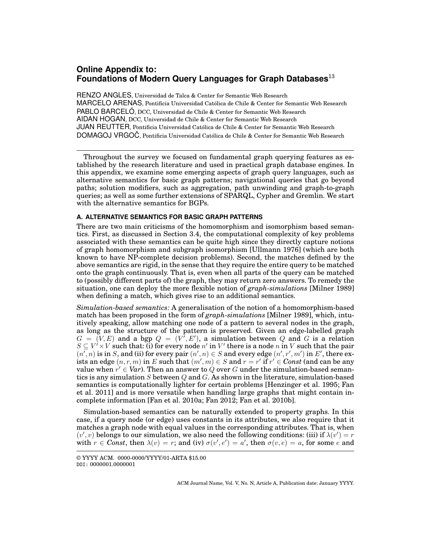# **Online Appendix to: Foundations of Modern Query Languages for Graph Databases**[13](#page-0-0)

RENZO ANGLES, Universidad de Talca & Center for Semantic Web Research MARCELO ARENAS, Pontificia Universidad Católica de Chile & Center for Semantic Web Research PABLO BARCELÓ, DCC, Universidad de Chile & Center for Semantic Web Research AIDAN HOGAN, DCC, Universidad de Chile & Center for Semantic Web Research JUAN REUTTER, Pontificia Universidad Católica de Chile & Center for Semantic Web Research DOMAGOJ VRGOČ, Pontificia Universidad Católica de Chile & Center for Semantic Web Research

Throughout the survey we focused on fundamental graph querying features as established by the research literature and used in practical graph database engines. In this appendix, we examine some emerging aspects of graph query languages, such as alternative semantics for basic graph patterns; navigational queries that go beyond paths; solution modifiers, such as aggregation, path unwinding and graph-to-graph queries; as well as some further extensions of SPARQL, Cypher and Gremlin. We start with the alternative semantics for BGPs.

# **A. ALTERNATIVE SEMANTICS FOR BASIC GRAPH PATTERNS**

There are two main criticisms of the homomorphism and isomorphism based semantics. First, as discussed in Section [3.4,](#page-18-0) the computational complexity of key problems associated with these semantics can be quite high since they directly capture notions of graph homomorphism and subgraph isomorphism [\[Ullmann 1976\]](#page-40-7) (which are both known to have NP-complete decision problems). Second, the matches defined by the above semantics are rigid, in the sense that they require the entire query to be matched onto the graph continuously. That is, even when all parts of the query can be matched to (possibly different parts of) the graph, they may return zero answers. To remedy the situation, one can deploy the more flexible notion of *graph-simulations* [\[Milner 1989\]](#page-39-18) when defining a match, which gives rise to an additional semantics.

*Simulation-based semantics:* A generalisation of the notion of a homomorphism-based match has been proposed in the form of *graph-simulations* [\[Milner 1989\]](#page-39-18), which, intuitively speaking, allow matching one node of a pattern to several nodes in the graph, as long as the structure of the pattern is preserved. Given an edge-labelled graph  $G = (V, E)$  and a bgp  $Q = (V^T, E')$ , a simulation between Q and G is a relation  $S \subseteq V' \times V$  such that: (i) for every node  $n'$  in  $V'$  there is a node  $n$  in  $V$  such that the pair  $(n', n)$  is in S, and (ii) for every pair  $(n', n) \in S$  and every edge  $(n', r', m')$  in E', there exists an edge  $(n, r, m)$  in E such that  $(m', m) \in S$  and  $r = r'$  if  $r' \in Const$  (and can be any value when  $r' \in Var$ ). Then an answer to  $Q$  over G under the simulation-based semantics is any simulation S between Q and G. As shown in the literature, simulation-based semantics is computationally lighter for certain problems [\[Henzinger et al. 1995;](#page-38-16) [Fan](#page-37-19) [et al. 2011\]](#page-37-19) and is more versatile when handling large graphs that might contain incomplete information [\[Fan et al. 2010a;](#page-37-20) [Fan 2012;](#page-37-2) [Fan et al. 2010b\]](#page-37-5).

Simulation-based semantics can be naturally extended to property graphs. In this case, if a query node (or edge) uses constants in its attributes, we also require that it matches a graph node with equal values in the corresponding attributes. That is, when  $(v', v)$  belongs to our simulation, we also need the following conditions: (iii) if  $\lambda(v') = r$ with  $r \in Const$ , then  $\lambda(v) = r$ ; and (iv)  $\sigma(v', e') = a'$ , then  $\sigma(v, e) = a$ , for some e and

<sup>©</sup> YYYY ACM. 0000-0000/YYYY/01-ARTA \$15.00 DOI: 0000001.0000001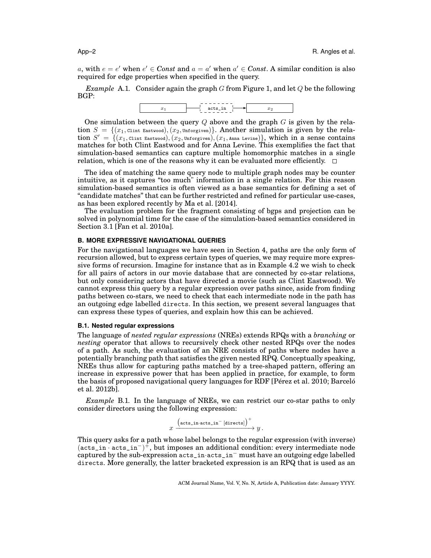a, with  $e = e'$  when  $e' \in Const$  and  $a = a'$  when  $a' \in Const$ . A similar condition is also required for edge properties when specified in the query.

*Example* A.1*.* Consider again the graph G from Figure [1,](#page-3-0) and let Q be the following BGP:



One simulation between the query  $Q$  above and the graph  $G$  is given by the relation  $S = \{(x_1, \text{cint } \text{Eastwood}), (x_2, \text{Unfortunately})\}$ . Another simulation is given by the relation  $S' = \{(x_1, \text{caint Eastwood}), (x_2, \text{Unforgiven}), (x_1, \text{Anna Levinee})\}$ , which in a sense contains matches for both Clint Eastwood and for Anna Levine. This exemplifies the fact that simulation-based semantics can capture multiple homomorphic matches in a single relation, which is one of the reasons why it can be evaluated more efficiently.  $\Box$ 

The idea of matching the same query node to multiple graph nodes may be counter intuitive, as it captures "too much" information in a single relation. For this reason simulation-based semantics is often viewed as a base semantics for defining a set of "candidate matches" that can be further restricted and refined for particular use-cases, as has been explored recently by [Ma et al. \[2014\]](#page-39-19).

The evaluation problem for the fragment consisting of bgps and projection can be solved in polynomial time for the case of the simulation-based semantics considered in Section [3.1](#page-7-3) [\[Fan et al. 2010a\]](#page-37-20).

# **B. MORE EXPRESSIVE NAVIGATIONAL QUERIES**

For the navigational languages we have seen in Section [4,](#page-19-0) paths are the only form of recursion allowed, but to express certain types of queries, we may require more expressive forms of recursion. Imagine for instance that as in Example [4.2](#page-21-0) we wish to check for all pairs of actors in our movie database that are connected by co-star relations, but only considering actors that have directed a movie (such as Clint Eastwood). We cannot express this query by a regular expression over paths since, aside from finding paths between co-stars, we need to check that each intermediate node in the path has an outgoing edge labelled directs. In this section, we present several languages that can express these types of queries, and explain how this can be achieved.

## **B.1. Nested regular expressions**

The language of *nested regular expressions* (NREs) extends RPQs with a *branching* or *nesting* operator that allows to recursively check other nested RPQs over the nodes of a path. As such, the evaluation of an NRE consists of paths where nodes have a potentially branching path that satisfies the given nested RPQ. Conceptually speaking, NREs thus allow for capturing paths matched by a tree-shaped pattern, offering an increase in expressive power that has been applied in practice, for example, to form the basis of proposed navigational query languages for RDF [\[Pérez et al. 2010;](#page-39-9) [Barceló](#page-36-13) [et al. 2012b\]](#page-36-13).

*Example* B.1*.* In the language of NREs, we can restrict our co-star paths to only consider directors using the following expression:

> $\boldsymbol{x}$  $\left(\texttt{acts_in}\texttt{-}\texttt{actors}\right)^{+}$  $\overrightarrow{y}$ .

This query asks for a path whose label belongs to the regular expression (with inverse) (acts\_in · acts\_in<sup>−</sup>) <sup>+</sup>, but imposes an additional condition: every intermediate node captured by the sub-expression acts\_in·acts\_in<sup>−</sup> must have an outgoing edge labelled directs. More generally, the latter bracketed expression is an RPQ that is used as an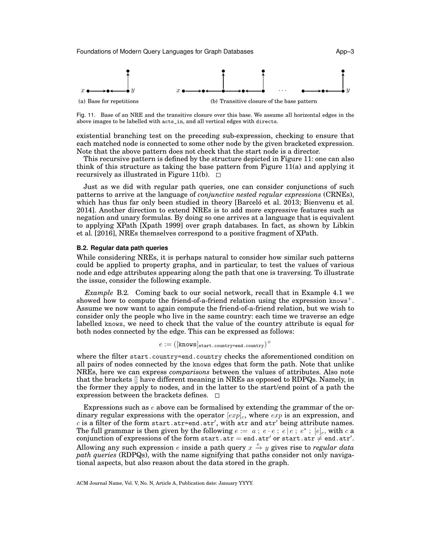Foundations of Modern Query Languages for Graph Databases App–3

<span id="page-43-1"></span>

<span id="page-43-2"></span><span id="page-43-0"></span>Fig. 11. Base of an NRE and the transitive closure over this base. We assume all horizontal edges in the above images to be labelled with acts\_in, and all vertical edges with directs.

existential branching test on the preceding sub-expression, checking to ensure that each matched node is connected to some other node by the given bracketed expression. Note that the above pattern does not check that the start node is a director.

This recursive pattern is defined by the structure depicted in Figure [11:](#page-43-0) one can also think of this structure as taking the base pattern from Figure [11\(a\)](#page-43-1) and applying it recursively as illustrated in Figure [11\(b\).](#page-43-2)  $\Box$ 

Just as we did with regular path queries, one can consider conjunctions of such patterns to arrive at the language of *conjunctive nested regular expressions* (CRNEs), which has thus far only been studied in theory [\[Barceló et al. 2013;](#page-36-15) [Bienvenu et al.](#page-37-21) [2014\]](#page-37-21). Another direction to extend NREs is to add more expressive features such as negation and unary formulas. By doing so one arrives at a language that is equivalent to applying XPath [\[Xpath 1999\]](#page-40-15) over graph databases. In fact, as shown by [Libkin](#page-39-12) [et al.](#page-39-12) [\[2016\]](#page-39-12), NREs themselves correspond to a positive fragment of XPath.

## <span id="page-43-3"></span>**B.2. Regular data path queries**

While considering NREs, it is perhaps natural to consider how similar such patterns could be applied to property graphs, and in particular, to test the values of various node and edge attributes appearing along the path that one is traversing. To illustrate the issue, consider the following example.

*Example* B.2*.* Coming back to our social network, recall that in Example [4.1](#page-20-1) we showed how to compute the friend-of-a-friend relation using the expression knows<sup>+</sup>. Assume we now want to again compute the friend-of-a-friend relation, but we wish to consider only the people who live in the same country: each time we traverse an edge labelled knows, we need to check that the value of the country attribute is equal for both nodes connected by the edge. This can be expressed as follows:

$$
e := ([\texttt{knows}]_{\texttt{start.courtry-end.courtry}})^+
$$

where the filter start.country=end.country checks the aforementioned condition on all pairs of nodes connected by the knows edges that form the path. Note that unlike NREs, here we can express *comparisons* between the values of attributes. Also note that the brackets [] have different meaning in NREs as opposed to RDPQs. Namely, in the former they apply to nodes, and in the latter to the start/end point of a path the expression between the brackets defines.  $\square$ 

Expressions such as  $e$  above can be formalised by extending the grammar of the ordinary regular expressions with the operator  $[exp]_c$ , where  $exp$  is an expression, and c is a filter of the form start.atr=end.atr', with atr and atr' being attribute names. The full grammar is then given by the following  $e := |a|$  ;  $e \cdot e$  ;  $e \mid e$  ;  $e^*$  ;  $[e]_c$ , with  $c$  a conjunction of expressions of the form  $\text{\rm start}.\text{\rm atr} =$  end.atr $'$  or  $\text{\rm start}.\text{\rm atr} \neq$  end.atr $'.$ Allowing any such expression *e* inside a path query  $x \stackrel{e}{\rightarrow} y$  gives rise to *regular data path queries* (RDPQs), with the name signifying that paths consider not only navigational aspects, but also reason about the data stored in the graph.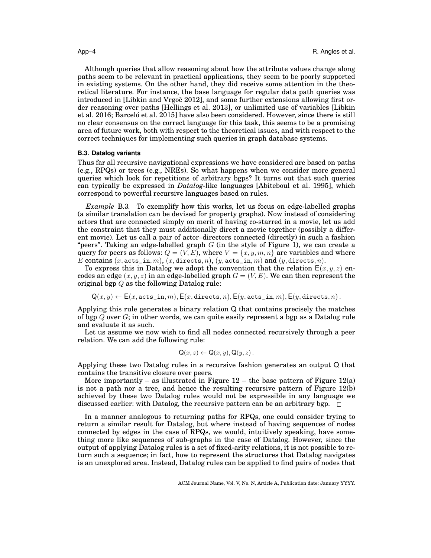Although queries that allow reasoning about how the attribute values change along paths seem to be relevant in practical applications, they seem to be poorly supported in existing systems. On the other hand, they did receive some attention in the theoretical literature. For instance, the base language for regular data path queries was introduced in [Libkin and Vrgoč 2012], and some further extensions allowing first order reasoning over paths [\[Hellings et al. 2013\]](#page-38-17), or unlimited use of variables [\[Libkin](#page-39-12) [et al. 2016;](#page-39-12) [Barceló et al. 2015\]](#page-36-16) have also been considered. However, since there is still no clear consensus on the correct language for this task, this seems to be a promising area of future work, both with respect to the theoretical issues, and with respect to the correct techniques for implementing such queries in graph database systems.

## **B.3. Datalog variants**

Thus far all recursive navigational expressions we have considered are based on paths (e.g., RPQs) or trees (e.g., NREs). So what happens when we consider more general queries which look for repetitions of arbitrary bgps? It turns out that such queries can typically be expressed in *Datalog*-like languages [\[Abiteboul et al. 1995\]](#page-36-5), which correspond to powerful recursive languages based on rules.

<span id="page-44-0"></span>*Example* B.3*.* To exemplify how this works, let us focus on edge-labelled graphs (a similar translation can be devised for property graphs). Now instead of considering actors that are connected simply on merit of having co-starred in a movie, let us add the constraint that they must additionally direct a movie together (possibly a different movie). Let us call a pair of actor–directors connected (directly) in such a fashion "peers". Taking an edge-labelled graph  $G$  (in the style of Figure [1\)](#page-3-0), we can create a query for peers as follows:  $Q = (V, E)$ , where  $V = \{x, y, m, n\}$  are variables and where  $\tilde{E}$  contains  $(x, \texttt{acts\_in}, m)$ ,  $(x, \texttt{directs}, n)$ ,  $(y, \texttt{acts\_in}, m)$  and  $(y, \texttt{directs}, n)$ .

To express this in Datalog we adopt the convention that the relation  $E(x, y, z)$  encodes an edge  $(x, y, z)$  in an edge-labelled graph  $G = (V, E)$ . We can then represent the original bgp  $Q$  as the following Datalog rule:

 $Q(x, y) \leftarrow E(x, \texttt{acts_in}, m), E(x, \texttt{directs}, n), E(y, \texttt{acts_in}, m), E(y, \texttt{directs}, n).$ 

Applying this rule generates a binary relation Q that contains precisely the matches of bgp  $Q$  over  $G$ ; in other words, we can quite easily represent a bgp as a Datalog rule and evaluate it as such.

Let us assume we now wish to find all nodes connected recursively through a peer relation. We can add the following rule:

$$
Q(x, z) \leftarrow Q(x, y), Q(y, z).
$$

Applying these two Datalog rules in a recursive fashion generates an output Q that contains the transitive closure over peers.

More importantly – as illustrated in Figure  $12$  – the base pattern of Figure  $12(a)$ is not a path nor a tree, and hence the resulting recursive pattern of Figure [12\(b\)](#page-45-2) achieved by these two Datalog rules would not be expressible in any language we discussed earlier: with Datalog, the recursive pattern can be an arbitrary bgp.  $\Box$ 

In a manner analogous to returning paths for RPQs, one could consider trying to return a similar result for Datalog, but where instead of having sequences of nodes connected by edges in the case of RPQs, we would, intuitively speaking, have something more like sequences of sub-graphs in the case of Datalog. However, since the output of applying Datalog rules is a set of fixed-arity relations, it is not possible to return such a sequence; in fact, how to represent the structures that Datalog navigates is an unexplored area. Instead, Datalog rules can be applied to find pairs of nodes that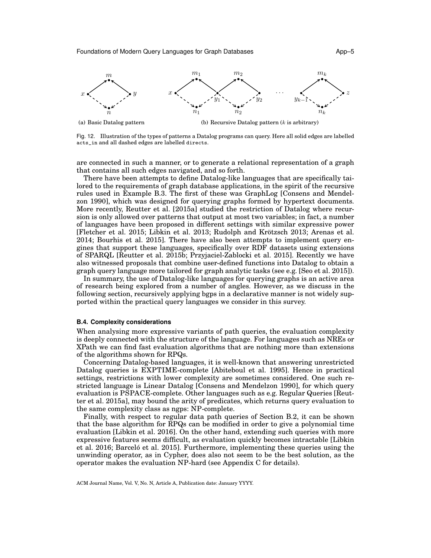Foundations of Modern Query Languages for Graph Databases App–5

<span id="page-45-1"></span>

<span id="page-45-2"></span><span id="page-45-0"></span>Fig. 12. Illustration of the types of patterns a Datalog programs can query. Here all solid edges are labelled acts\_in and all dashed edges are labelled directs.

are connected in such a manner, or to generate a relational representation of a graph that contains all such edges navigated, and so forth.

There have been attempts to define Datalog-like languages that are specifically tailored to the requirements of graph database applications, in the spirit of the recursive rules used in Example [B.3.](#page-44-0) The first of these was GraphLog [\[Consens and Mendel](#page-37-16)[zon 1990\]](#page-37-16), which was designed for querying graphs formed by hypertext documents. More recently, [Reutter et al. \[2015a\]](#page-39-7) studied the restriction of Datalog where recursion is only allowed over patterns that output at most two variables; in fact, a number of languages have been proposed in different settings with similar expressive power [\[Fletcher et al. 2015;](#page-37-22) [Libkin et al. 2013;](#page-39-20) [Rudolph and Krötzsch 2013;](#page-40-16) [Arenas et al.](#page-36-17) [2014;](#page-36-17) [Bourhis et al. 2015\]](#page-37-23). There have also been attempts to implement query engines that support these languages, specifically over RDF datasets using extensions of SPARQL [\[Reutter et al. 2015b;](#page-39-21) [Przyjaciel-Zablocki et al. 2015\]](#page-39-22). Recently we have also witnessed proposals that combine user-defined functions into Datalog to obtain a graph query language more tailored for graph analytic tasks (see e.g. [\[Seo et al. 2015\]](#page-40-17)).

In summary, the use of Datalog-like languages for querying graphs is an active area of research being explored from a number of angles. However, as we discuss in the following section, recursively applying bgps in a declarative manner is not widely supported within the practical query languages we consider in this survey.

## **B.4. Complexity considerations**

When analysing more expressive variants of path queries, the evaluation complexity is deeply connected with the structure of the language. For languages such as NREs or XPath we can find fast evaluation algorithms that are nothing more than extensions of the algorithms shown for RPQs.

Concerning Datalog-based languages, it is well-known that answering unrestricted Datalog queries is EXPTIME-complete [\[Abiteboul et al. 1995\]](#page-36-5). Hence in practical settings, restrictions with lower complexity are sometimes considered. One such restricted language is Linear Datalog [\[Consens and Mendelzon 1990\]](#page-37-16), for which query evaluation is PSPACE-complete. Other languages such as e.g. Regular Queries [\[Reut](#page-39-7)[ter et al. 2015a\]](#page-39-7), may bound the arity of predicates, which returns query evaluation to the same complexity class as ngps: NP-complete.

Finally, with respect to regular data path queries of Section [B.2,](#page-43-3) it can be shown that the base algorithm for RPQs can be modified in order to give a polynomial time evaluation [\[Libkin et al. 2016\]](#page-39-12). On the other hand, extending such queries with more expressive features seems difficult, as evaluation quickly becomes intractable [\[Libkin](#page-39-12) [et al. 2016;](#page-39-12) [Barceló et al. 2015\]](#page-36-16). Furthermore, implementing these queries using the unwinding operator, as in Cypher, does also not seem to be the best solution, as the operator makes the evaluation NP-hard (see Appendix [C](#page-46-0) for details).

ACM Journal Name, Vol. V, No. N, Article A, Publication date: January YYYY.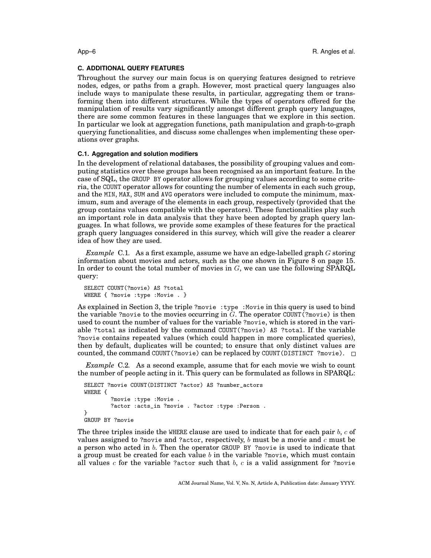# <span id="page-46-0"></span>**C. ADDITIONAL QUERY FEATURES**

Throughout the survey our main focus is on querying features designed to retrieve nodes, edges, or paths from a graph. However, most practical query languages also include ways to manipulate these results, in particular, aggregating them or transforming them into different structures. While the types of operators offered for the manipulation of results vary significantly amongst different graph query languages, there are some common features in these languages that we explore in this section. In particular we look at aggregation functions, path manipulation and graph-to-graph querying functionalities, and discuss some challenges when implementing these operations over graphs.

# **C.1. Aggregation and solution modifiers**

In the development of relational databases, the possibility of grouping values and computing statistics over these groups has been recognised as an important feature. In the case of SQL, the GROUP BY operator allows for grouping values according to some criteria, the COUNT operator allows for counting the number of elements in each such group, and the MIN, MAX, SUM and AVG operators were included to compute the minimum, maximum, sum and average of the elements in each group, respectively (provided that the group contains values compatible with the operators). These functionalities play such an important role in data analysis that they have been adopted by graph query languages. In what follows, we provide some examples of these features for the practical graph query languages considered in this survey, which will give the reader a clearer idea of how they are used.

*Example* C.1*.* As a first example, assume we have an edge-labelled graph G storing information about movies and actors, such as the one shown in Figure [8](#page-14-0) on page [15.](#page-14-0) In order to count the total number of movies in  $G$ , we can use the following SPARQL query:

```
SELECT COUNT(?movie) AS ?total
WHERE { ?movie :type :Movie . }
```
As explained in Section [3,](#page-7-0) the triple ?movie : type : Movie in this query is used to bind the variable ?movie to the movies occurring in  $G$ . The operator COUNT(?movie) is then used to count the number of values for the variable ?movie, which is stored in the variable ?total as indicated by the command COUNT(?movie) AS ?total. If the variable ?movie contains repeated values (which could happen in more complicated queries), then by default, duplicates will be counted; to ensure that only distinct values are counted, the command COUNT(?movie) can be replaced by COUNT(DISTINCT ?movie).  $\Box$ 

*Example* C.2*.* As a second example, assume that for each movie we wish to count the number of people acting in it. This query can be formulated as follows in SPARQL:

```
SELECT ?movie COUNT(DISTINCT ?actor) AS ?number_actors
WHERE {
        ?movie :type :Movie .
        ?actor :acts_in ?movie . ?actor :type :Person .
}
GROUP BY ?movie
```
The three triples inside the WHERE clause are used to indicate that for each pair  $b, c$  of values assigned to ?movie and ?actor, respectively,  $b$  must be a movie and  $c$  must be a person who acted in  $b$ . Then the operator GROUP BY ?movie is used to indicate that a group must be created for each value  $\bar{b}$  in the variable ?movie, which must contain all values c for the variable ?actor such that b, c is a valid assignment for ?movie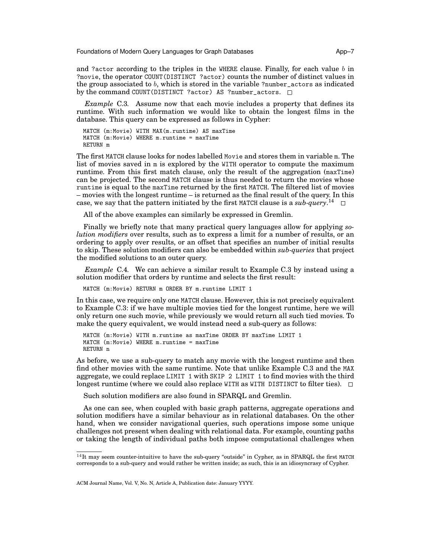Foundations of Modern Query Languages for Graph Databases App-7

and ?actor according to the triples in the WHERE clause. Finally, for each value  $b$  in ?movie, the operator COUNT(DISTINCT ?actor) counts the number of distinct values in the group associated to b, which is stored in the variable ?number\_actors as indicated by the command COUNT(DISTINCT ?actor) AS ?number\_actors.  $\Box$ 

<span id="page-47-1"></span>*Example* C.3*.* Assume now that each movie includes a property that defines its runtime. With such information we would like to obtain the longest films in the database. This query can be expressed as follows in Cypher:

MATCH (m:Movie) WITH MAX(m.runtime) AS maxTime MATCH (m:Movie) WHERE m.runtime = maxTime RETURN m

The first MATCH clause looks for nodes labelled Movie and stores them in variable m. The list of movies saved in m is explored by the WITH operator to compute the maximum runtime. From this first match clause, only the result of the aggregation (maxTime) can be projected. The second MATCH clause is thus needed to return the movies whose runtime is equal to the maxTime returned by the first MATCH. The filtered list of movies – movies with the longest runtime – is returned as the final result of the query. In this case, we say that the pattern initiated by the first MATCH clause is a *sub-query*. [14](#page-47-0)

All of the above examples can similarly be expressed in Gremlin.

Finally we briefly note that many practical query languages allow for applying *solution modifiers* over results, such as to express a limit for a number of results, or an ordering to apply over results, or an offset that specifies an number of initial results to skip. These solution modifiers can also be embedded within *sub-queries* that project the modified solutions to an outer query.

*Example* C.4*.* We can achieve a similar result to Example [C.3](#page-47-1) by instead using a solution modifier that orders by runtime and selects the first result:

MATCH (m:Movie) RETURN m ORDER BY m.runtime LIMIT 1

In this case, we require only one MATCH clause. However, this is not precisely equivalent to Example [C.3:](#page-47-1) if we have multiple movies tied for the longest runtime, here we will only return one such movie, while previously we would return all such tied movies. To make the query equivalent, we would instead need a sub-query as follows:

```
MATCH (m:Movie) WITH m.runtime as maxTime ORDER BY maxTime LIMIT 1
MATCH (m:Movie) WHERE m.runtime = maxTime
RETURN n
```
As before, we use a sub-query to match any movie with the longest runtime and then find other movies with the same runtime. Note that unlike Example [C.3](#page-47-1) and the MAX aggregate, we could replace LIMIT 1 with SKIP 2 LIMIT 1 to find movies with the third longest runtime (where we could also replace WITH as WITH DISTINCT to filter ties).  $\Box$ 

Such solution modifiers are also found in SPARQL and Gremlin.

As one can see, when coupled with basic graph patterns, aggregate operations and solution modifiers have a similar behaviour as in relational databases. On the other hand, when we consider navigational queries, such operations impose some unique challenges not present when dealing with relational data. For example, counting paths or taking the length of individual paths both impose computational challenges when

<span id="page-47-0"></span> $14$ It may seem counter-intuitive to have the sub-query "outside" in Cypher, as in SPARQL the first MATCH corresponds to a sub-query and would rather be written inside; as such, this is an idiosyncrasy of Cypher.

ACM Journal Name, Vol. V, No. N, Article A, Publication date: January YYYY.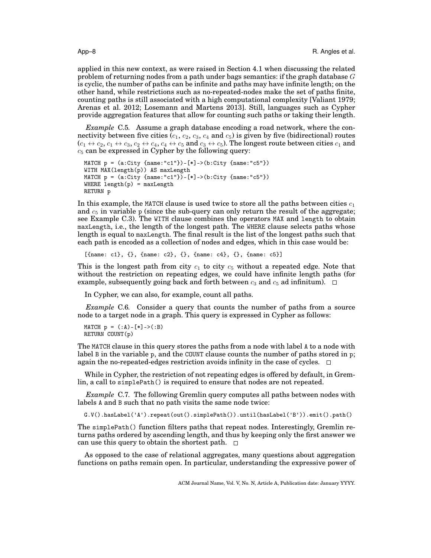applied in this new context, as were raised in Section [4.1](#page-20-2) when discussing the related problem of returning nodes from a path under bags semantics: if the graph database  $G$ is cyclic, the number of paths can be infinite and paths may have infinite length; on the other hand, while restrictions such as no-repeated-nodes make the set of paths finite, counting paths is still associated with a high computational complexity [\[Valiant 1979;](#page-40-11) [Arenas et al. 2012;](#page-36-11) [Losemann and Martens 2013\]](#page-39-14). Still, languages such as Cypher provide aggregation features that allow for counting such paths or taking their length.

<span id="page-48-0"></span>*Example* C.5*.* Assume a graph database encoding a road network, where the connectivity between five cities  $(c_1, c_2, c_3, c_4 \text{ and } c_5)$  is given by five (bidirectional) routes  $(c_1 \leftrightarrow c_2, c_1 \leftrightarrow c_3, c_2 \leftrightarrow c_4, c_4 \leftrightarrow c_5 \text{ and } c_3 \leftrightarrow c_5)$ . The longest route between cities  $c_1$  and  $c_5$  can be expressed in Cypher by the following query:

```
MATCH p = (a:City \{name::c1"\}) - [*) - \> (b:City \{name::c5"\})WITH MAX(length(p)) AS maxLength
MATCH p = (a:City \{name:"c1"\}) - [*] -> (b:City \{name::lcs"\})WHERE length(p) = maxLength
RETURN p
```
In this example, the MATCH clause is used twice to store all the paths between cities  $c_1$ and  $c_5$  in variable p (since the sub-query can only return the result of the aggregate; see Example [C.3\)](#page-47-1). The WITH clause combines the operators MAX and length to obtain maxLength, i.e., the length of the longest path. The WHERE clause selects paths whose length is equal to maxLength. The final result is the list of the longest paths such that each path is encoded as a collection of nodes and edges, which in this case would be:

 $[{\text{name: c1}}, {\text{ }}$ ,  ${\text{name: c2}}, {\text{ }}$ ,  ${\text{name: c4}}, {\text{ }}$ ,  ${\text{name: c5}}}$ 

This is the longest path from city  $c_1$  to city  $c_5$  without a repeated edge. Note that without the restriction on repeating edges, we could have infinite length paths (for example, subsequently going back and forth between  $c_3$  and  $c_5$  ad infinitum).  $\Box$ 

In Cypher, we can also, for example, count all paths.

*Example* C.6*.* Consider a query that counts the number of paths from a source node to a target node in a graph. This query is expressed in Cypher as follows:

MATCH  $p = (.A) - [*] - > (.B)$ RETURN COUNT(p)

The MATCH clause in this query stores the paths from a node with label A to a node with label B in the variable p, and the COUNT clause counts the number of paths stored in p; again the no-repeated-edges restriction avoids infinity in the case of cycles.  $\Box$ 

While in Cypher, the restriction of not repeating edges is offered by default, in Gremlin, a call to simplePath() is required to ensure that nodes are not repeated.

*Example* C.7*.* The following Gremlin query computes all paths between nodes with labels A and B such that no path visits the same node twice:

G.V().hasLabel('A').repeat(out().simplePath()).until(hasLabel('B')).emit().path()

The simplePath() function filters paths that repeat nodes. Interestingly, Gremlin returns paths ordered by ascending length, and thus by keeping only the first answer we can use this query to obtain the shortest path.  $\Box$ 

As opposed to the case of relational aggregates, many questions about aggregation functions on paths remain open. In particular, understanding the expressive power of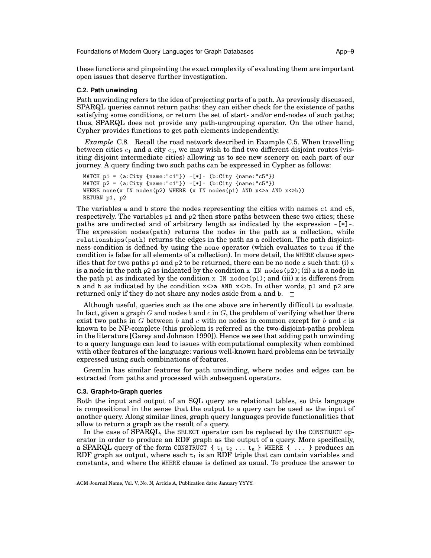Foundations of Modern Query Languages for Graph Databases App–9

these functions and pinpointing the exact complexity of evaluating them are important open issues that deserve further investigation.

## **C.2. Path unwinding**

Path unwinding refers to the idea of projecting parts of a path. As previously discussed, SPARQL queries cannot return paths: they can either check for the existence of paths satisfying some conditions, or return the set of start- and/or end-nodes of such paths; thus, SPARQL does not provide any path-ungrouping operator. On the other hand, Cypher provides functions to get path elements independently.

*Example* C.8*.* Recall the road network described in Example [C.5.](#page-48-0) When travelling between cities  $c_1$  and a city  $c_5$ , we may wish to find two different disjoint routes (visiting disjoint intermediate cities) allowing us to see new scenery on each part of our journey. A query finding two such paths can be expressed in Cypher as follows:

```
MATCH p1 = (a:City \{name: "c1"}) - [*] - (b:City \{name: "c5"})MATCH p2 = (a:City \{name: "c1"}) - [*] - (b:City \{name: "c5"})WHERE none(x IN nodes(p2) WHERE (x IN nodes(p1) AND x <>a AND x <>b))
RETURN p1, p2
```
The variables a and b store the nodes representing the cities with names c1 and c5, respectively. The variables p1 and p2 then store paths between these two cities; these paths are undirected and of arbitrary length as indicated by the expression -[\*]-. The expression nodes(path) returns the nodes in the path as a collection, while relationships(path) returns the edges in the path as a collection. The path disjointness condition is defined by using the none operator (which evaluates to true if the condition is false for all elements of a collection). In more detail, the WHERE clause specifies that for two paths p1 and p2 to be returned, there can be no node x such that: (i) x is a node in the path  $p2$  as indicated by the condition x IN nodes( $p2$ ); (ii) x is a node in the path p1 as indicated by the condition x IN nodes (p1); and (iii) x is different from a and b as indicated by the condition  $x \le a$  AND  $x \le b$ . In other words, p1 and p2 are returned only if they do not share any nodes aside from a and b.  $\Box$ 

Although useful, queries such as the one above are inherently difficult to evaluate. In fact, given a graph G and nodes b and c in  $G$ , the problem of verifying whether there exist two paths in G between b and c with no nodes in common except for b and c is known to be NP-complete (this problem is referred as the two-disjoint-paths problem in the literature [\[Garey and Johnson 1990\]](#page-38-18)). Hence we see that adding path unwinding to a query language can lead to issues with computational complexity when combined with other features of the language: various well-known hard problems can be trivially expressed using such combinations of features.

Gremlin has similar features for path unwinding, where nodes and edges can be extracted from paths and processed with subsequent operators.

## **C.3. Graph-to-Graph queries**

Both the input and output of an SQL query are relational tables, so this language is compositional in the sense that the output to a query can be used as the input of another query. Along similar lines, graph query languages provide functionalities that allow to return a graph as the result of a query.

In the case of SPARQL, the SELECT operator can be replaced by the CONSTRUCT operator in order to produce an RDF graph as the output of a query. More specifically, a SPARQL query of the form CONSTRUCT  $\{t_1, t_2, \ldots, t_n\}$  WHERE  $\{\ldots\}$  produces an RDF graph as output, where each  $t_i$  is an RDF triple that can contain variables and constants, and where the WHERE clause is defined as usual. To produce the answer to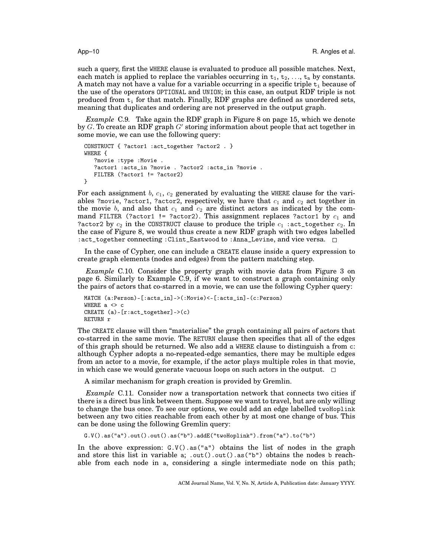such a query, first the WHERE clause is evaluated to produce all possible matches. Next, each match is applied to replace the variables occurring in  $t_1, t_2, \ldots, t_n$  by constants. A match may not have a value for a variable occurring in a specific triple  $t_i$  because of the use of the operators OPTIONAL and UNION; in this case, an output RDF triple is not produced from  $t_i$  for that match. Finally, RDF graphs are defined as unordered sets, meaning that duplicates and ordering are not preserved in the output graph.

<span id="page-50-0"></span>*Example* C.9*.* Take again the RDF graph in Figure [8](#page-14-0) on page [15,](#page-14-0) which we denote by G. To create an RDF graph  $G'$  storing information about people that act together in some movie, we can use the following query:

```
CONSTRUCT { ?actor1 :act_together ?actor2 . }
WHERE {
   ?movie :type :Movie .
   ?actor1 :acts_in ?movie . ?actor2 :acts_in ?movie .
   FILTER (?actor1 != ?actor2)
\mathbf{r}
```
For each assignment b,  $c_1$ ,  $c_2$  generated by evaluating the WHERE clause for the variables ?movie, ?actor1, ?actor2, respectively, we have that  $c_1$  and  $c_2$  act together in the movie  $b$ , and also that  $c_1$  and  $c_2$  are distinct actors as indicated by the command FILTER (?actor1 != ?actor2). This assignment replaces ?actor1 by  $c_1$  and ?actor2 by  $c_2$  in the CONSTRUCT clause to produce the triple  $c_1$  :act\_together  $c_2$ . In the case of Figure [8,](#page-14-0) we would thus create a new RDF graph with two edges labelled :act\_together connecting :Clint\_Eastwood to :Anna\_Levine, and vice versa.

In the case of Cypher, one can include a CREATE clause inside a query expression to create graph elements (nodes and edges) from the pattern matching step.

*Example* C.10*.* Consider the property graph with movie data from Figure [3](#page-5-1) on page [6.](#page-5-1) Similarly to Example [C.9,](#page-50-0) if we want to construct a graph containing only the pairs of actors that co-starred in a movie, we can use the following Cypher query:

```
MATCH (a:Person)-[:acts_in]->(:Movie)<-[:acts_in]-(c:Person)
WHERE a \Leftrightarrow cCREATE (a)-[r:act_together]->(c)
RETURN r
```
The CREATE clause will then "materialise" the graph containing all pairs of actors that co-starred in the same movie. The RETURN clause then specifies that all of the edges of this graph should be returned. We also add a WHERE clause to distinguish a from c: although Cypher adopts a no-repeated-edge semantics, there may be multiple edges from an actor to a movie, for example, if the actor plays multiple roles in that movie, in which case we would generate vacuous loops on such actors in the output.  $\square$ 

A similar mechanism for graph creation is provided by Gremlin.

*Example* C.11*.* Consider now a transportation network that connects two cities if there is a direct bus link between them. Suppose we want to travel, but are only willing to change the bus once. To see our options, we could add an edge labelled twoHoplink between any two cities reachable from each other by at most one change of bus. This can be done using the following Gremlin query:

G.V().as("a").out().out().as("b").addE("twoHoplink").from("a").to("b")

In the above expression:  $G.V()$  as  $("a")$  obtains the list of nodes in the graph and store this list in variable a;  $.out().out() . as("b") obtain the nodes b reach$ able from each node in a, considering a single intermediate node on this path;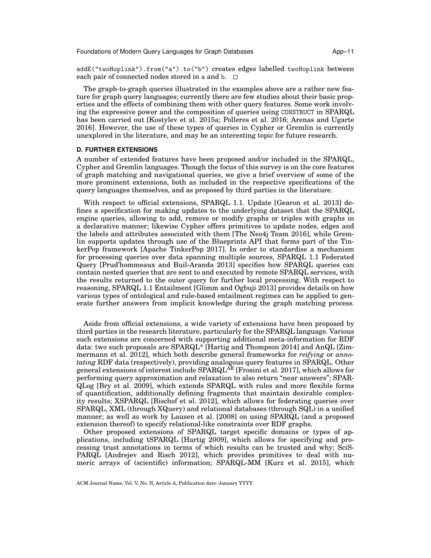Foundations of Modern Query Languages for Graph Databases App–11

addE("twoHoplink").from("a").to("b") creates edges labelled twoHoplink between each pair of connected nodes stored in a and b.  $\Box$ 

The graph-to-graph queries illustrated in the examples above are a rather new feature for graph query languages; currently there are few studies about their basic properties and the effects of combining them with other query features. Some work involving the expressive power and the composition of queries using CONSTRUCT in SPARQL has been carried out [\[Kostylev et al. 2015a;](#page-38-19) [Polleres et al. 2016;](#page-39-23) [Arenas and Ugarte](#page-36-18) [2016\]](#page-36-18). However, the use of these types of queries in Cypher or Gremlin is currently unexplored in the literature, and may be an interesting topic for future research.

# **D. FURTHER EXTENSIONS**

A number of extended features have been proposed and/or included in the SPARQL, Cypher and Gremlin languages. Though the focus of this survey is on the core features of graph matching and navigational queries, we give a brief overview of some of the more prominent extensions, both as included in the respective specifications of the query languages themselves, and as proposed by third parties in the literature.

With respect to official extensions, SPARQL 1.1. Update [\[Gearon et al. 2013\]](#page-38-20) defines a specification for making updates to the underlying dataset that the SPARQL engine queries, allowing to add, remove or modify graphs or triples with graphs in a declarative manner; likewise Cypher offers primitives to update nodes, edges and the labels and attributes associated with them [\[The Neo4j Team 2016\]](#page-40-1), while Gremlin supports updates through use of the Blueprints API that forms part of the TinkerPop framework [\[Apache TinkerPop 2017\]](#page-36-0). In order to standardise a mechanism for processing queries over data spanning multiple sources, SPARQL 1.1 Federated Query [\[Prud'hommeaux and Buil-Aranda 2013\]](#page-39-24) specifies how SPARQL queries can contain nested queries that are sent to and executed by remote SPARQL services, with the results returned to the outer query for further local processing. With respect to reasoning, SPARQL 1.1 Entailment [\[Glimm and Ogbuji 2013\]](#page-38-21) provides details on how various types of ontological and rule-based entailment regimes can be applied to generate further answers from implicit knowledge during the graph matching process.

Aside from official extensions, a wide variety of extensions have been proposed by third parties in the research literature, particularly for the SPARQL language. Various such extensions are concerned with supporting additional meta-information for RDF data: two such proposals are SPARQL\* [\[Hartig and Thompson 2014\]](#page-38-22) and AnQL [\[Zim](#page-40-18)[mermann et al. 2012\]](#page-40-18), which both describe general frameworks for *reifying* or *annotating* RDF data (respectively), providing analogous query features in SPARQL. Other general extensions of interest include  $\overline{SPARQL}^{\overline{AR}}$  [\[Frosini et al. 2017\]](#page-38-23), which allows for performing query approximation and relaxation to also return "near answers"; SPAR-QLog [\[Bry et al. 2009\]](#page-37-24), which extends SPARQL with rules and more flexible forms of quantification, additionally defining fragments that maintain desirable complexity results; XSPARQL [\[Bischof et al. 2012\]](#page-37-25), which allows for federating queries over SPARQL, XML (through XQuery) and relational databases (through SQL) in a unified manner; as well as work by [Lausen et al. \[2008\]](#page-38-24) on using SPARQL (and a proposed extension thereof) to specify relational-like constraints over RDF graphs.

Other proposed extensions of SPARQL target specific domains or types of applications, including tSPARQL [\[Hartig 2009\]](#page-38-25), which allows for specifying and processing trust annotations in terms of which results can be trusted and why; SciS-PARQL [\[Andrejev and Risch 2012\]](#page-36-19), which provides primitives to deal with numeric arrays of (scientific) information; SPARQL-MM [\[Kurz et al. 2015\]](#page-38-26), which